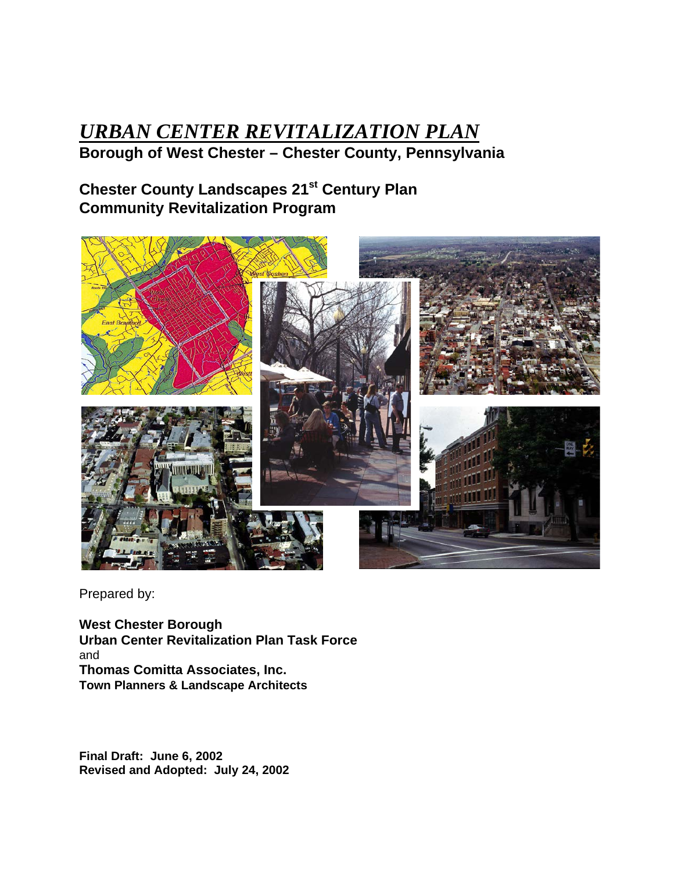# *URBAN CENTER REVITALIZATION PLAN* **Borough of West Chester – Chester County, Pennsylvania**

# **Chester County Landscapes 21st Century Plan Community Revitalization Program**



Prepared by:

**West Chester Borough Urban Center Revitalization Plan Task Force** and **Thomas Comitta Associates, Inc. Town Planners & Landscape Architects**

**Final Draft: June 6, 2002 Revised and Adopted: July 24, 2002**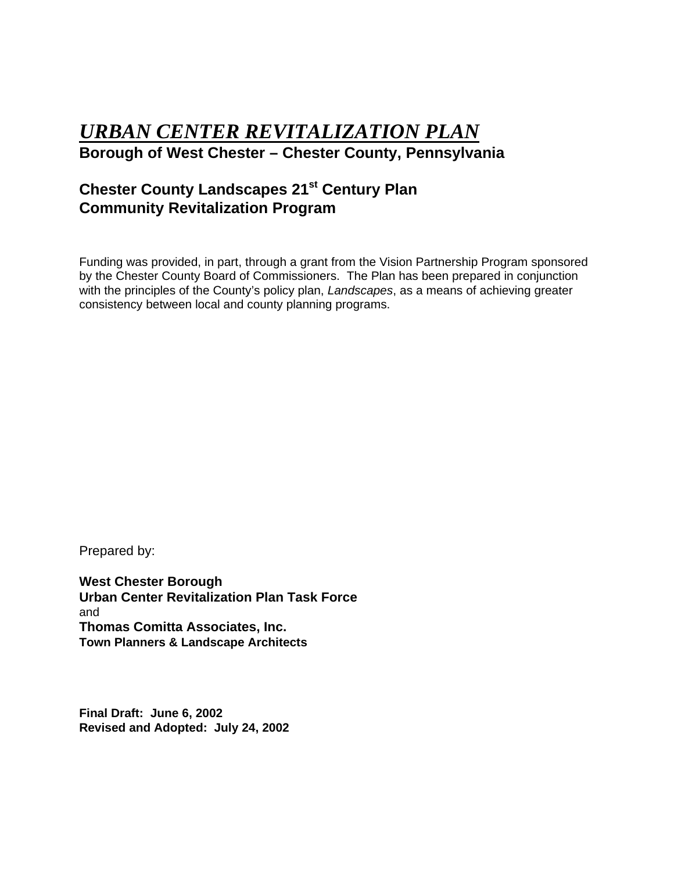# *URBAN CENTER REVITALIZATION PLAN* **Borough of West Chester – Chester County, Pennsylvania**

# **Chester County Landscapes 21st Century Plan Community Revitalization Program**

Funding was provided, in part, through a grant from the Vision Partnership Program sponsored by the Chester County Board of Commissioners. The Plan has been prepared in conjunction with the principles of the County's policy plan, *Landscapes*, as a means of achieving greater consistency between local and county planning programs.

Prepared by:

**West Chester Borough Urban Center Revitalization Plan Task Force** and **Thomas Comitta Associates, Inc. Town Planners & Landscape Architects**

**Final Draft: June 6, 2002 Revised and Adopted: July 24, 2002**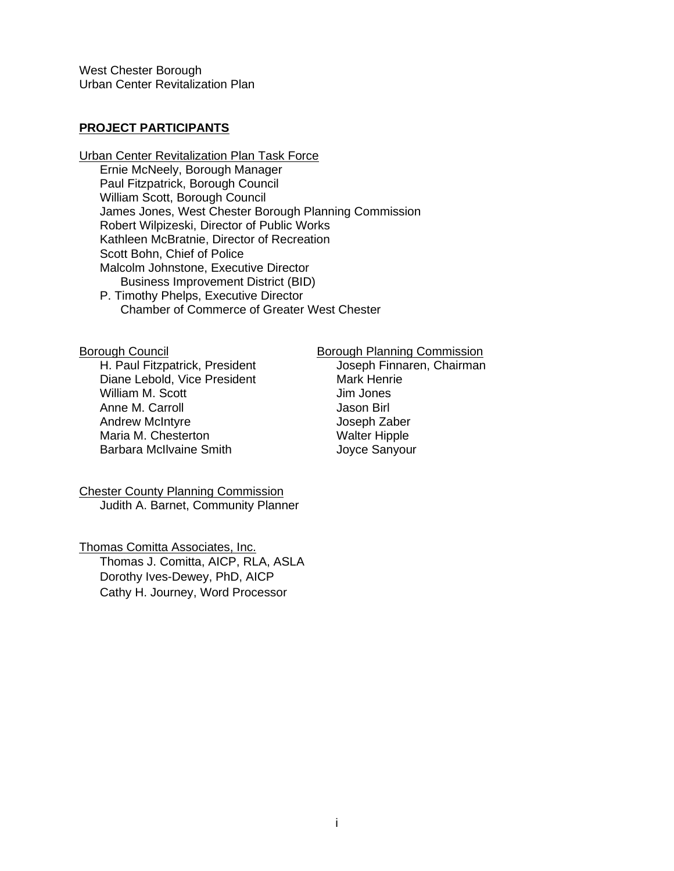#### **PROJECT PARTICIPANTS**

Urban Center Revitalization Plan Task Force Ernie McNeely, Borough Manager Paul Fitzpatrick, Borough Council William Scott, Borough Council James Jones, West Chester Borough Planning Commission Robert Wilpizeski, Director of Public Works Kathleen McBratnie, Director of Recreation Scott Bohn, Chief of Police Malcolm Johnstone, Executive Director Business Improvement District (BID) P. Timothy Phelps, Executive Director

Chamber of Commerce of Greater West Chester

H. Paul Fitzpatrick, President Diane Lebold, Vice President Mark Henrie<br>William M. Scott Mark Henrie Milliam M. Scott William M. Scott Anne M. Carroll **Anne M. Carroll Communist Communist Communist** Jason Birl<br>
Andrew McIntyre **Anne Communist Communist Communist Communist Communist Communist Communist Communist Communist** Andrew McIntyre Maria M. Chesterton Walter Hipple Barbara McIlvaine Smith Joyce Sanyour

Borough Council<br>
H. Paul Fitzpatrick, President<br>
H. Paul Fitzpatrick, President<br>
Coseph Finnaren, Chairman

Chester County Planning Commission Judith A. Barnet, Community Planner

Thomas Comitta Associates, Inc. Thomas J. Comitta, AICP, RLA, ASLA Dorothy Ives-Dewey, PhD, AICP Cathy H. Journey, Word Processor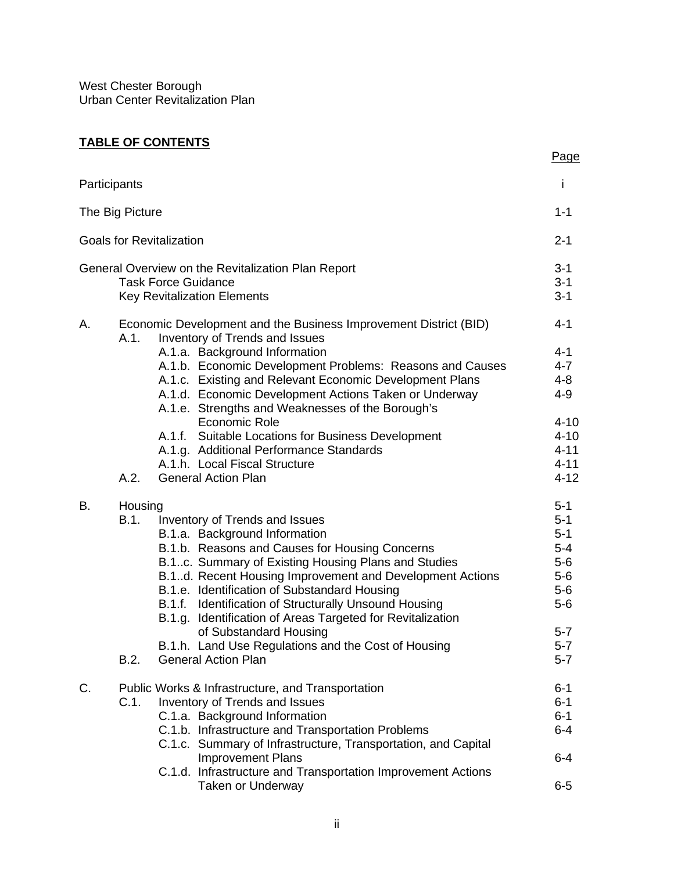# **TABLE OF CONTENTS**

|    |                                                                                                            | Page         |
|----|------------------------------------------------------------------------------------------------------------|--------------|
|    | Participants                                                                                               | $\mathbf{I}$ |
|    | The Big Picture                                                                                            | $1 - 1$      |
|    | <b>Goals for Revitalization</b>                                                                            | $2 - 1$      |
|    | General Overview on the Revitalization Plan Report                                                         | $3 - 1$      |
|    | <b>Task Force Guidance</b>                                                                                 | $3 - 1$      |
|    | <b>Key Revitalization Elements</b>                                                                         | $3 - 1$      |
| А. | Economic Development and the Business Improvement District (BID)<br>A.1.<br>Inventory of Trends and Issues | $4 - 1$      |
|    | A.1.a. Background Information                                                                              | $4 - 1$      |
|    | A.1.b. Economic Development Problems: Reasons and Causes                                                   | $4 - 7$      |
|    | A.1.c. Existing and Relevant Economic Development Plans                                                    | $4 - 8$      |
|    | A.1.d. Economic Development Actions Taken or Underway<br>A.1.e. Strengths and Weaknesses of the Borough's  | $4 - 9$      |
|    | Economic Role                                                                                              | $4 - 10$     |
|    | A.1.f. Suitable Locations for Business Development                                                         | $4 - 10$     |
|    | A.1.g. Additional Performance Standards                                                                    | $4 - 11$     |
|    | A.1.h. Local Fiscal Structure                                                                              | $4 - 11$     |
|    | A.2.<br><b>General Action Plan</b>                                                                         | $4 - 12$     |
| В. | Housing                                                                                                    | $5 - 1$      |
|    | <b>B.1.</b><br>Inventory of Trends and Issues                                                              | $5-1$        |
|    | B.1.a. Background Information                                                                              | $5 - 1$      |
|    | B.1.b. Reasons and Causes for Housing Concerns                                                             | $5-4$        |
|    | B.1c. Summary of Existing Housing Plans and Studies                                                        | $5-6$        |
|    | B.1d. Recent Housing Improvement and Development Actions                                                   | $5-6$        |
|    | B.1.e. Identification of Substandard Housing                                                               | $5-6$        |
|    | B.1.f. Identification of Structurally Unsound Housing                                                      | $5-6$        |
|    | B.1.g. Identification of Areas Targeted for Revitalization                                                 |              |
|    | of Substandard Housing                                                                                     | $5 - 7$      |
|    | B.1.h. Land Use Regulations and the Cost of Housing                                                        | $5 - 7$      |
|    | B.2.<br><b>General Action Plan</b>                                                                         | $5 - 7$      |
| C. | Public Works & Infrastructure, and Transportation                                                          | $6 - 1$      |
|    | C.1.<br>Inventory of Trends and Issues                                                                     | $6 - 1$      |
|    | C.1.a. Background Information                                                                              | $6 - 1$      |
|    | C.1.b. Infrastructure and Transportation Problems                                                          | $6 - 4$      |
|    | C.1.c. Summary of Infrastructure, Transportation, and Capital                                              |              |
|    | <b>Improvement Plans</b>                                                                                   | $6 - 4$      |
|    | C.1.d. Infrastructure and Transportation Improvement Actions                                               |              |
|    | <b>Taken or Underway</b>                                                                                   | $6-5$        |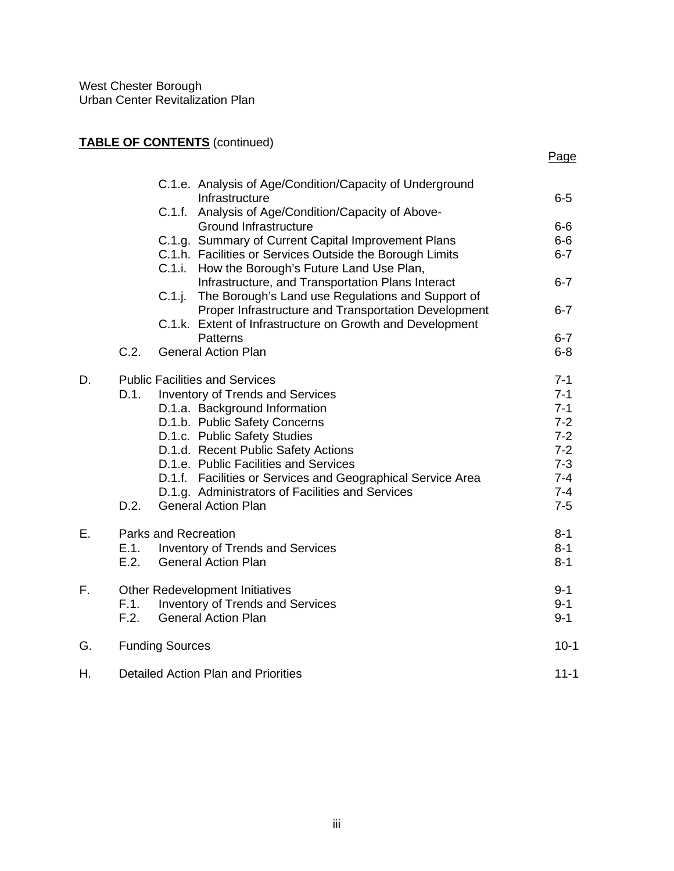# **TABLE OF CONTENTS** (continued)

| ۰, |
|----|
|----|

|    |      | C.1.e. Analysis of Age/Condition/Capacity of Underground                                                            |                  |
|----|------|---------------------------------------------------------------------------------------------------------------------|------------------|
|    |      | Infrastructure<br>Analysis of Age/Condition/Capacity of Above-<br>C.1.f.                                            | $6-5$            |
|    |      | <b>Ground Infrastructure</b>                                                                                        | $6-6$            |
|    |      | C.1.g. Summary of Current Capital Improvement Plans<br>C.1.h. Facilities or Services Outside the Borough Limits     | $6-6$<br>$6 - 7$ |
|    |      | How the Borough's Future Land Use Plan,<br>C.1.i.                                                                   |                  |
|    |      | Infrastructure, and Transportation Plans Interact                                                                   | $6 - 7$          |
|    |      | C.1.j.<br>The Borough's Land use Regulations and Support of<br>Proper Infrastructure and Transportation Development | $6 - 7$          |
|    |      | C.1.k. Extent of Infrastructure on Growth and Development                                                           |                  |
|    | C.2. | <b>Patterns</b>                                                                                                     | $6 - 7$          |
|    |      | <b>General Action Plan</b>                                                                                          | $6 - 8$          |
| D. |      | <b>Public Facilities and Services</b>                                                                               | $7 - 1$          |
|    | D.1. | <b>Inventory of Trends and Services</b>                                                                             | $7 - 1$          |
|    |      | D.1.a. Background Information                                                                                       | $7 - 1$          |
|    |      | D.1.b. Public Safety Concerns                                                                                       | $7-2$            |
|    |      | D.1.c. Public Safety Studies                                                                                        | $7 - 2$          |
|    |      | D.1.d. Recent Public Safety Actions                                                                                 | $7 - 2$          |
|    |      | D.1.e. Public Facilities and Services                                                                               | $7 - 3$          |
|    |      | D.1.f. Facilities or Services and Geographical Service Area                                                         | $7 - 4$          |
|    |      | D.1.g. Administrators of Facilities and Services                                                                    | $7 - 4$          |
|    | D.2. | <b>General Action Plan</b>                                                                                          | $7-5$            |
| Е. |      | <b>Parks and Recreation</b>                                                                                         | $8 - 1$          |
|    | E.1. | Inventory of Trends and Services                                                                                    | $8 - 1$          |
|    | E.2. | <b>General Action Plan</b>                                                                                          | $8 - 1$          |
| F. |      | <b>Other Redevelopment Initiatives</b>                                                                              | $9 - 1$          |
|    | F.1. | Inventory of Trends and Services                                                                                    | $9 - 1$          |
|    | F.2. | <b>General Action Plan</b>                                                                                          | $9 - 1$          |
| G. |      | <b>Funding Sources</b>                                                                                              | $10-1$           |
| Η. |      | Detailed Action Plan and Priorities                                                                                 | $11 - 1$         |
|    |      |                                                                                                                     |                  |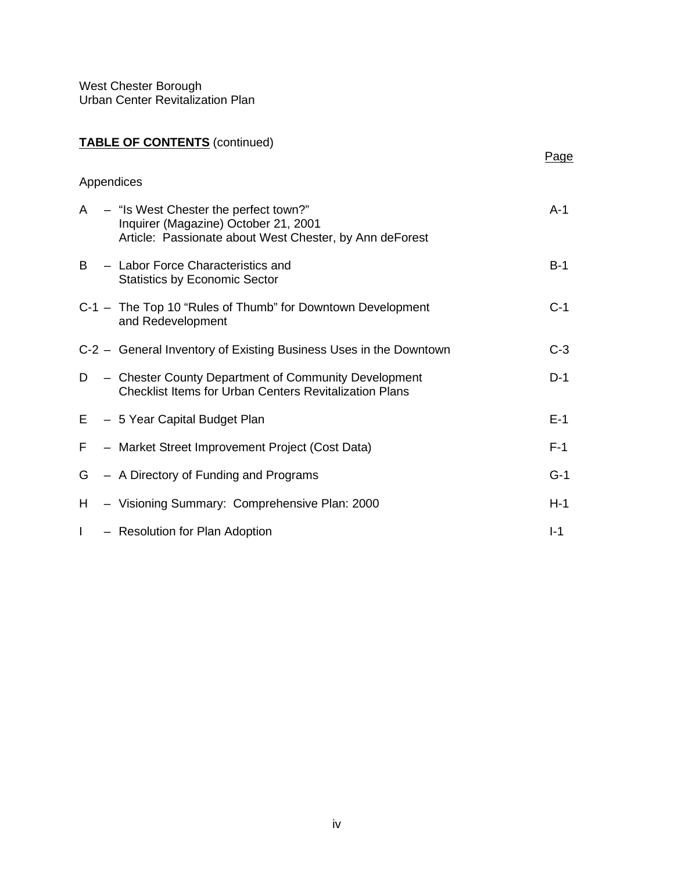# **TABLE OF CONTENTS** (continued)

|    | Appendices                                                                                                                               |       |
|----|------------------------------------------------------------------------------------------------------------------------------------------|-------|
| A  | - "Is West Chester the perfect town?"<br>Inquirer (Magazine) October 21, 2001<br>Article: Passionate about West Chester, by Ann deForest | A-1   |
| B  | - Labor Force Characteristics and<br><b>Statistics by Economic Sector</b>                                                                | $B-1$ |
|    | C-1 - The Top 10 "Rules of Thumb" for Downtown Development<br>and Redevelopment                                                          | $C-1$ |
|    | C-2 – General Inventory of Existing Business Uses in the Downtown                                                                        | $C-3$ |
| D  | - Chester County Department of Community Development<br><b>Checklist Items for Urban Centers Revitalization Plans</b>                    | $D-1$ |
|    | E - 5 Year Capital Budget Plan                                                                                                           | $E-1$ |
| F. | - Market Street Improvement Project (Cost Data)                                                                                          | $F-1$ |
|    | G – A Directory of Funding and Programs                                                                                                  | $G-1$ |
|    | H - Visioning Summary: Comprehensive Plan: 2000                                                                                          | $H-1$ |
| L  | - Resolution for Plan Adoption                                                                                                           | $I-1$ |

Page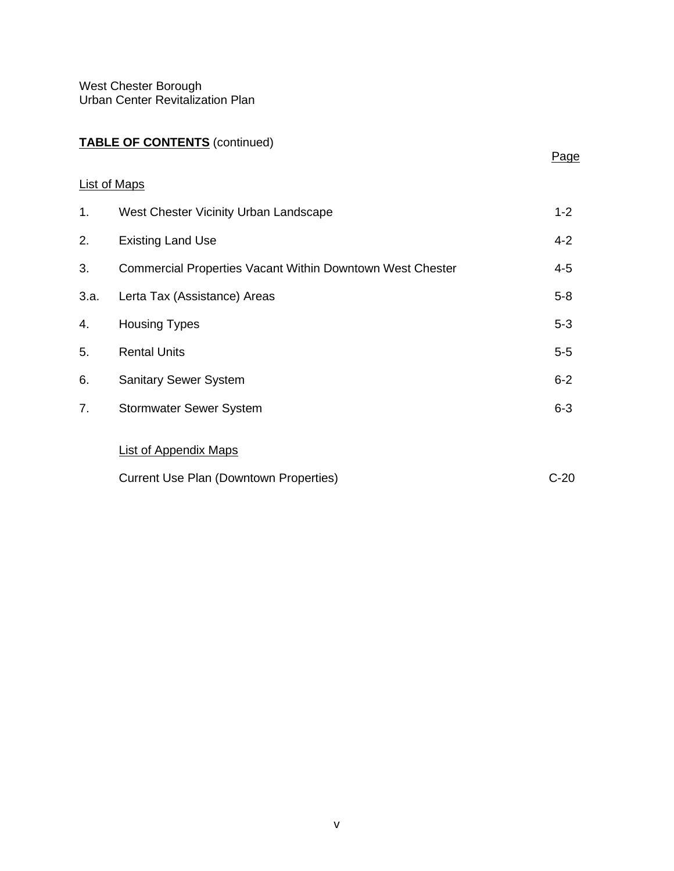# **TABLE OF CONTENTS** (continued)

Page

| 1.   | West Chester Vicinity Urban Landscape                            | $1 - 2$ |
|------|------------------------------------------------------------------|---------|
| 2.   | <b>Existing Land Use</b>                                         | $4 - 2$ |
| 3.   | <b>Commercial Properties Vacant Within Downtown West Chester</b> | $4 - 5$ |
| 3.a. | Lerta Tax (Assistance) Areas                                     | $5 - 8$ |
| 4.   | <b>Housing Types</b>                                             | $5-3$   |
| 5.   | <b>Rental Units</b>                                              | $5-5$   |
| 6.   | <b>Sanitary Sewer System</b>                                     | $6 - 2$ |
| 7.   | <b>Stormwater Sewer System</b>                                   | $6 - 3$ |
|      |                                                                  |         |
|      | <b>List of Appendix Maps</b>                                     |         |
|      | <b>Current Use Plan (Downtown Properties)</b>                    | $C-20$  |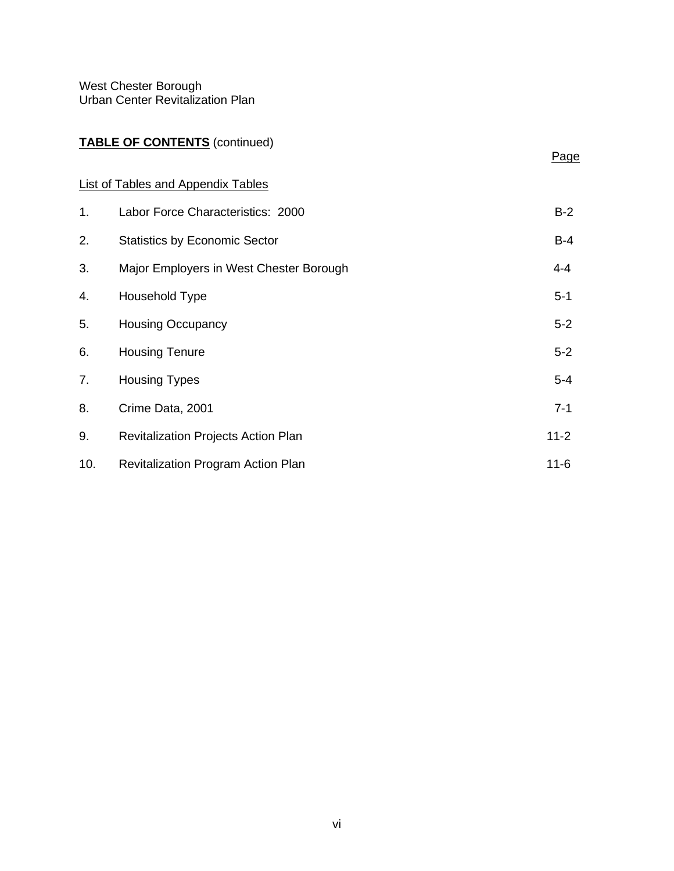# **TABLE OF CONTENTS** (continued)

# Page

# List of Tables and Appendix Tables

| 1.  | Labor Force Characteristics: 2000          | $B-2$    |
|-----|--------------------------------------------|----------|
| 2.  | <b>Statistics by Economic Sector</b>       | $B-4$    |
| 3.  | Major Employers in West Chester Borough    | $4 - 4$  |
| 4.  | Household Type                             | $5 - 1$  |
| 5.  | <b>Housing Occupancy</b>                   | $5 - 2$  |
| 6.  | <b>Housing Tenure</b>                      | $5 - 2$  |
| 7.  | <b>Housing Types</b>                       | $5 - 4$  |
| 8.  | Crime Data, 2001                           | $7 - 1$  |
| 9.  | <b>Revitalization Projects Action Plan</b> | $11 - 2$ |
| 10. | Revitalization Program Action Plan         | $11 - 6$ |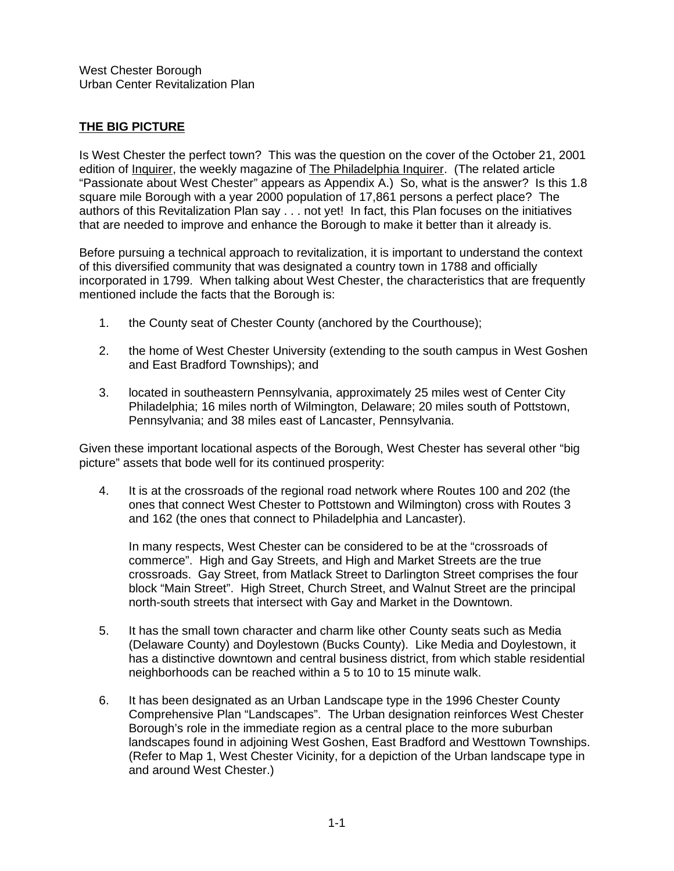# **THE BIG PICTURE**

Is West Chester the perfect town? This was the question on the cover of the October 21, 2001 edition of Inquirer, the weekly magazine of The Philadelphia Inquirer. (The related article "Passionate about West Chester" appears as Appendix A.) So, what is the answer? Is this 1.8 square mile Borough with a year 2000 population of 17,861 persons a perfect place? The authors of this Revitalization Plan say . . . not yet! In fact, this Plan focuses on the initiatives that are needed to improve and enhance the Borough to make it better than it already is.

Before pursuing a technical approach to revitalization, it is important to understand the context of this diversified community that was designated a country town in 1788 and officially incorporated in 1799. When talking about West Chester, the characteristics that are frequently mentioned include the facts that the Borough is:

- 1. the County seat of Chester County (anchored by the Courthouse);
- 2. the home of West Chester University (extending to the south campus in West Goshen and East Bradford Townships); and
- 3. located in southeastern Pennsylvania, approximately 25 miles west of Center City Philadelphia; 16 miles north of Wilmington, Delaware; 20 miles south of Pottstown, Pennsylvania; and 38 miles east of Lancaster, Pennsylvania.

Given these important locational aspects of the Borough, West Chester has several other "big picture" assets that bode well for its continued prosperity:

4. It is at the crossroads of the regional road network where Routes 100 and 202 (the ones that connect West Chester to Pottstown and Wilmington) cross with Routes 3 and 162 (the ones that connect to Philadelphia and Lancaster).

In many respects, West Chester can be considered to be at the "crossroads of commerce". High and Gay Streets, and High and Market Streets are the true crossroads. Gay Street, from Matlack Street to Darlington Street comprises the four block "Main Street". High Street, Church Street, and Walnut Street are the principal north-south streets that intersect with Gay and Market in the Downtown.

- 5. It has the small town character and charm like other County seats such as Media (Delaware County) and Doylestown (Bucks County). Like Media and Doylestown, it has a distinctive downtown and central business district, from which stable residential neighborhoods can be reached within a 5 to 10 to 15 minute walk.
- 6. It has been designated as an Urban Landscape type in the 1996 Chester County Comprehensive Plan "Landscapes". The Urban designation reinforces West Chester Borough's role in the immediate region as a central place to the more suburban landscapes found in adjoining West Goshen, East Bradford and Westtown Townships. (Refer to Map 1, West Chester Vicinity, for a depiction of the Urban landscape type in and around West Chester.)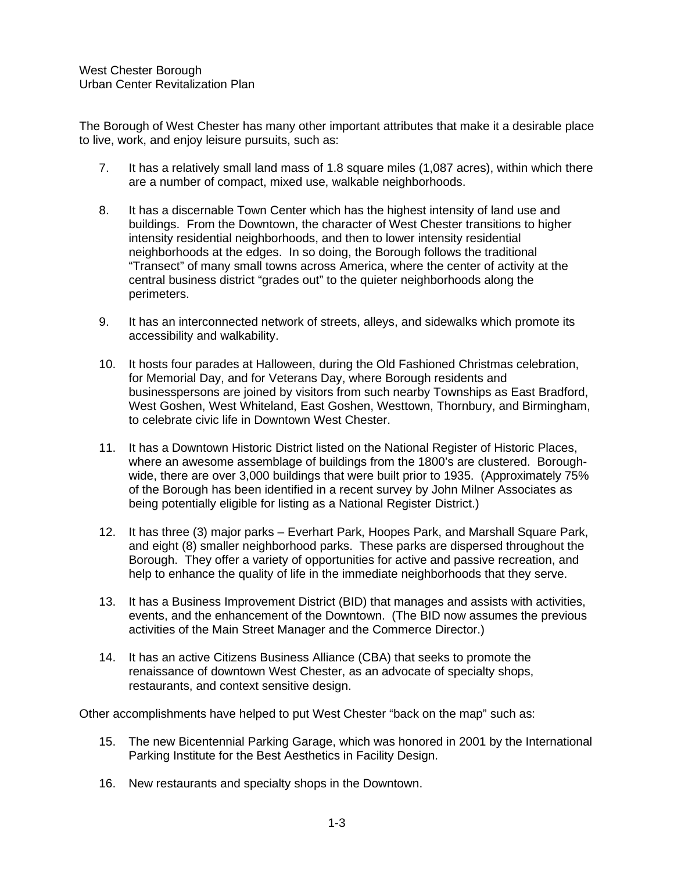The Borough of West Chester has many other important attributes that make it a desirable place to live, work, and enjoy leisure pursuits, such as:

- 7. It has a relatively small land mass of 1.8 square miles (1,087 acres), within which there are a number of compact, mixed use, walkable neighborhoods.
- 8. It has a discernable Town Center which has the highest intensity of land use and buildings. From the Downtown, the character of West Chester transitions to higher intensity residential neighborhoods, and then to lower intensity residential neighborhoods at the edges. In so doing, the Borough follows the traditional "Transect" of many small towns across America, where the center of activity at the central business district "grades out" to the quieter neighborhoods along the perimeters.
- 9. It has an interconnected network of streets, alleys, and sidewalks which promote its accessibility and walkability.
- 10. It hosts four parades at Halloween, during the Old Fashioned Christmas celebration, for Memorial Day, and for Veterans Day, where Borough residents and businesspersons are joined by visitors from such nearby Townships as East Bradford, West Goshen, West Whiteland, East Goshen, Westtown, Thornbury, and Birmingham, to celebrate civic life in Downtown West Chester.
- 11. It has a Downtown Historic District listed on the National Register of Historic Places, where an awesome assemblage of buildings from the 1800's are clustered. Boroughwide, there are over 3,000 buildings that were built prior to 1935. (Approximately 75% of the Borough has been identified in a recent survey by John Milner Associates as being potentially eligible for listing as a National Register District.)
- 12. It has three (3) major parks Everhart Park, Hoopes Park, and Marshall Square Park, and eight (8) smaller neighborhood parks. These parks are dispersed throughout the Borough. They offer a variety of opportunities for active and passive recreation, and help to enhance the quality of life in the immediate neighborhoods that they serve.
- 13. It has a Business Improvement District (BID) that manages and assists with activities, events, and the enhancement of the Downtown. (The BID now assumes the previous activities of the Main Street Manager and the Commerce Director.)
- 14. It has an active Citizens Business Alliance (CBA) that seeks to promote the renaissance of downtown West Chester, as an advocate of specialty shops, restaurants, and context sensitive design.

Other accomplishments have helped to put West Chester "back on the map" such as:

- 15. The new Bicentennial Parking Garage, which was honored in 2001 by the International Parking Institute for the Best Aesthetics in Facility Design.
- 16. New restaurants and specialty shops in the Downtown.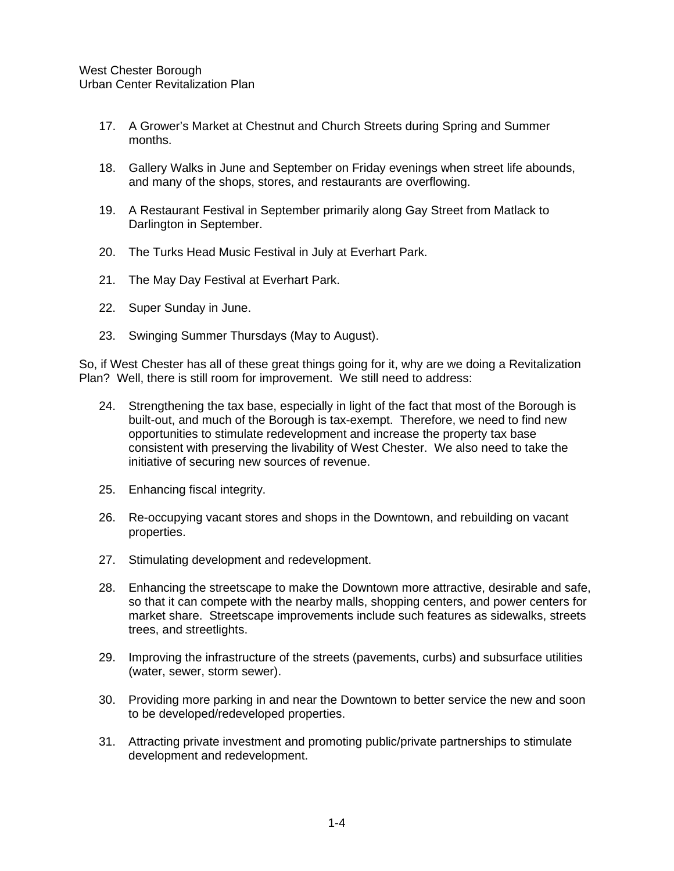- 17. A Grower's Market at Chestnut and Church Streets during Spring and Summer months.
- 18. Gallery Walks in June and September on Friday evenings when street life abounds, and many of the shops, stores, and restaurants are overflowing.
- 19. A Restaurant Festival in September primarily along Gay Street from Matlack to Darlington in September.
- 20. The Turks Head Music Festival in July at Everhart Park.
- 21. The May Day Festival at Everhart Park.
- 22. Super Sunday in June.
- 23. Swinging Summer Thursdays (May to August).

So, if West Chester has all of these great things going for it, why are we doing a Revitalization Plan? Well, there is still room for improvement. We still need to address:

- 24. Strengthening the tax base, especially in light of the fact that most of the Borough is built-out, and much of the Borough is tax-exempt. Therefore, we need to find new opportunities to stimulate redevelopment and increase the property tax base consistent with preserving the livability of West Chester. We also need to take the initiative of securing new sources of revenue.
- 25. Enhancing fiscal integrity.
- 26. Re-occupying vacant stores and shops in the Downtown, and rebuilding on vacant properties.
- 27. Stimulating development and redevelopment.
- 28. Enhancing the streetscape to make the Downtown more attractive, desirable and safe, so that it can compete with the nearby malls, shopping centers, and power centers for market share. Streetscape improvements include such features as sidewalks, streets trees, and streetlights.
- 29. Improving the infrastructure of the streets (pavements, curbs) and subsurface utilities (water, sewer, storm sewer).
- 30. Providing more parking in and near the Downtown to better service the new and soon to be developed/redeveloped properties.
- 31. Attracting private investment and promoting public/private partnerships to stimulate development and redevelopment.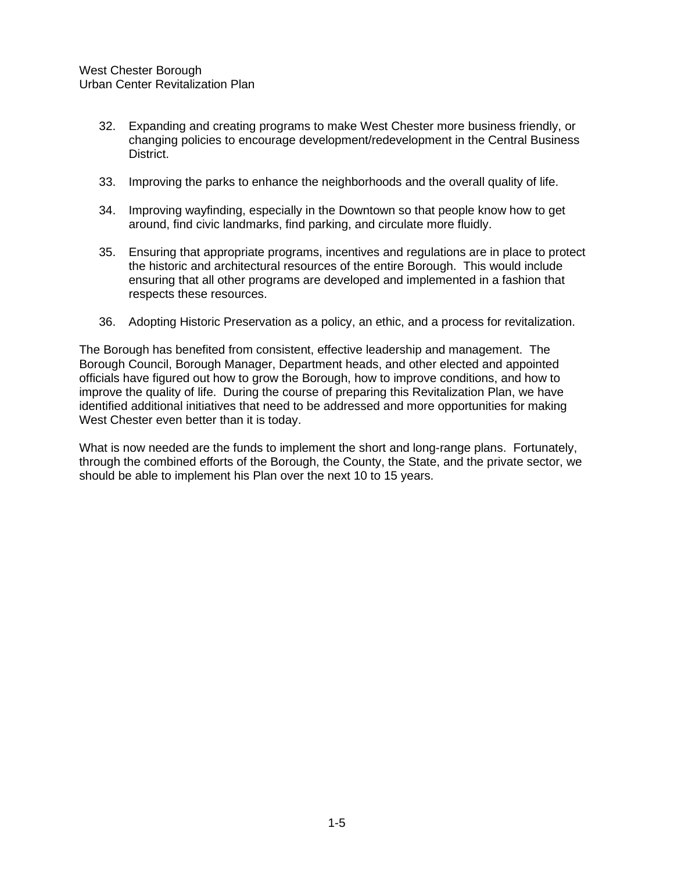- 32. Expanding and creating programs to make West Chester more business friendly, or changing policies to encourage development/redevelopment in the Central Business District.
- 33. Improving the parks to enhance the neighborhoods and the overall quality of life.
- 34. Improving wayfinding, especially in the Downtown so that people know how to get around, find civic landmarks, find parking, and circulate more fluidly.
- 35. Ensuring that appropriate programs, incentives and regulations are in place to protect the historic and architectural resources of the entire Borough. This would include ensuring that all other programs are developed and implemented in a fashion that respects these resources.
- 36. Adopting Historic Preservation as a policy, an ethic, and a process for revitalization.

The Borough has benefited from consistent, effective leadership and management. The Borough Council, Borough Manager, Department heads, and other elected and appointed officials have figured out how to grow the Borough, how to improve conditions, and how to improve the quality of life. During the course of preparing this Revitalization Plan, we have identified additional initiatives that need to be addressed and more opportunities for making West Chester even better than it is today.

What is now needed are the funds to implement the short and long-range plans. Fortunately, through the combined efforts of the Borough, the County, the State, and the private sector, we should be able to implement his Plan over the next 10 to 15 years.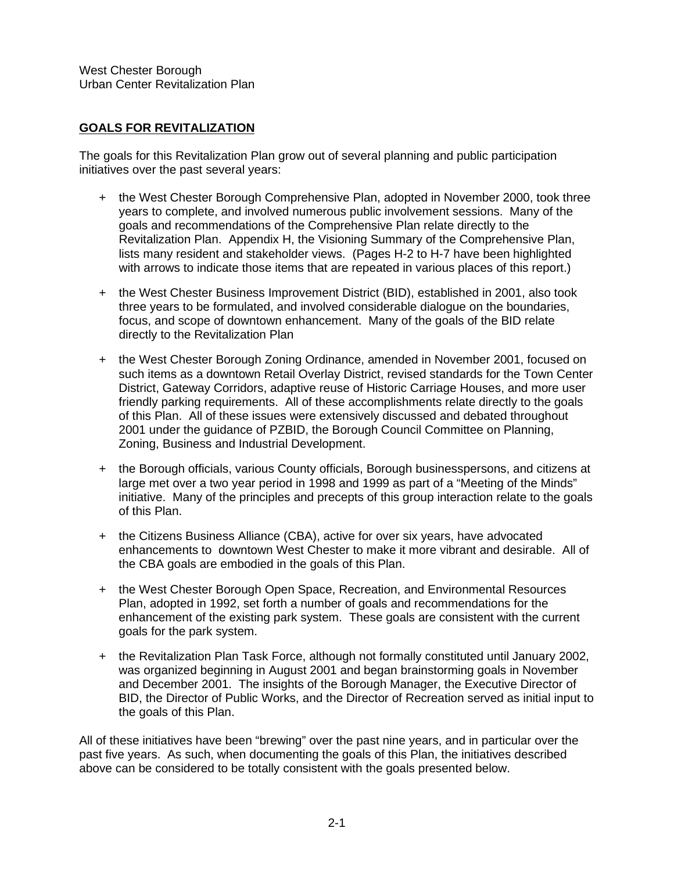# **GOALS FOR REVITALIZATION**

The goals for this Revitalization Plan grow out of several planning and public participation initiatives over the past several years:

- + the West Chester Borough Comprehensive Plan, adopted in November 2000, took three years to complete, and involved numerous public involvement sessions. Many of the goals and recommendations of the Comprehensive Plan relate directly to the Revitalization Plan. Appendix H, the Visioning Summary of the Comprehensive Plan, lists many resident and stakeholder views. (Pages H-2 to H-7 have been highlighted with arrows to indicate those items that are repeated in various places of this report.)
- + the West Chester Business Improvement District (BID), established in 2001, also took three years to be formulated, and involved considerable dialogue on the boundaries, focus, and scope of downtown enhancement. Many of the goals of the BID relate directly to the Revitalization Plan
- + the West Chester Borough Zoning Ordinance, amended in November 2001, focused on such items as a downtown Retail Overlay District, revised standards for the Town Center District, Gateway Corridors, adaptive reuse of Historic Carriage Houses, and more user friendly parking requirements. All of these accomplishments relate directly to the goals of this Plan. All of these issues were extensively discussed and debated throughout 2001 under the guidance of PZBID, the Borough Council Committee on Planning, Zoning, Business and Industrial Development.
- + the Borough officials, various County officials, Borough businesspersons, and citizens at large met over a two year period in 1998 and 1999 as part of a "Meeting of the Minds" initiative. Many of the principles and precepts of this group interaction relate to the goals of this Plan.
- + the Citizens Business Alliance (CBA), active for over six years, have advocated enhancements to downtown West Chester to make it more vibrant and desirable. All of the CBA goals are embodied in the goals of this Plan.
- + the West Chester Borough Open Space, Recreation, and Environmental Resources Plan, adopted in 1992, set forth a number of goals and recommendations for the enhancement of the existing park system. These goals are consistent with the current goals for the park system.
- + the Revitalization Plan Task Force, although not formally constituted until January 2002, was organized beginning in August 2001 and began brainstorming goals in November and December 2001. The insights of the Borough Manager, the Executive Director of BID, the Director of Public Works, and the Director of Recreation served as initial input to the goals of this Plan.

All of these initiatives have been "brewing" over the past nine years, and in particular over the past five years. As such, when documenting the goals of this Plan, the initiatives described above can be considered to be totally consistent with the goals presented below.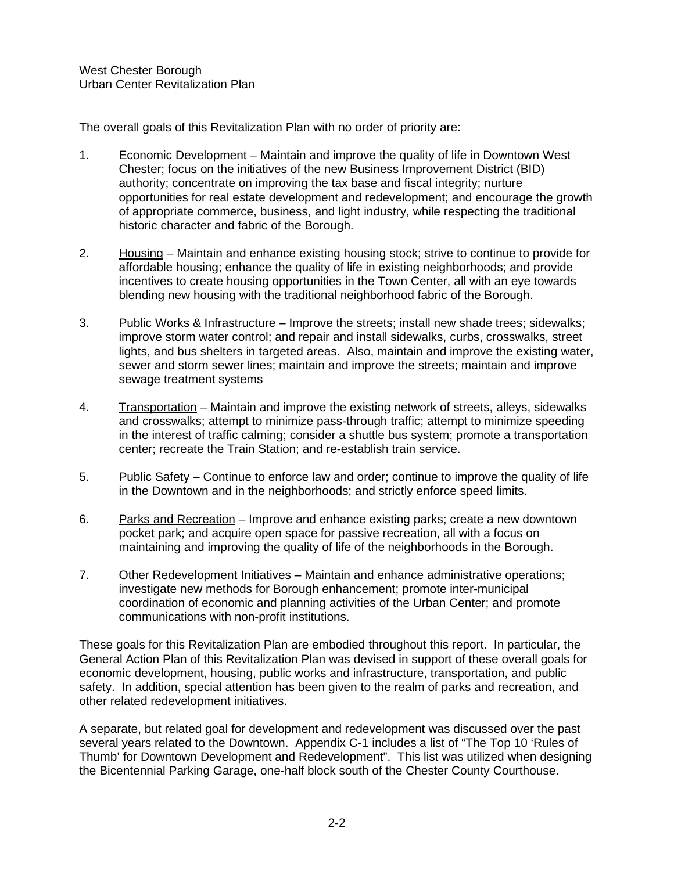The overall goals of this Revitalization Plan with no order of priority are:

- 1. Economic Development Maintain and improve the quality of life in Downtown West Chester; focus on the initiatives of the new Business Improvement District (BID) authority; concentrate on improving the tax base and fiscal integrity; nurture opportunities for real estate development and redevelopment; and encourage the growth of appropriate commerce, business, and light industry, while respecting the traditional historic character and fabric of the Borough.
- 2. Housing Maintain and enhance existing housing stock; strive to continue to provide for affordable housing; enhance the quality of life in existing neighborhoods; and provide incentives to create housing opportunities in the Town Center, all with an eye towards blending new housing with the traditional neighborhood fabric of the Borough.
- 3. Public Works & Infrastructure Improve the streets; install new shade trees; sidewalks; improve storm water control; and repair and install sidewalks, curbs, crosswalks, street lights, and bus shelters in targeted areas. Also, maintain and improve the existing water, sewer and storm sewer lines; maintain and improve the streets; maintain and improve sewage treatment systems
- 4. Transportation Maintain and improve the existing network of streets, alleys, sidewalks and crosswalks; attempt to minimize pass-through traffic; attempt to minimize speeding in the interest of traffic calming; consider a shuttle bus system; promote a transportation center; recreate the Train Station; and re-establish train service.
- 5. Public Safety Continue to enforce law and order; continue to improve the quality of life in the Downtown and in the neighborhoods; and strictly enforce speed limits.
- 6. Parks and Recreation Improve and enhance existing parks; create a new downtown pocket park; and acquire open space for passive recreation, all with a focus on maintaining and improving the quality of life of the neighborhoods in the Borough.
- 7. Other Redevelopment Initiatives Maintain and enhance administrative operations; investigate new methods for Borough enhancement; promote inter-municipal coordination of economic and planning activities of the Urban Center; and promote communications with non-profit institutions.

These goals for this Revitalization Plan are embodied throughout this report. In particular, the General Action Plan of this Revitalization Plan was devised in support of these overall goals for economic development, housing, public works and infrastructure, transportation, and public safety. In addition, special attention has been given to the realm of parks and recreation, and other related redevelopment initiatives.

A separate, but related goal for development and redevelopment was discussed over the past several years related to the Downtown. Appendix C-1 includes a list of "The Top 10 'Rules of Thumb' for Downtown Development and Redevelopment". This list was utilized when designing the Bicentennial Parking Garage, one-half block south of the Chester County Courthouse.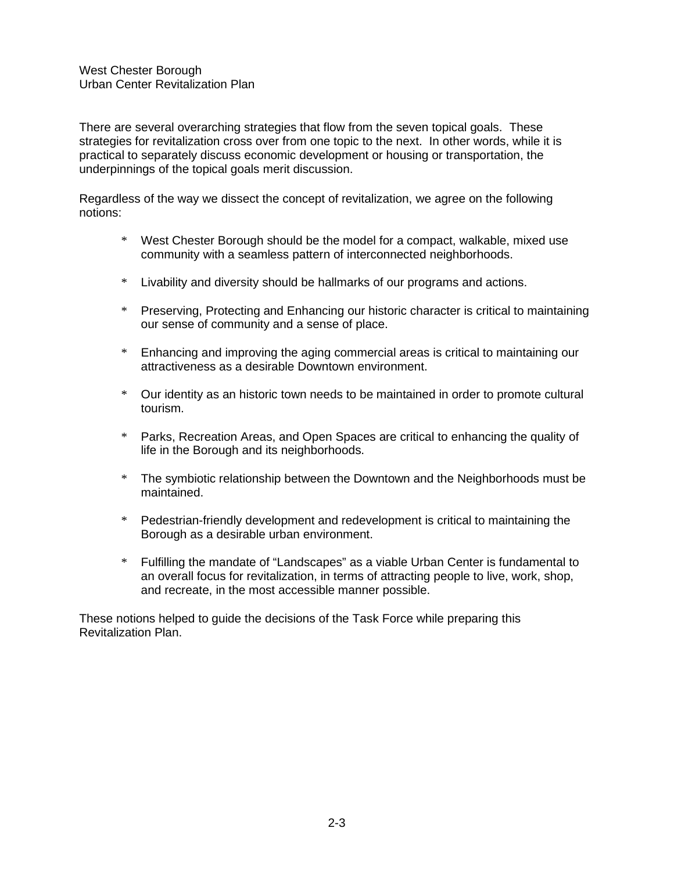There are several overarching strategies that flow from the seven topical goals. These strategies for revitalization cross over from one topic to the next. In other words, while it is practical to separately discuss economic development or housing or transportation, the underpinnings of the topical goals merit discussion.

Regardless of the way we dissect the concept of revitalization, we agree on the following notions:

- \* West Chester Borough should be the model for a compact, walkable, mixed use community with a seamless pattern of interconnected neighborhoods.
- \* Livability and diversity should be hallmarks of our programs and actions.
- \* Preserving, Protecting and Enhancing our historic character is critical to maintaining our sense of community and a sense of place.
- \* Enhancing and improving the aging commercial areas is critical to maintaining our attractiveness as a desirable Downtown environment.
- \* Our identity as an historic town needs to be maintained in order to promote cultural tourism.
- \* Parks, Recreation Areas, and Open Spaces are critical to enhancing the quality of life in the Borough and its neighborhoods.
- \* The symbiotic relationship between the Downtown and the Neighborhoods must be maintained.
- \* Pedestrian-friendly development and redevelopment is critical to maintaining the Borough as a desirable urban environment.
- \* Fulfilling the mandate of "Landscapes" as a viable Urban Center is fundamental to an overall focus for revitalization, in terms of attracting people to live, work, shop, and recreate, in the most accessible manner possible.

These notions helped to guide the decisions of the Task Force while preparing this Revitalization Plan.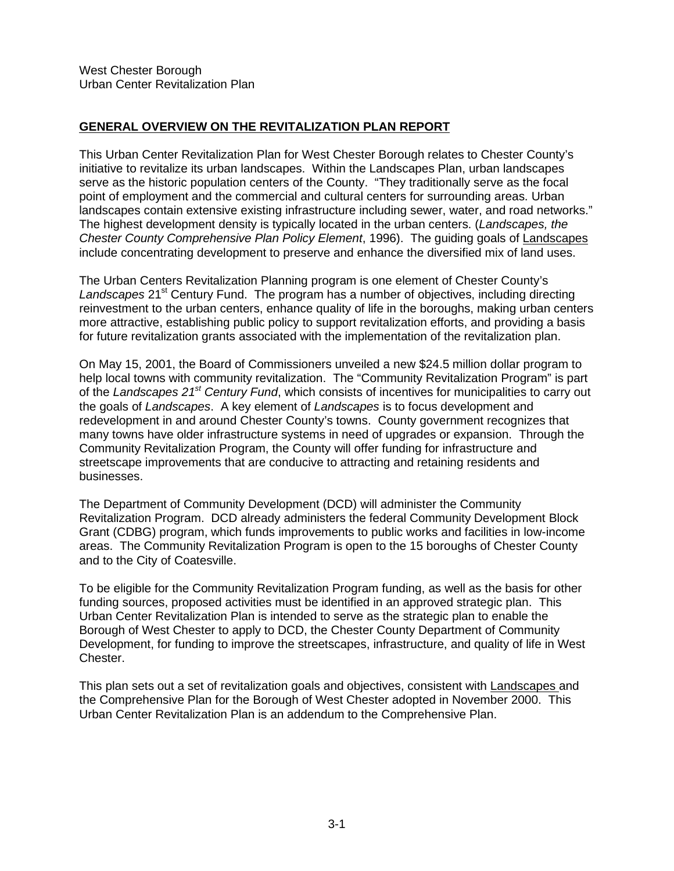# **GENERAL OVERVIEW ON THE REVITALIZATION PLAN REPORT**

This Urban Center Revitalization Plan for West Chester Borough relates to Chester County's initiative to revitalize its urban landscapes. Within the Landscapes Plan, urban landscapes serve as the historic population centers of the County. "They traditionally serve as the focal point of employment and the commercial and cultural centers for surrounding areas. Urban landscapes contain extensive existing infrastructure including sewer, water, and road networks." The highest development density is typically located in the urban centers. (*Landscapes, the Chester County Comprehensive Plan Policy Element*, 1996). The guiding goals of Landscapes include concentrating development to preserve and enhance the diversified mix of land uses.

The Urban Centers Revitalization Planning program is one element of Chester County's Landscapes 21<sup>st</sup> Century Fund. The program has a number of objectives, including directing reinvestment to the urban centers, enhance quality of life in the boroughs, making urban centers more attractive, establishing public policy to support revitalization efforts, and providing a basis for future revitalization grants associated with the implementation of the revitalization plan.

On May 15, 2001, the Board of Commissioners unveiled a new \$24.5 million dollar program to help local towns with community revitalization. The "Community Revitalization Program" is part of the *Landscapes 21st Century Fund*, which consists of incentives for municipalities to carry out the goals of *Landscapes*. A key element of *Landscapes* is to focus development and redevelopment in and around Chester County's towns. County government recognizes that many towns have older infrastructure systems in need of upgrades or expansion. Through the Community Revitalization Program, the County will offer funding for infrastructure and streetscape improvements that are conducive to attracting and retaining residents and businesses.

The Department of Community Development (DCD) will administer the Community Revitalization Program. DCD already administers the federal Community Development Block Grant (CDBG) program, which funds improvements to public works and facilities in low-income areas. The Community Revitalization Program is open to the 15 boroughs of Chester County and to the City of Coatesville.

To be eligible for the Community Revitalization Program funding, as well as the basis for other funding sources, proposed activities must be identified in an approved strategic plan. This Urban Center Revitalization Plan is intended to serve as the strategic plan to enable the Borough of West Chester to apply to DCD, the Chester County Department of Community Development, for funding to improve the streetscapes, infrastructure, and quality of life in West Chester.

This plan sets out a set of revitalization goals and objectives, consistent with Landscapes and the Comprehensive Plan for the Borough of West Chester adopted in November 2000. This Urban Center Revitalization Plan is an addendum to the Comprehensive Plan.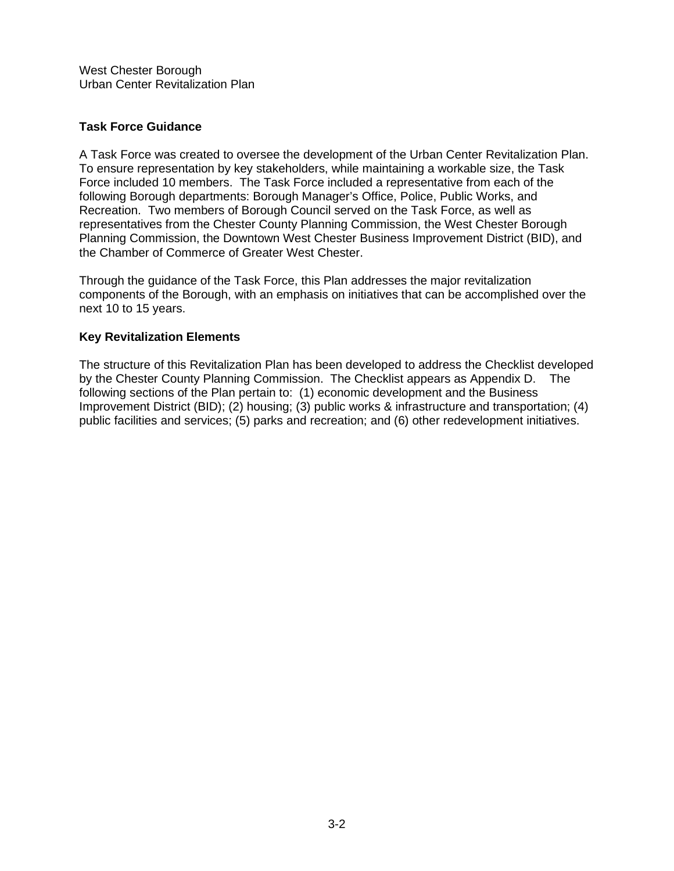### **Task Force Guidance**

A Task Force was created to oversee the development of the Urban Center Revitalization Plan. To ensure representation by key stakeholders, while maintaining a workable size, the Task Force included 10 members. The Task Force included a representative from each of the following Borough departments: Borough Manager's Office, Police, Public Works, and Recreation. Two members of Borough Council served on the Task Force, as well as representatives from the Chester County Planning Commission, the West Chester Borough Planning Commission, the Downtown West Chester Business Improvement District (BID), and the Chamber of Commerce of Greater West Chester.

Through the guidance of the Task Force, this Plan addresses the major revitalization components of the Borough, with an emphasis on initiatives that can be accomplished over the next 10 to 15 years.

### **Key Revitalization Elements**

The structure of this Revitalization Plan has been developed to address the Checklist developed by the Chester County Planning Commission. The Checklist appears as Appendix D. The following sections of the Plan pertain to: (1) economic development and the Business Improvement District (BID); (2) housing; (3) public works & infrastructure and transportation; (4) public facilities and services; (5) parks and recreation; and (6) other redevelopment initiatives.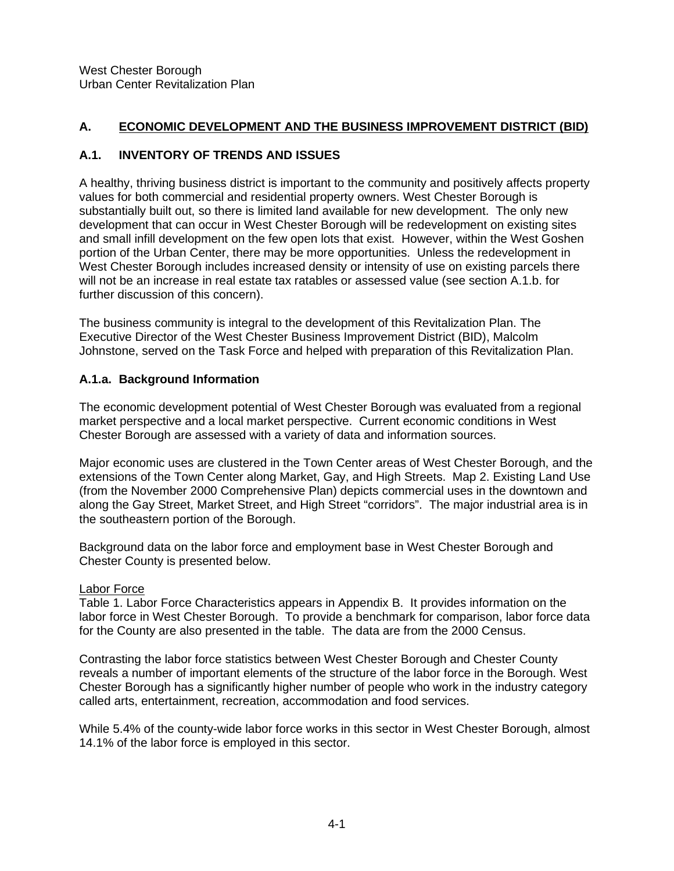# **A. ECONOMIC DEVELOPMENT AND THE BUSINESS IMPROVEMENT DISTRICT (BID)**

# **A.1. INVENTORY OF TRENDS AND ISSUES**

A healthy, thriving business district is important to the community and positively affects property values for both commercial and residential property owners. West Chester Borough is substantially built out, so there is limited land available for new development. The only new development that can occur in West Chester Borough will be redevelopment on existing sites and small infill development on the few open lots that exist. However, within the West Goshen portion of the Urban Center, there may be more opportunities. Unless the redevelopment in West Chester Borough includes increased density or intensity of use on existing parcels there will not be an increase in real estate tax ratables or assessed value (see section A.1.b. for further discussion of this concern).

The business community is integral to the development of this Revitalization Plan. The Executive Director of the West Chester Business Improvement District (BID), Malcolm Johnstone, served on the Task Force and helped with preparation of this Revitalization Plan.

# **A.1.a. Background Information**

The economic development potential of West Chester Borough was evaluated from a regional market perspective and a local market perspective. Current economic conditions in West Chester Borough are assessed with a variety of data and information sources.

Major economic uses are clustered in the Town Center areas of West Chester Borough, and the extensions of the Town Center along Market, Gay, and High Streets. Map 2. Existing Land Use (from the November 2000 Comprehensive Plan) depicts commercial uses in the downtown and along the Gay Street, Market Street, and High Street "corridors". The major industrial area is in the southeastern portion of the Borough.

Background data on the labor force and employment base in West Chester Borough and Chester County is presented below.

# Labor Force

Table 1. Labor Force Characteristics appears in Appendix B. It provides information on the labor force in West Chester Borough. To provide a benchmark for comparison, labor force data for the County are also presented in the table. The data are from the 2000 Census.

Contrasting the labor force statistics between West Chester Borough and Chester County reveals a number of important elements of the structure of the labor force in the Borough. West Chester Borough has a significantly higher number of people who work in the industry category called arts, entertainment, recreation, accommodation and food services.

While 5.4% of the county-wide labor force works in this sector in West Chester Borough, almost 14.1% of the labor force is employed in this sector.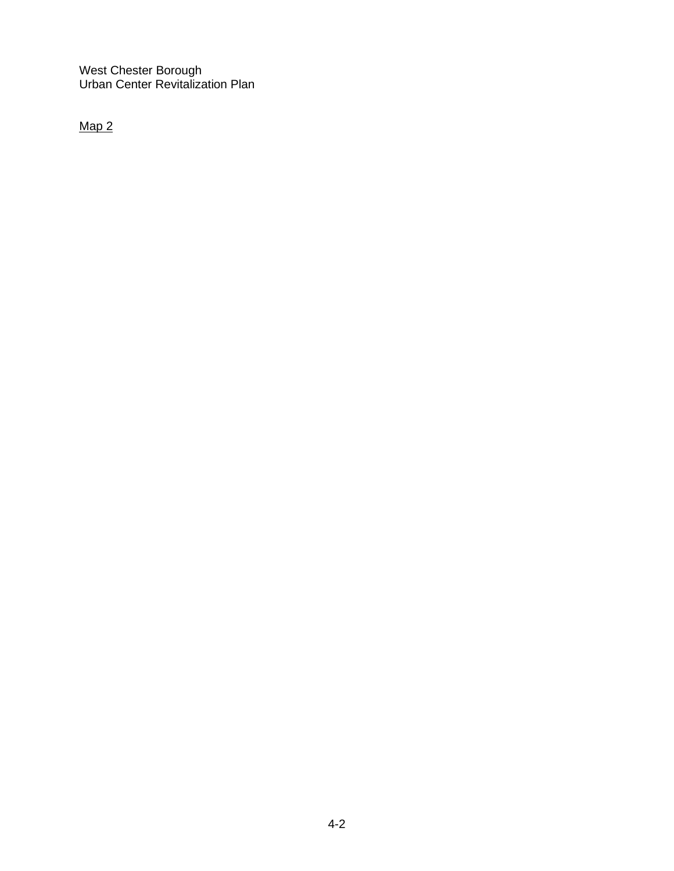Map 2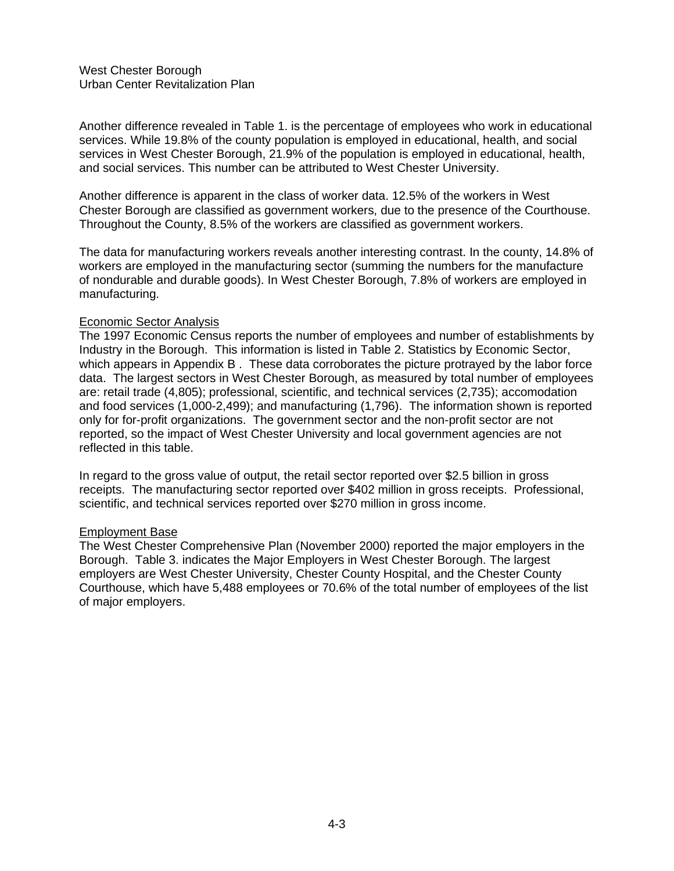Another difference revealed in Table 1. is the percentage of employees who work in educational services. While 19.8% of the county population is employed in educational, health, and social services in West Chester Borough, 21.9% of the population is employed in educational, health, and social services. This number can be attributed to West Chester University.

Another difference is apparent in the class of worker data. 12.5% of the workers in West Chester Borough are classified as government workers, due to the presence of the Courthouse. Throughout the County, 8.5% of the workers are classified as government workers.

The data for manufacturing workers reveals another interesting contrast. In the county, 14.8% of workers are employed in the manufacturing sector (summing the numbers for the manufacture of nondurable and durable goods). In West Chester Borough, 7.8% of workers are employed in manufacturing.

#### Economic Sector Analysis

The 1997 Economic Census reports the number of employees and number of establishments by Industry in the Borough. This information is listed in Table 2. Statistics by Economic Sector, which appears in Appendix B. These data corroborates the picture protrayed by the labor force data. The largest sectors in West Chester Borough, as measured by total number of employees are: retail trade (4,805); professional, scientific, and technical services (2,735); accomodation and food services (1,000-2,499); and manufacturing (1,796). The information shown is reported only for for-profit organizations. The government sector and the non-profit sector are not reported, so the impact of West Chester University and local government agencies are not reflected in this table.

In regard to the gross value of output, the retail sector reported over \$2.5 billion in gross receipts. The manufacturing sector reported over \$402 million in gross receipts. Professional, scientific, and technical services reported over \$270 million in gross income.

#### Employment Base

The West Chester Comprehensive Plan (November 2000) reported the major employers in the Borough. Table 3. indicates the Major Employers in West Chester Borough. The largest employers are West Chester University, Chester County Hospital, and the Chester County Courthouse, which have 5,488 employees or 70.6% of the total number of employees of the list of major employers.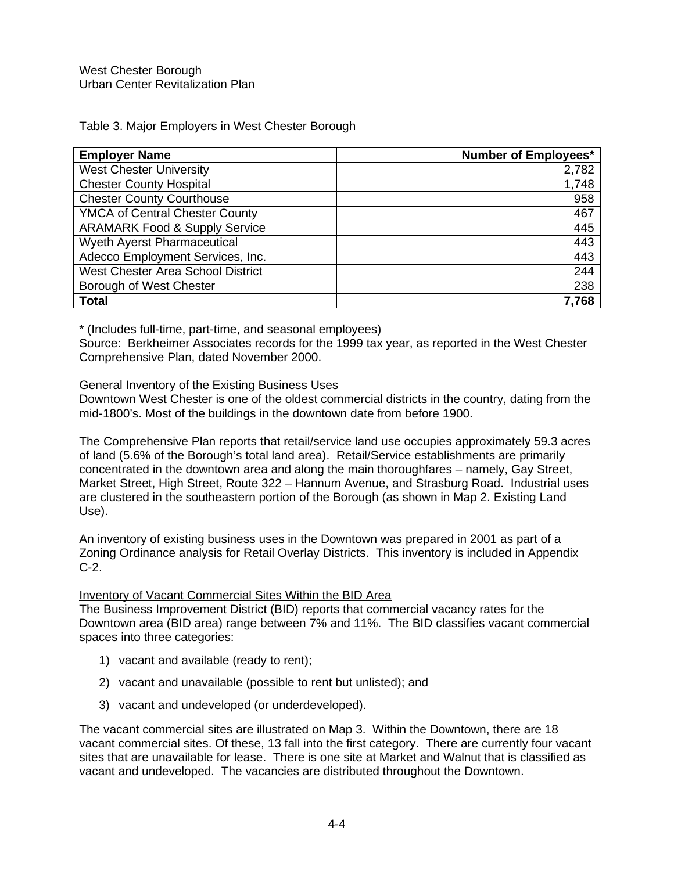# Table 3. Major Employers in West Chester Borough

| <b>Employer Name</b>                     | <b>Number of Employees*</b> |
|------------------------------------------|-----------------------------|
| <b>West Chester University</b>           | 2,782                       |
| <b>Chester County Hospital</b>           | 1,748                       |
| <b>Chester County Courthouse</b>         | 958                         |
| <b>YMCA of Central Chester County</b>    | 467                         |
| <b>ARAMARK Food &amp; Supply Service</b> | 445                         |
| <b>Wyeth Ayerst Pharmaceutical</b>       | 443                         |
| Adecco Employment Services, Inc.         | 443                         |
| West Chester Area School District        | 244                         |
| Borough of West Chester                  | 238                         |
| <b>Total</b>                             | 7,768                       |

\* (Includes full-time, part-time, and seasonal employees)

Source: Berkheimer Associates records for the 1999 tax year, as reported in the West Chester Comprehensive Plan, dated November 2000.

### General Inventory of the Existing Business Uses

Downtown West Chester is one of the oldest commercial districts in the country, dating from the mid-1800's. Most of the buildings in the downtown date from before 1900.

The Comprehensive Plan reports that retail/service land use occupies approximately 59.3 acres of land (5.6% of the Borough's total land area). Retail/Service establishments are primarily concentrated in the downtown area and along the main thoroughfares – namely, Gay Street, Market Street, High Street, Route 322 – Hannum Avenue, and Strasburg Road. Industrial uses are clustered in the southeastern portion of the Borough (as shown in Map 2. Existing Land Use).

An inventory of existing business uses in the Downtown was prepared in 2001 as part of a Zoning Ordinance analysis for Retail Overlay Districts. This inventory is included in Appendix C-2.

# Inventory of Vacant Commercial Sites Within the BID Area

The Business Improvement District (BID) reports that commercial vacancy rates for the Downtown area (BID area) range between 7% and 11%. The BID classifies vacant commercial spaces into three categories:

- 1) vacant and available (ready to rent);
- 2) vacant and unavailable (possible to rent but unlisted); and
- 3) vacant and undeveloped (or underdeveloped).

The vacant commercial sites are illustrated on Map 3. Within the Downtown, there are 18 vacant commercial sites. Of these, 13 fall into the first category. There are currently four vacant sites that are unavailable for lease. There is one site at Market and Walnut that is classified as vacant and undeveloped. The vacancies are distributed throughout the Downtown.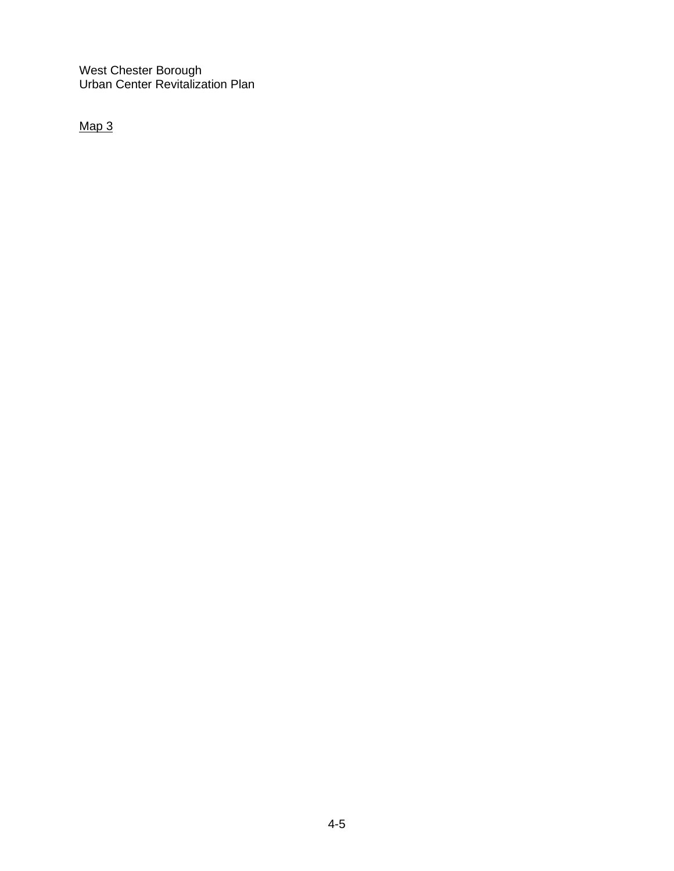Map 3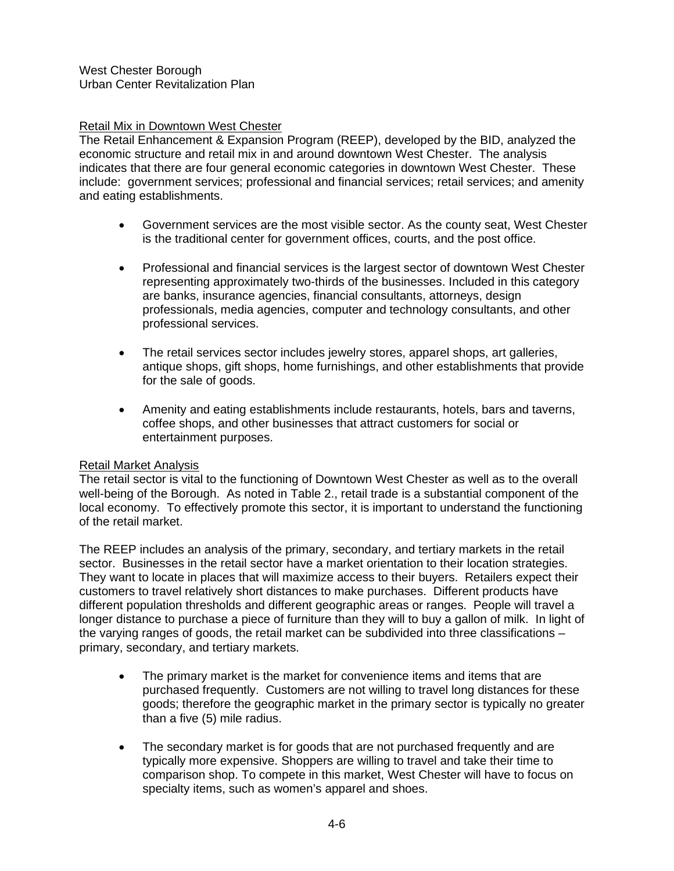### Retail Mix in Downtown West Chester

The Retail Enhancement & Expansion Program (REEP), developed by the BID, analyzed the economic structure and retail mix in and around downtown West Chester. The analysis indicates that there are four general economic categories in downtown West Chester. These include: government services; professional and financial services; retail services; and amenity and eating establishments.

- Government services are the most visible sector. As the county seat, West Chester is the traditional center for government offices, courts, and the post office.
- Professional and financial services is the largest sector of downtown West Chester representing approximately two-thirds of the businesses. Included in this category are banks, insurance agencies, financial consultants, attorneys, design professionals, media agencies, computer and technology consultants, and other professional services.
- The retail services sector includes jewelry stores, apparel shops, art galleries, antique shops, gift shops, home furnishings, and other establishments that provide for the sale of goods.
- Amenity and eating establishments include restaurants, hotels, bars and taverns, coffee shops, and other businesses that attract customers for social or entertainment purposes.

# Retail Market Analysis

The retail sector is vital to the functioning of Downtown West Chester as well as to the overall well-being of the Borough. As noted in Table 2., retail trade is a substantial component of the local economy. To effectively promote this sector, it is important to understand the functioning of the retail market.

The REEP includes an analysis of the primary, secondary, and tertiary markets in the retail sector. Businesses in the retail sector have a market orientation to their location strategies. They want to locate in places that will maximize access to their buyers. Retailers expect their customers to travel relatively short distances to make purchases. Different products have different population thresholds and different geographic areas or ranges. People will travel a longer distance to purchase a piece of furniture than they will to buy a gallon of milk. In light of the varying ranges of goods, the retail market can be subdivided into three classifications – primary, secondary, and tertiary markets.

- The primary market is the market for convenience items and items that are purchased frequently. Customers are not willing to travel long distances for these goods; therefore the geographic market in the primary sector is typically no greater than a five (5) mile radius.
- The secondary market is for goods that are not purchased frequently and are typically more expensive. Shoppers are willing to travel and take their time to comparison shop. To compete in this market, West Chester will have to focus on specialty items, such as women's apparel and shoes.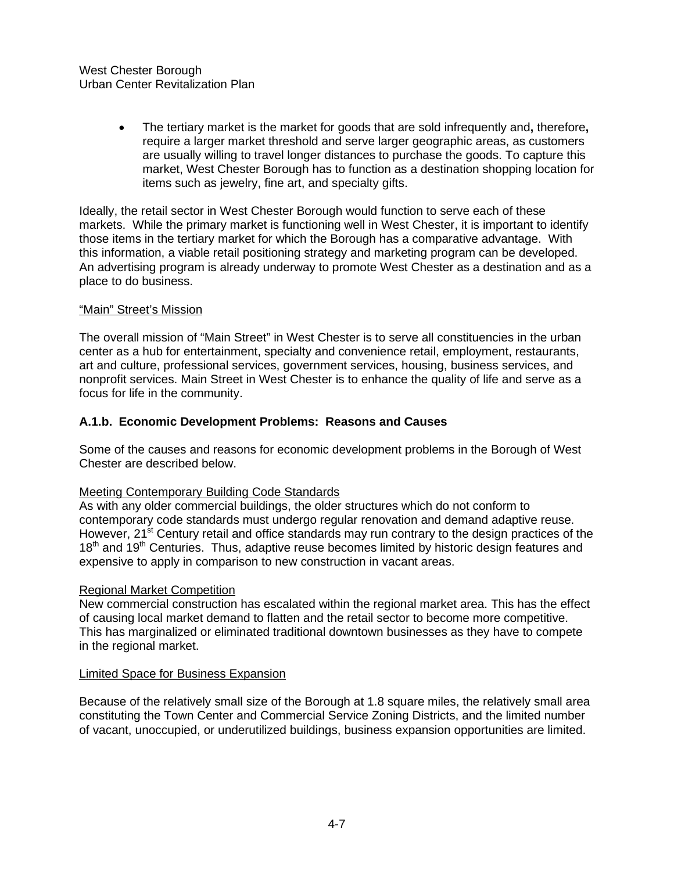• The tertiary market is the market for goods that are sold infrequently and**,** therefore**,** require a larger market threshold and serve larger geographic areas, as customers are usually willing to travel longer distances to purchase the goods. To capture this market, West Chester Borough has to function as a destination shopping location for items such as jewelry, fine art, and specialty gifts.

Ideally, the retail sector in West Chester Borough would function to serve each of these markets. While the primary market is functioning well in West Chester, it is important to identify those items in the tertiary market for which the Borough has a comparative advantage. With this information, a viable retail positioning strategy and marketing program can be developed. An advertising program is already underway to promote West Chester as a destination and as a place to do business.

# "Main" Street's Mission

The overall mission of "Main Street" in West Chester is to serve all constituencies in the urban center as a hub for entertainment, specialty and convenience retail, employment, restaurants, art and culture, professional services, government services, housing, business services, and nonprofit services. Main Street in West Chester is to enhance the quality of life and serve as a focus for life in the community.

# **A.1.b. Economic Development Problems: Reasons and Causes**

Some of the causes and reasons for economic development problems in the Borough of West Chester are described below.

# Meeting Contemporary Building Code Standards

As with any older commercial buildings, the older structures which do not conform to contemporary code standards must undergo regular renovation and demand adaptive reuse. However, 21<sup>st</sup> Century retail and office standards may run contrary to the design practices of the 18<sup>th</sup> and 19<sup>th</sup> Centuries. Thus, adaptive reuse becomes limited by historic design features and expensive to apply in comparison to new construction in vacant areas.

# Regional Market Competition

New commercial construction has escalated within the regional market area. This has the effect of causing local market demand to flatten and the retail sector to become more competitive. This has marginalized or eliminated traditional downtown businesses as they have to compete in the regional market.

#### Limited Space for Business Expansion

Because of the relatively small size of the Borough at 1.8 square miles, the relatively small area constituting the Town Center and Commercial Service Zoning Districts, and the limited number of vacant, unoccupied, or underutilized buildings, business expansion opportunities are limited.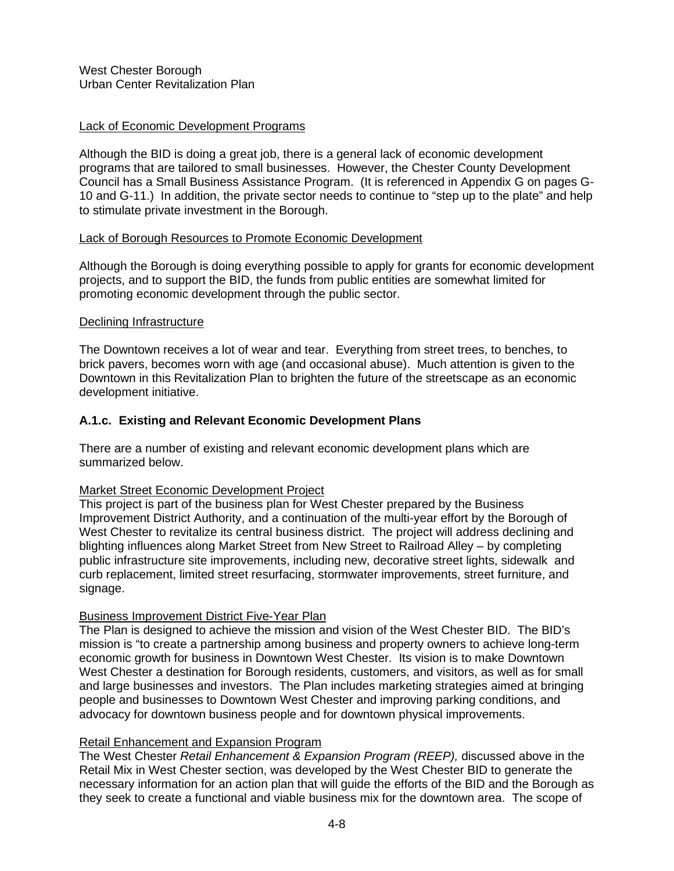# Lack of Economic Development Programs

Although the BID is doing a great job, there is a general lack of economic development programs that are tailored to small businesses. However, the Chester County Development Council has a Small Business Assistance Program. (It is referenced in Appendix G on pages G-10 and G-11.) In addition, the private sector needs to continue to "step up to the plate" and help to stimulate private investment in the Borough.

### Lack of Borough Resources to Promote Economic Development

Although the Borough is doing everything possible to apply for grants for economic development projects, and to support the BID, the funds from public entities are somewhat limited for promoting economic development through the public sector.

### Declining Infrastructure

The Downtown receives a lot of wear and tear. Everything from street trees, to benches, to brick pavers, becomes worn with age (and occasional abuse). Much attention is given to the Downtown in this Revitalization Plan to brighten the future of the streetscape as an economic development initiative.

# **A.1.c. Existing and Relevant Economic Development Plans**

There are a number of existing and relevant economic development plans which are summarized below.

#### Market Street Economic Development Project

This project is part of the business plan for West Chester prepared by the Business Improvement District Authority, and a continuation of the multi-year effort by the Borough of West Chester to revitalize its central business district. The project will address declining and blighting influences along Market Street from New Street to Railroad Alley – by completing public infrastructure site improvements, including new, decorative street lights, sidewalk and curb replacement, limited street resurfacing, stormwater improvements, street furniture, and signage.

#### Business Improvement District Five-Year Plan

The Plan is designed to achieve the mission and vision of the West Chester BID. The BID's mission is "to create a partnership among business and property owners to achieve long-term economic growth for business in Downtown West Chester. Its vision is to make Downtown West Chester a destination for Borough residents, customers, and visitors, as well as for small and large businesses and investors. The Plan includes marketing strategies aimed at bringing people and businesses to Downtown West Chester and improving parking conditions, and advocacy for downtown business people and for downtown physical improvements.

#### Retail Enhancement and Expansion Program

The West Chester *Retail Enhancement & Expansion Program (REEP),* discussed above in the Retail Mix in West Chester section, was developed by the West Chester BID to generate the necessary information for an action plan that will guide the efforts of the BID and the Borough as they seek to create a functional and viable business mix for the downtown area. The scope of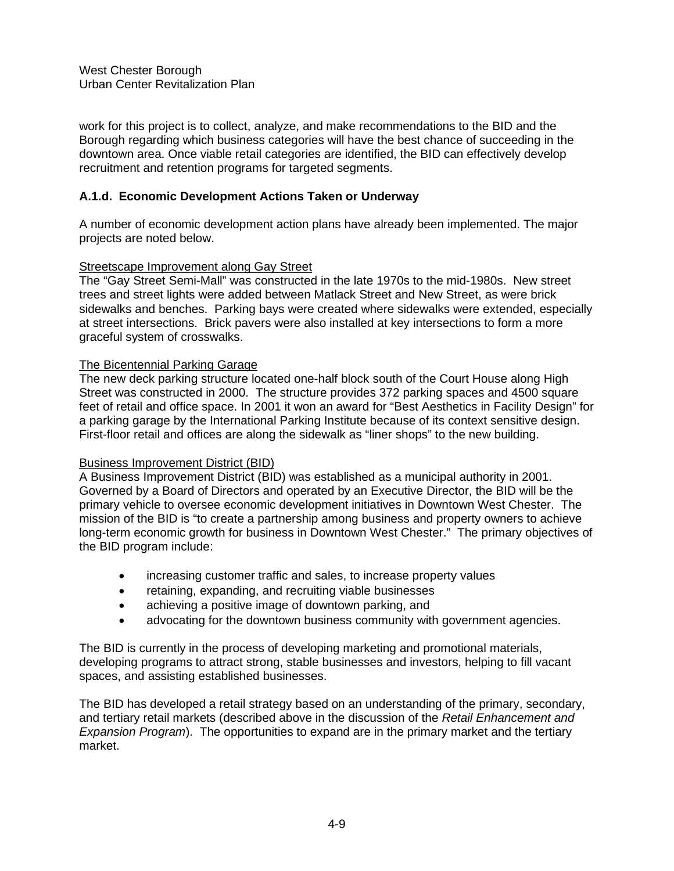work for this project is to collect, analyze, and make recommendations to the BID and the Borough regarding which business categories will have the best chance of succeeding in the downtown area. Once viable retail categories are identified, the BID can effectively develop recruitment and retention programs for targeted segments.

# **A.1.d. Economic Development Actions Taken or Underway**

A number of economic development action plans have already been implemented. The major projects are noted below.

### Streetscape Improvement along Gay Street

The "Gay Street Semi-Mall" was constructed in the late 1970s to the mid-1980s. New street trees and street lights were added between Matlack Street and New Street, as were brick sidewalks and benches. Parking bays were created where sidewalks were extended, especially at street intersections. Brick pavers were also installed at key intersections to form a more graceful system of crosswalks.

### The Bicentennial Parking Garage

The new deck parking structure located one-half block south of the Court House along High Street was constructed in 2000. The structure provides 372 parking spaces and 4500 square feet of retail and office space. In 2001 it won an award for "Best Aesthetics in Facility Design" for a parking garage by the International Parking Institute because of its context sensitive design. First-floor retail and offices are along the sidewalk as "liner shops" to the new building.

#### Business Improvement District (BID)

A Business Improvement District (BID) was established as a municipal authority in 2001. Governed by a Board of Directors and operated by an Executive Director, the BID will be the primary vehicle to oversee economic development initiatives in Downtown West Chester. The mission of the BID is "to create a partnership among business and property owners to achieve long-term economic growth for business in Downtown West Chester." The primary objectives of the BID program include:

- increasing customer traffic and sales, to increase property values
- retaining, expanding, and recruiting viable businesses
- achieving a positive image of downtown parking, and
- advocating for the downtown business community with government agencies.

The BID is currently in the process of developing marketing and promotional materials, developing programs to attract strong, stable businesses and investors, helping to fill vacant spaces, and assisting established businesses.

The BID has developed a retail strategy based on an understanding of the primary, secondary, and tertiary retail markets (described above in the discussion of the *Retail Enhancement and Expansion Program*). The opportunities to expand are in the primary market and the tertiary market.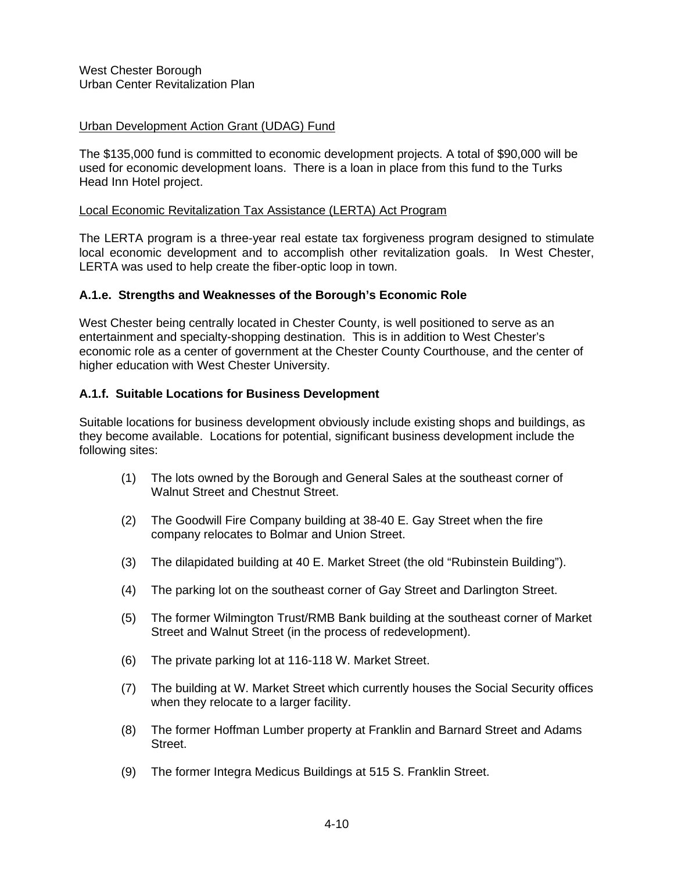### Urban Development Action Grant (UDAG) Fund

The \$135,000 fund is committed to economic development projects. A total of \$90,000 will be used for economic development loans. There is a loan in place from this fund to the Turks Head Inn Hotel project.

#### Local Economic Revitalization Tax Assistance (LERTA) Act Program

The LERTA program is a three-year real estate tax forgiveness program designed to stimulate local economic development and to accomplish other revitalization goals. In West Chester, LERTA was used to help create the fiber-optic loop in town.

### **A.1.e. Strengths and Weaknesses of the Borough's Economic Role**

West Chester being centrally located in Chester County, is well positioned to serve as an entertainment and specialty-shopping destination. This is in addition to West Chester's economic role as a center of government at the Chester County Courthouse, and the center of higher education with West Chester University.

### **A.1.f. Suitable Locations for Business Development**

Suitable locations for business development obviously include existing shops and buildings, as they become available. Locations for potential, significant business development include the following sites:

- (1) The lots owned by the Borough and General Sales at the southeast corner of Walnut Street and Chestnut Street.
- (2) The Goodwill Fire Company building at 38-40 E. Gay Street when the fire company relocates to Bolmar and Union Street.
- (3) The dilapidated building at 40 E. Market Street (the old "Rubinstein Building").
- (4) The parking lot on the southeast corner of Gay Street and Darlington Street.
- (5) The former Wilmington Trust/RMB Bank building at the southeast corner of Market Street and Walnut Street (in the process of redevelopment).
- (6) The private parking lot at 116-118 W. Market Street.
- (7) The building at W. Market Street which currently houses the Social Security offices when they relocate to a larger facility.
- (8) The former Hoffman Lumber property at Franklin and Barnard Street and Adams Street.
- (9) The former Integra Medicus Buildings at 515 S. Franklin Street.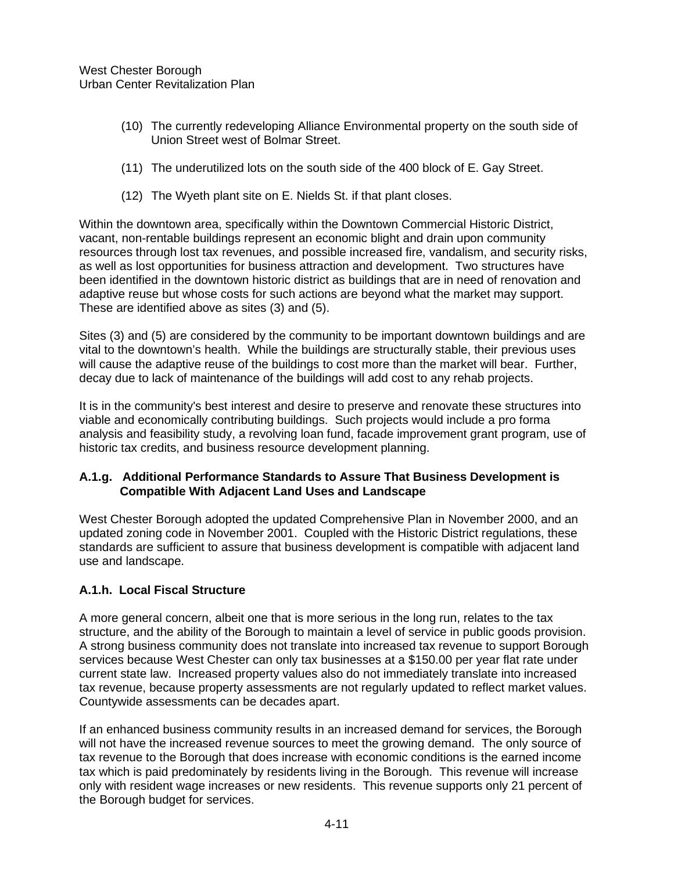- (10) The currently redeveloping Alliance Environmental property on the south side of Union Street west of Bolmar Street.
- (11) The underutilized lots on the south side of the 400 block of E. Gay Street.
- (12) The Wyeth plant site on E. Nields St. if that plant closes.

Within the downtown area, specifically within the Downtown Commercial Historic District, vacant, non-rentable buildings represent an economic blight and drain upon community resources through lost tax revenues, and possible increased fire, vandalism, and security risks, as well as lost opportunities for business attraction and development. Two structures have been identified in the downtown historic district as buildings that are in need of renovation and adaptive reuse but whose costs for such actions are beyond what the market may support. These are identified above as sites (3) and (5).

Sites (3) and (5) are considered by the community to be important downtown buildings and are vital to the downtown's health. While the buildings are structurally stable, their previous uses will cause the adaptive reuse of the buildings to cost more than the market will bear. Further, decay due to lack of maintenance of the buildings will add cost to any rehab projects.

It is in the community's best interest and desire to preserve and renovate these structures into viable and economically contributing buildings. Such projects would include a pro forma analysis and feasibility study, a revolving loan fund, facade improvement grant program, use of historic tax credits, and business resource development planning.

# **A.1.g. Additional Performance Standards to Assure That Business Development is Compatible With Adjacent Land Uses and Landscape**

West Chester Borough adopted the updated Comprehensive Plan in November 2000, and an updated zoning code in November 2001. Coupled with the Historic District regulations, these standards are sufficient to assure that business development is compatible with adjacent land use and landscape.

# **A.1.h. Local Fiscal Structure**

A more general concern, albeit one that is more serious in the long run, relates to the tax structure, and the ability of the Borough to maintain a level of service in public goods provision. A strong business community does not translate into increased tax revenue to support Borough services because West Chester can only tax businesses at a \$150.00 per year flat rate under current state law. Increased property values also do not immediately translate into increased tax revenue, because property assessments are not regularly updated to reflect market values. Countywide assessments can be decades apart.

If an enhanced business community results in an increased demand for services, the Borough will not have the increased revenue sources to meet the growing demand. The only source of tax revenue to the Borough that does increase with economic conditions is the earned income tax which is paid predominately by residents living in the Borough. This revenue will increase only with resident wage increases or new residents. This revenue supports only 21 percent of the Borough budget for services.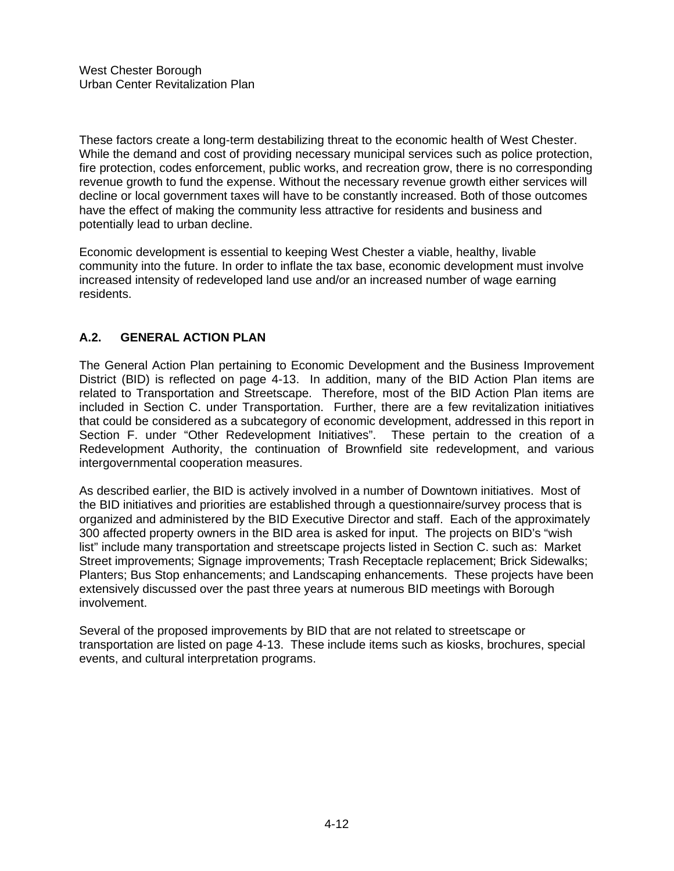These factors create a long-term destabilizing threat to the economic health of West Chester. While the demand and cost of providing necessary municipal services such as police protection, fire protection, codes enforcement, public works, and recreation grow, there is no corresponding revenue growth to fund the expense. Without the necessary revenue growth either services will decline or local government taxes will have to be constantly increased. Both of those outcomes have the effect of making the community less attractive for residents and business and potentially lead to urban decline.

Economic development is essential to keeping West Chester a viable, healthy, livable community into the future. In order to inflate the tax base, economic development must involve increased intensity of redeveloped land use and/or an increased number of wage earning residents.

# **A.2. GENERAL ACTION PLAN**

The General Action Plan pertaining to Economic Development and the Business Improvement District (BID) is reflected on page 4-13. In addition, many of the BID Action Plan items are related to Transportation and Streetscape. Therefore, most of the BID Action Plan items are included in Section C. under Transportation. Further, there are a few revitalization initiatives that could be considered as a subcategory of economic development, addressed in this report in Section F. under "Other Redevelopment Initiatives". These pertain to the creation of a Redevelopment Authority, the continuation of Brownfield site redevelopment, and various intergovernmental cooperation measures.

As described earlier, the BID is actively involved in a number of Downtown initiatives. Most of the BID initiatives and priorities are established through a questionnaire/survey process that is organized and administered by the BID Executive Director and staff. Each of the approximately 300 affected property owners in the BID area is asked for input. The projects on BID's "wish list" include many transportation and streetscape projects listed in Section C. such as: Market Street improvements; Signage improvements; Trash Receptacle replacement; Brick Sidewalks; Planters; Bus Stop enhancements; and Landscaping enhancements. These projects have been extensively discussed over the past three years at numerous BID meetings with Borough involvement.

Several of the proposed improvements by BID that are not related to streetscape or transportation are listed on page 4-13. These include items such as kiosks, brochures, special events, and cultural interpretation programs.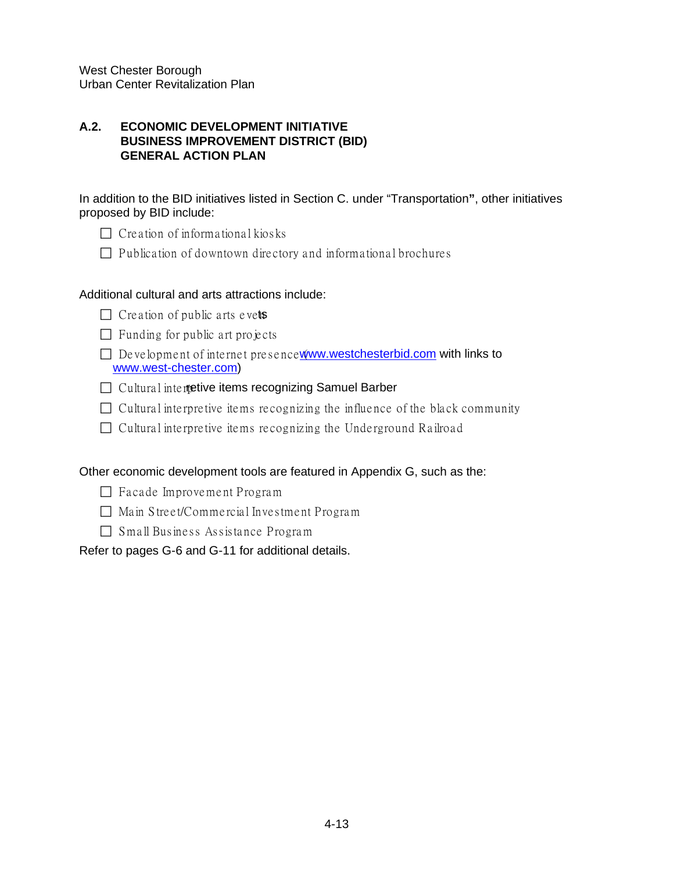# **A.2. ECONOMIC DEVELOPMENT INITIATIVE BUSINESS IMPROVEMENT DISTRICT (BID) GENERAL ACTION PLAN**

In addition to the BID initiatives listed in Section C. under "Transportation**"**, other initiatives proposed by BID include:

- $\Box$  Creation of informational kios ks
- $\Box$  Publication of downtown directory and informational brochures

# Additional cultural and arts attractions include:

- $\Box$  Creation of public arts evets
- $\Box$  Funding for public art projects
- $\Box$  De velopment of internet presence  $\sqrt{\phantom{a}}$  [www.westchesterbid.com](http://www.westchesterbid.com/) with links to [www.west-chester.com\)](http://www.west-chester.com/)
- $\Box$  Cultural interitive items recognizing Samuel Barber
- $\Box$  Cultural interpretive items recognizing the influence of the black community
- $\Box$  Cultural interpretive items recognizing the Underground Railroad

# Other economic development tools are featured in Appendix G, such as the:

- $\Box$  Facade Improvement Program
- $\Box$  Main Street/Commercial Investment Program
- $\Box$  Small Business Assistance Program

# Refer to pages G-6 and G-11 for additional details.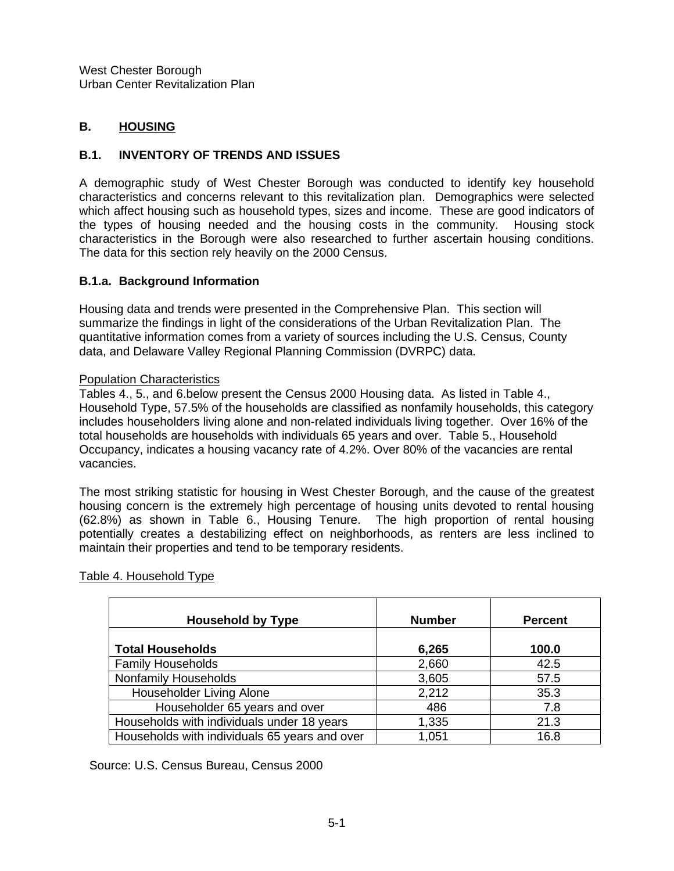# **B. HOUSING**

# **B.1. INVENTORY OF TRENDS AND ISSUES**

A demographic study of West Chester Borough was conducted to identify key household characteristics and concerns relevant to this revitalization plan. Demographics were selected which affect housing such as household types, sizes and income. These are good indicators of the types of housing needed and the housing costs in the community. Housing stock characteristics in the Borough were also researched to further ascertain housing conditions. The data for this section rely heavily on the 2000 Census.

# **B.1.a. Background Information**

Housing data and trends were presented in the Comprehensive Plan. This section will summarize the findings in light of the considerations of the Urban Revitalization Plan. The quantitative information comes from a variety of sources including the U.S. Census, County data, and Delaware Valley Regional Planning Commission (DVRPC) data.

### Population Characteristics

Tables 4., 5., and 6.below present the Census 2000 Housing data. As listed in Table 4., Household Type, 57.5% of the households are classified as nonfamily households, this category includes householders living alone and non-related individuals living together. Over 16% of the total households are households with individuals 65 years and over. Table 5., Household Occupancy, indicates a housing vacancy rate of 4.2%. Over 80% of the vacancies are rental vacancies.

The most striking statistic for housing in West Chester Borough, and the cause of the greatest housing concern is the extremely high percentage of housing units devoted to rental housing (62.8%) as shown in Table 6., Housing Tenure. The high proportion of rental housing potentially creates a destabilizing effect on neighborhoods, as renters are less inclined to maintain their properties and tend to be temporary residents.

| <b>Household by Type</b>                      | <b>Number</b> | <b>Percent</b> |
|-----------------------------------------------|---------------|----------------|
| <b>Total Households</b>                       | 6,265         | 100.0          |
| <b>Family Households</b>                      | 2,660         | 42.5           |
| Nonfamily Households                          | 3,605         | 57.5           |
| Householder Living Alone                      | 2,212         | 35.3           |
| Householder 65 years and over                 | 486           | 7.8            |
| Households with individuals under 18 years    | 1,335         | 21.3           |
| Households with individuals 65 years and over | 1,051         | 16.8           |

# Table 4. Household Type

Source: U.S. Census Bureau, Census 2000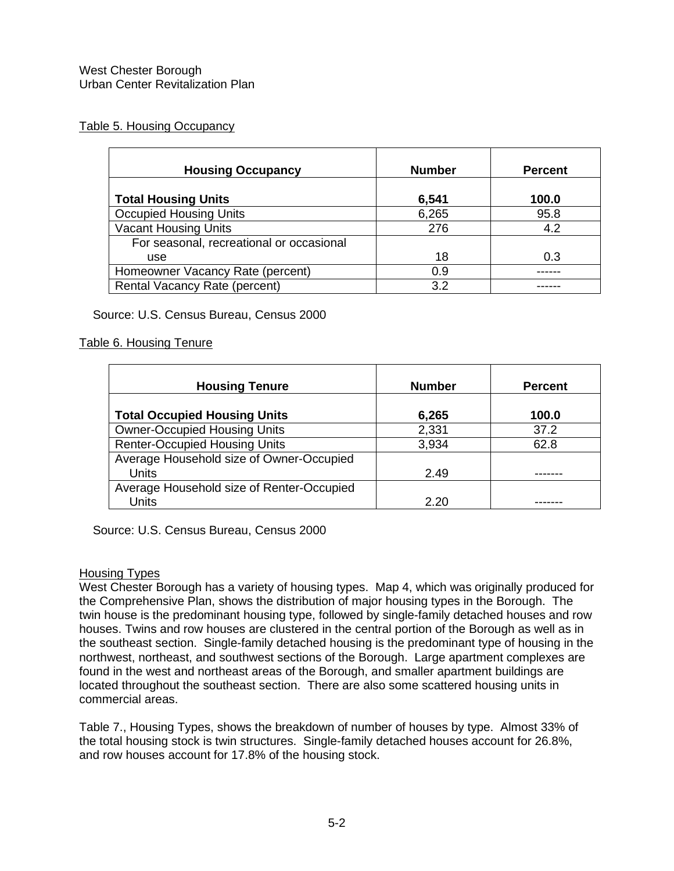# Table 5. Housing Occupancy

| <b>Housing Occupancy</b>                 | <b>Number</b> | <b>Percent</b> |
|------------------------------------------|---------------|----------------|
| <b>Total Housing Units</b>               | 6,541         | 100.0          |
| <b>Occupied Housing Units</b>            | 6,265         | 95.8           |
| <b>Vacant Housing Units</b>              | 276           | 4.2            |
| For seasonal, recreational or occasional |               |                |
| <b>use</b>                               | 18            | 0.3            |
| Homeowner Vacancy Rate (percent)         | 0.9           |                |
| Rental Vacancy Rate (percent)            | 3.2           |                |

Source: U.S. Census Bureau, Census 2000

# Table 6. Housing Tenure

| <b>Housing Tenure</b>                                    | <b>Number</b> | <b>Percent</b> |
|----------------------------------------------------------|---------------|----------------|
| <b>Total Occupied Housing Units</b>                      | 6,265         | 100.0          |
| <b>Owner-Occupied Housing Units</b>                      | 2,331         | 37.2           |
| <b>Renter-Occupied Housing Units</b>                     | 3,934         | 62.8           |
| Average Household size of Owner-Occupied<br><b>Units</b> | 2.49          |                |
| Average Household size of Renter-Occupied<br>Units       | 2.20          |                |

Source: U.S. Census Bureau, Census 2000

#### Housing Types

West Chester Borough has a variety of housing types. Map 4, which was originally produced for the Comprehensive Plan, shows the distribution of major housing types in the Borough. The twin house is the predominant housing type, followed by single-family detached houses and row houses. Twins and row houses are clustered in the central portion of the Borough as well as in the southeast section. Single-family detached housing is the predominant type of housing in the northwest, northeast, and southwest sections of the Borough. Large apartment complexes are found in the west and northeast areas of the Borough, and smaller apartment buildings are located throughout the southeast section. There are also some scattered housing units in commercial areas.

Table 7., Housing Types, shows the breakdown of number of houses by type. Almost 33% of the total housing stock is twin structures. Single-family detached houses account for 26.8%, and row houses account for 17.8% of the housing stock.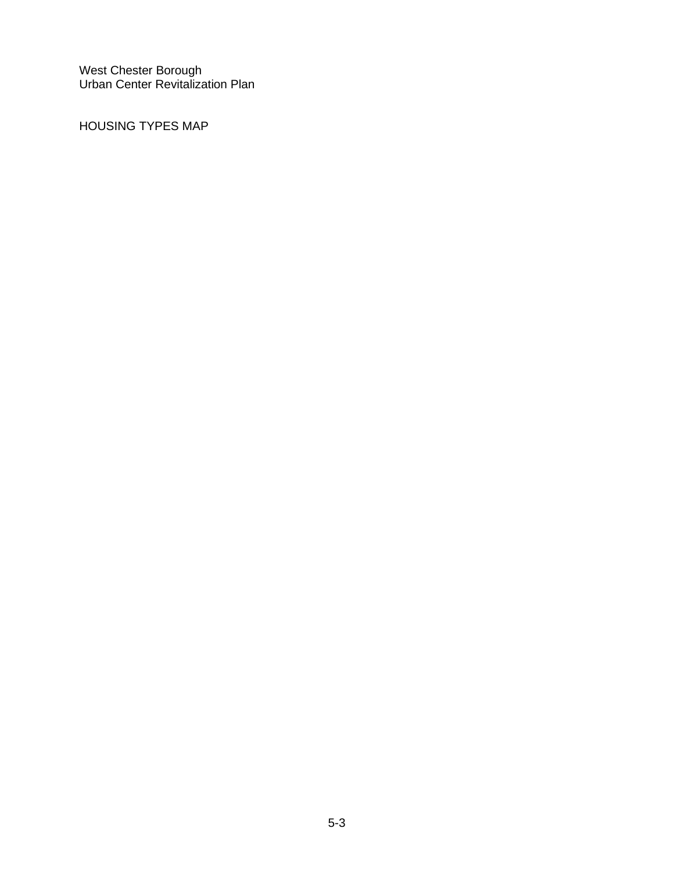HOUSING TYPES MAP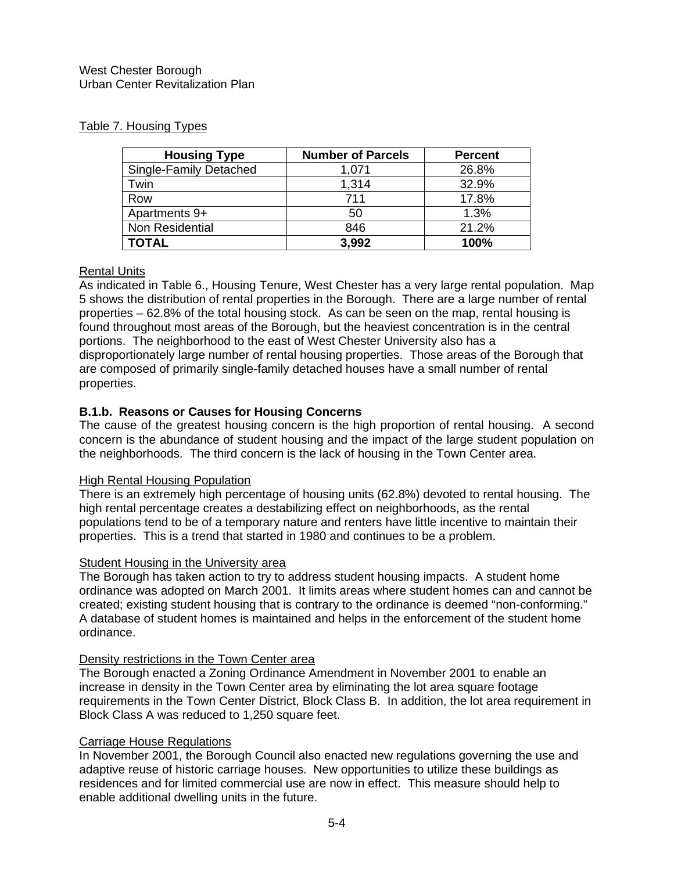# Table 7. Housing Types

| <b>Housing Type</b>    | <b>Number of Parcels</b> | <b>Percent</b> |
|------------------------|--------------------------|----------------|
| Single-Family Detached | 1,071                    | 26.8%          |
| Twin                   | 1,314                    | 32.9%          |
| Row                    | 711                      | 17.8%          |
| Apartments 9+          | 50                       | 1.3%           |
| Non Residential        | 846                      | 21.2%          |
| <b>TOTAL</b>           | 3,992                    | 100%           |

# Rental Units

As indicated in Table 6., Housing Tenure, West Chester has a very large rental population. Map 5 shows the distribution of rental properties in the Borough. There are a large number of rental properties – 62.8% of the total housing stock. As can be seen on the map, rental housing is found throughout most areas of the Borough, but the heaviest concentration is in the central portions. The neighborhood to the east of West Chester University also has a disproportionately large number of rental housing properties. Those areas of the Borough that are composed of primarily single-family detached houses have a small number of rental properties.

# **B.1.b. Reasons or Causes for Housing Concerns**

The cause of the greatest housing concern is the high proportion of rental housing. A second concern is the abundance of student housing and the impact of the large student population on the neighborhoods. The third concern is the lack of housing in the Town Center area.

# High Rental Housing Population

There is an extremely high percentage of housing units (62.8%) devoted to rental housing. The high rental percentage creates a destabilizing effect on neighborhoods, as the rental populations tend to be of a temporary nature and renters have little incentive to maintain their properties. This is a trend that started in 1980 and continues to be a problem.

# **Student Housing in the University area**

The Borough has taken action to try to address student housing impacts. A student home ordinance was adopted on March 2001. It limits areas where student homes can and cannot be created; existing student housing that is contrary to the ordinance is deemed "non-conforming." A database of student homes is maintained and helps in the enforcement of the student home ordinance.

#### Density restrictions in the Town Center area

The Borough enacted a Zoning Ordinance Amendment in November 2001 to enable an increase in density in the Town Center area by eliminating the lot area square footage requirements in the Town Center District, Block Class B. In addition, the lot area requirement in Block Class A was reduced to 1,250 square feet.

# Carriage House Regulations

In November 2001, the Borough Council also enacted new regulations governing the use and adaptive reuse of historic carriage houses. New opportunities to utilize these buildings as residences and for limited commercial use are now in effect. This measure should help to enable additional dwelling units in the future.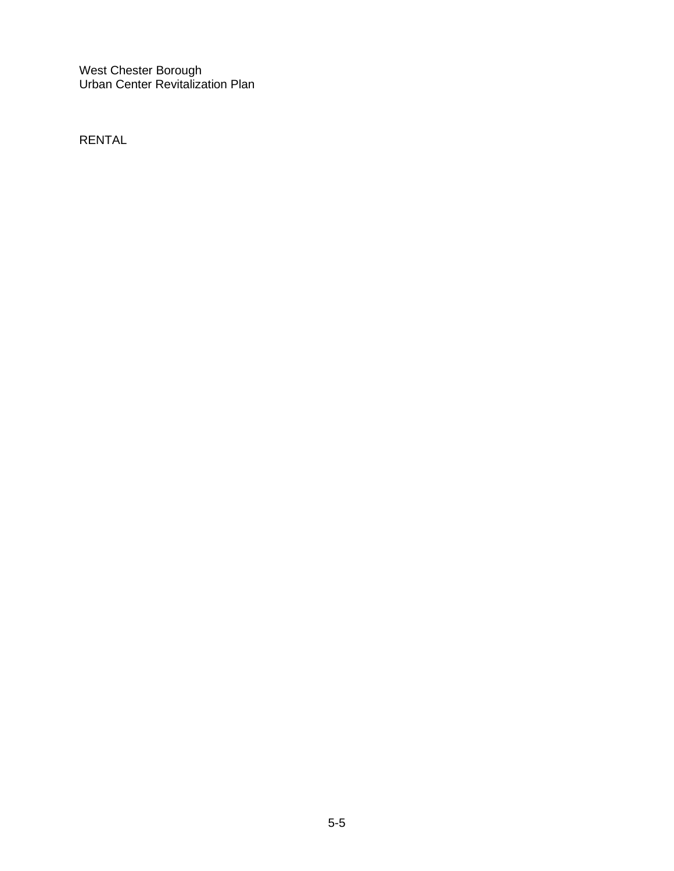RENTAL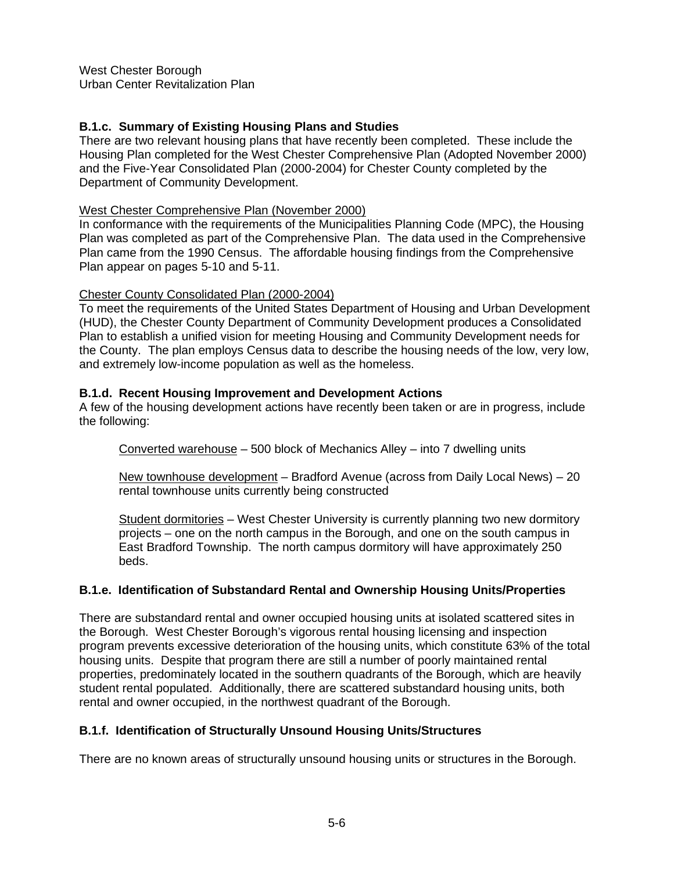# **B.1.c. Summary of Existing Housing Plans and Studies**

There are two relevant housing plans that have recently been completed. These include the Housing Plan completed for the West Chester Comprehensive Plan (Adopted November 2000) and the Five-Year Consolidated Plan (2000-2004) for Chester County completed by the Department of Community Development.

#### West Chester Comprehensive Plan (November 2000)

In conformance with the requirements of the Municipalities Planning Code (MPC), the Housing Plan was completed as part of the Comprehensive Plan. The data used in the Comprehensive Plan came from the 1990 Census. The affordable housing findings from the Comprehensive Plan appear on pages 5-10 and 5-11.

#### Chester County Consolidated Plan (2000-2004)

To meet the requirements of the United States Department of Housing and Urban Development (HUD), the Chester County Department of Community Development produces a Consolidated Plan to establish a unified vision for meeting Housing and Community Development needs for the County. The plan employs Census data to describe the housing needs of the low, very low, and extremely low-income population as well as the homeless.

## **B.1.d. Recent Housing Improvement and Development Actions**

A few of the housing development actions have recently been taken or are in progress, include the following:

Converted warehouse – 500 block of Mechanics Alley – into 7 dwelling units

New townhouse development – Bradford Avenue (across from Daily Local News) – 20 rental townhouse units currently being constructed

Student dormitories – West Chester University is currently planning two new dormitory projects – one on the north campus in the Borough, and one on the south campus in East Bradford Township. The north campus dormitory will have approximately 250 beds.

## **B.1.e. Identification of Substandard Rental and Ownership Housing Units/Properties**

There are substandard rental and owner occupied housing units at isolated scattered sites in the Borough. West Chester Borough's vigorous rental housing licensing and inspection program prevents excessive deterioration of the housing units, which constitute 63% of the total housing units. Despite that program there are still a number of poorly maintained rental properties, predominately located in the southern quadrants of the Borough, which are heavily student rental populated. Additionally, there are scattered substandard housing units, both rental and owner occupied, in the northwest quadrant of the Borough.

## **B.1.f. Identification of Structurally Unsound Housing Units/Structures**

There are no known areas of structurally unsound housing units or structures in the Borough.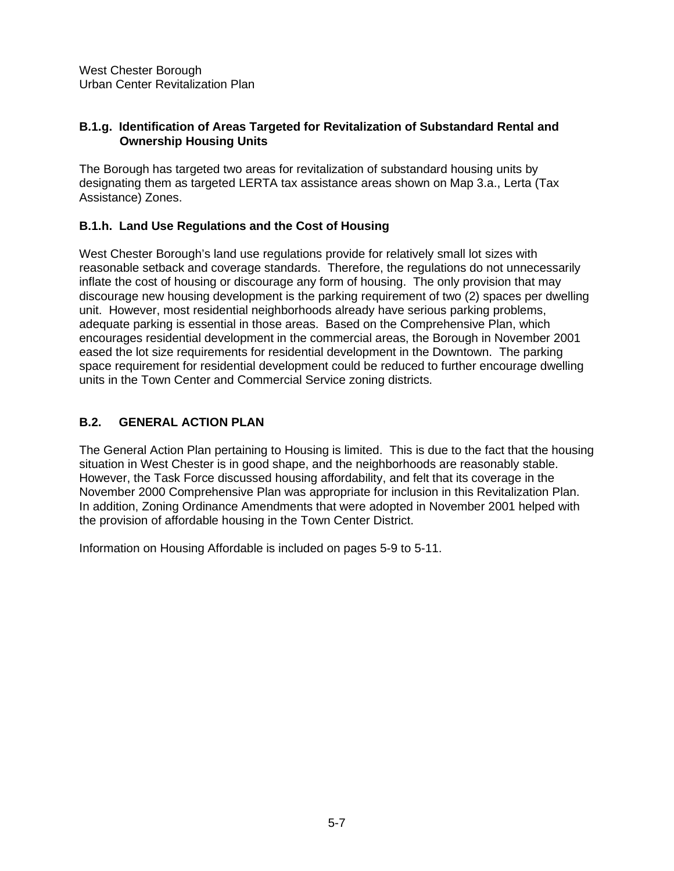## **B.1.g. Identification of Areas Targeted for Revitalization of Substandard Rental and Ownership Housing Units**

The Borough has targeted two areas for revitalization of substandard housing units by designating them as targeted LERTA tax assistance areas shown on Map 3.a., Lerta (Tax Assistance) Zones.

# **B.1.h. Land Use Regulations and the Cost of Housing**

West Chester Borough's land use regulations provide for relatively small lot sizes with reasonable setback and coverage standards. Therefore, the regulations do not unnecessarily inflate the cost of housing or discourage any form of housing. The only provision that may discourage new housing development is the parking requirement of two (2) spaces per dwelling unit. However, most residential neighborhoods already have serious parking problems, adequate parking is essential in those areas. Based on the Comprehensive Plan, which encourages residential development in the commercial areas, the Borough in November 2001 eased the lot size requirements for residential development in the Downtown. The parking space requirement for residential development could be reduced to further encourage dwelling units in the Town Center and Commercial Service zoning districts.

# **B.2. GENERAL ACTION PLAN**

The General Action Plan pertaining to Housing is limited. This is due to the fact that the housing situation in West Chester is in good shape, and the neighborhoods are reasonably stable. However, the Task Force discussed housing affordability, and felt that its coverage in the November 2000 Comprehensive Plan was appropriate for inclusion in this Revitalization Plan. In addition, Zoning Ordinance Amendments that were adopted in November 2001 helped with the provision of affordable housing in the Town Center District.

Information on Housing Affordable is included on pages 5-9 to 5-11.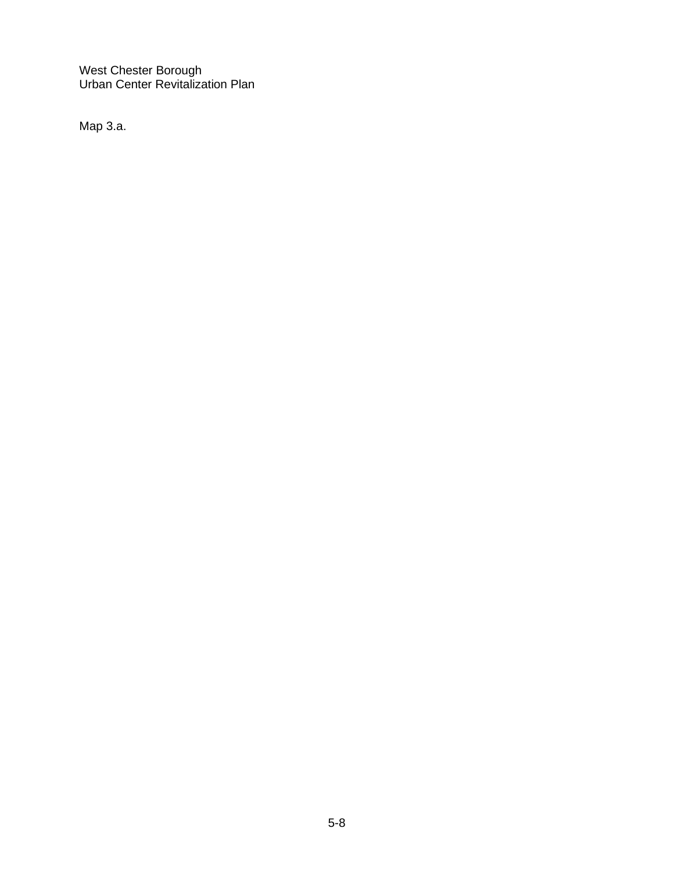Map 3.a.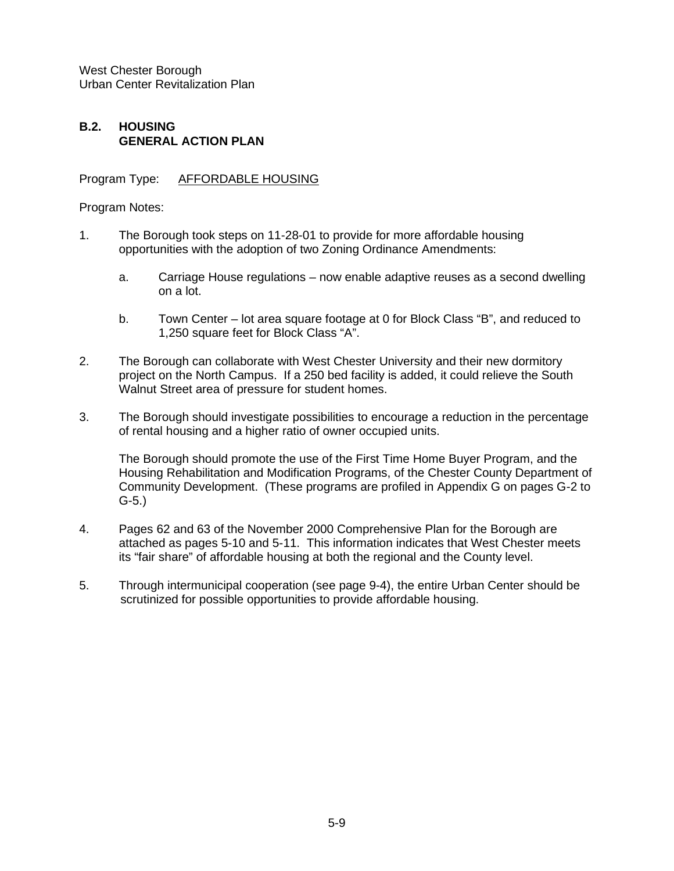# **B.2. HOUSING GENERAL ACTION PLAN**

Program Type: AFFORDABLE HOUSING

Program Notes:

- 1. The Borough took steps on 11-28-01 to provide for more affordable housing opportunities with the adoption of two Zoning Ordinance Amendments:
	- a. Carriage House regulations now enable adaptive reuses as a second dwelling on a lot.
	- b. Town Center lot area square footage at 0 for Block Class "B", and reduced to 1,250 square feet for Block Class "A".
- 2. The Borough can collaborate with West Chester University and their new dormitory project on the North Campus. If a 250 bed facility is added, it could relieve the South Walnut Street area of pressure for student homes.
- 3. The Borough should investigate possibilities to encourage a reduction in the percentage of rental housing and a higher ratio of owner occupied units.

The Borough should promote the use of the First Time Home Buyer Program, and the Housing Rehabilitation and Modification Programs, of the Chester County Department of Community Development. (These programs are profiled in Appendix G on pages G-2 to G-5.)

- 4. Pages 62 and 63 of the November 2000 Comprehensive Plan for the Borough are attached as pages 5-10 and 5-11. This information indicates that West Chester meets its "fair share" of affordable housing at both the regional and the County level.
- 5. Through intermunicipal cooperation (see page 9-4), the entire Urban Center should be scrutinized for possible opportunities to provide affordable housing.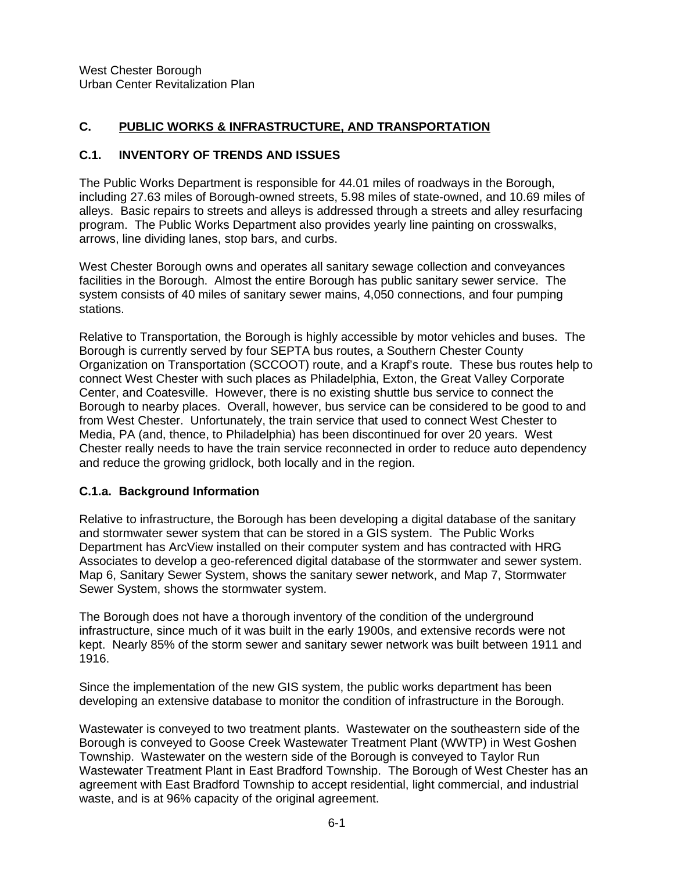## **C. PUBLIC WORKS & INFRASTRUCTURE, AND TRANSPORTATION**

## **C.1. INVENTORY OF TRENDS AND ISSUES**

The Public Works Department is responsible for 44.01 miles of roadways in the Borough, including 27.63 miles of Borough-owned streets, 5.98 miles of state-owned, and 10.69 miles of alleys. Basic repairs to streets and alleys is addressed through a streets and alley resurfacing program. The Public Works Department also provides yearly line painting on crosswalks, arrows, line dividing lanes, stop bars, and curbs.

West Chester Borough owns and operates all sanitary sewage collection and conveyances facilities in the Borough. Almost the entire Borough has public sanitary sewer service. The system consists of 40 miles of sanitary sewer mains, 4,050 connections, and four pumping stations.

Relative to Transportation, the Borough is highly accessible by motor vehicles and buses. The Borough is currently served by four SEPTA bus routes, a Southern Chester County Organization on Transportation (SCCOOT) route, and a Krapf's route. These bus routes help to connect West Chester with such places as Philadelphia, Exton, the Great Valley Corporate Center, and Coatesville. However, there is no existing shuttle bus service to connect the Borough to nearby places. Overall, however, bus service can be considered to be good to and from West Chester. Unfortunately, the train service that used to connect West Chester to Media, PA (and, thence, to Philadelphia) has been discontinued for over 20 years. West Chester really needs to have the train service reconnected in order to reduce auto dependency and reduce the growing gridlock, both locally and in the region.

## **C.1.a. Background Information**

Relative to infrastructure, the Borough has been developing a digital database of the sanitary and stormwater sewer system that can be stored in a GIS system. The Public Works Department has ArcView installed on their computer system and has contracted with HRG Associates to develop a geo-referenced digital database of the stormwater and sewer system. Map 6, Sanitary Sewer System, shows the sanitary sewer network, and Map 7, Stormwater Sewer System, shows the stormwater system.

The Borough does not have a thorough inventory of the condition of the underground infrastructure, since much of it was built in the early 1900s, and extensive records were not kept. Nearly 85% of the storm sewer and sanitary sewer network was built between 1911 and 1916.

Since the implementation of the new GIS system, the public works department has been developing an extensive database to monitor the condition of infrastructure in the Borough.

Wastewater is conveyed to two treatment plants. Wastewater on the southeastern side of the Borough is conveyed to Goose Creek Wastewater Treatment Plant (WWTP) in West Goshen Township. Wastewater on the western side of the Borough is conveyed to Taylor Run Wastewater Treatment Plant in East Bradford Township. The Borough of West Chester has an agreement with East Bradford Township to accept residential, light commercial, and industrial waste, and is at 96% capacity of the original agreement.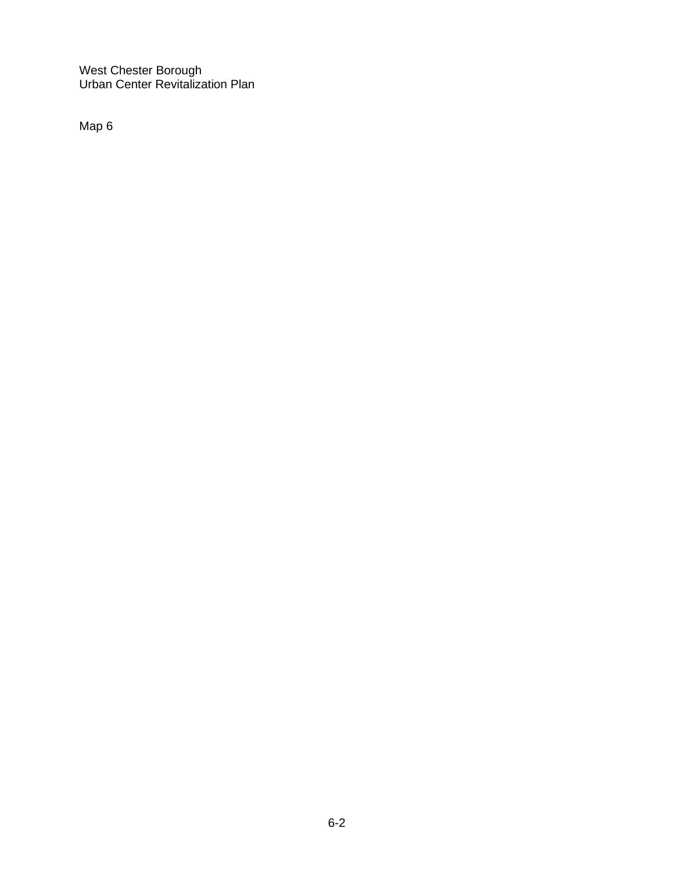Map 6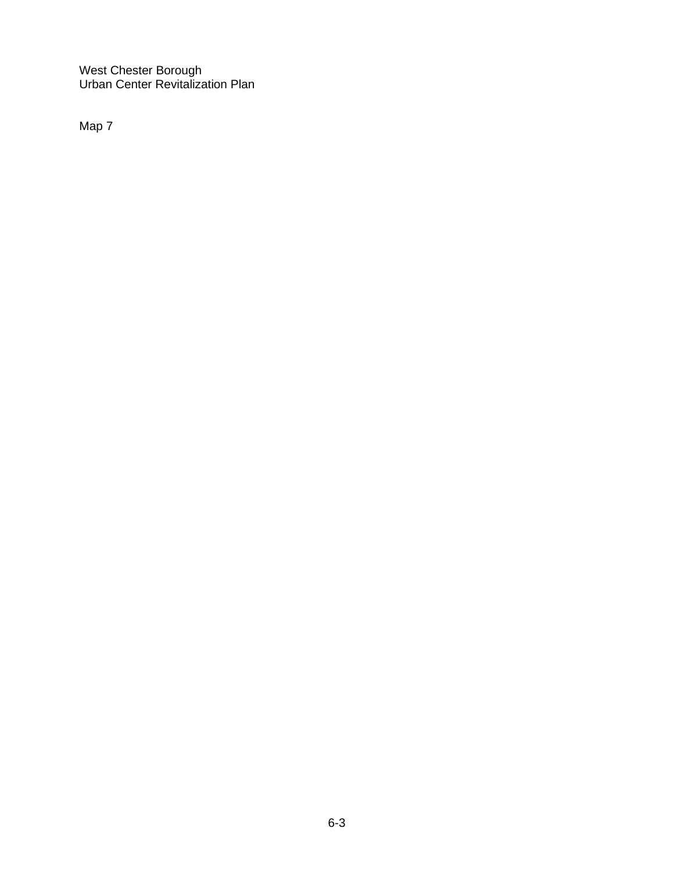Map 7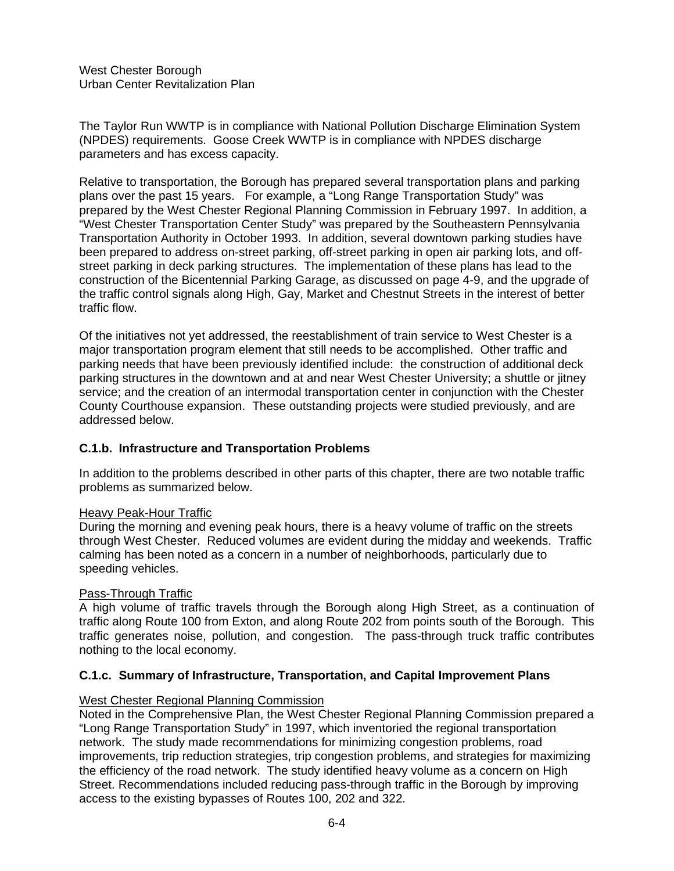The Taylor Run WWTP is in compliance with National Pollution Discharge Elimination System (NPDES) requirements. Goose Creek WWTP is in compliance with NPDES discharge parameters and has excess capacity.

Relative to transportation, the Borough has prepared several transportation plans and parking plans over the past 15 years. For example, a "Long Range Transportation Study" was prepared by the West Chester Regional Planning Commission in February 1997. In addition, a "West Chester Transportation Center Study" was prepared by the Southeastern Pennsylvania Transportation Authority in October 1993. In addition, several downtown parking studies have been prepared to address on-street parking, off-street parking in open air parking lots, and offstreet parking in deck parking structures. The implementation of these plans has lead to the construction of the Bicentennial Parking Garage, as discussed on page 4-9, and the upgrade of the traffic control signals along High, Gay, Market and Chestnut Streets in the interest of better traffic flow.

Of the initiatives not yet addressed, the reestablishment of train service to West Chester is a major transportation program element that still needs to be accomplished. Other traffic and parking needs that have been previously identified include: the construction of additional deck parking structures in the downtown and at and near West Chester University; a shuttle or jitney service; and the creation of an intermodal transportation center in conjunction with the Chester County Courthouse expansion. These outstanding projects were studied previously, and are addressed below.

## **C.1.b. Infrastructure and Transportation Problems**

In addition to the problems described in other parts of this chapter, there are two notable traffic problems as summarized below.

## Heavy Peak-Hour Traffic

During the morning and evening peak hours, there is a heavy volume of traffic on the streets through West Chester. Reduced volumes are evident during the midday and weekends. Traffic calming has been noted as a concern in a number of neighborhoods, particularly due to speeding vehicles.

## Pass-Through Traffic

A high volume of traffic travels through the Borough along High Street, as a continuation of traffic along Route 100 from Exton, and along Route 202 from points south of the Borough. This traffic generates noise, pollution, and congestion. The pass-through truck traffic contributes nothing to the local economy.

## **C.1.c. Summary of Infrastructure, Transportation, and Capital Improvement Plans**

## West Chester Regional Planning Commission

Noted in the Comprehensive Plan, the West Chester Regional Planning Commission prepared a "Long Range Transportation Study" in 1997, which inventoried the regional transportation network. The study made recommendations for minimizing congestion problems, road improvements, trip reduction strategies, trip congestion problems, and strategies for maximizing the efficiency of the road network. The study identified heavy volume as a concern on High Street. Recommendations included reducing pass-through traffic in the Borough by improving access to the existing bypasses of Routes 100, 202 and 322.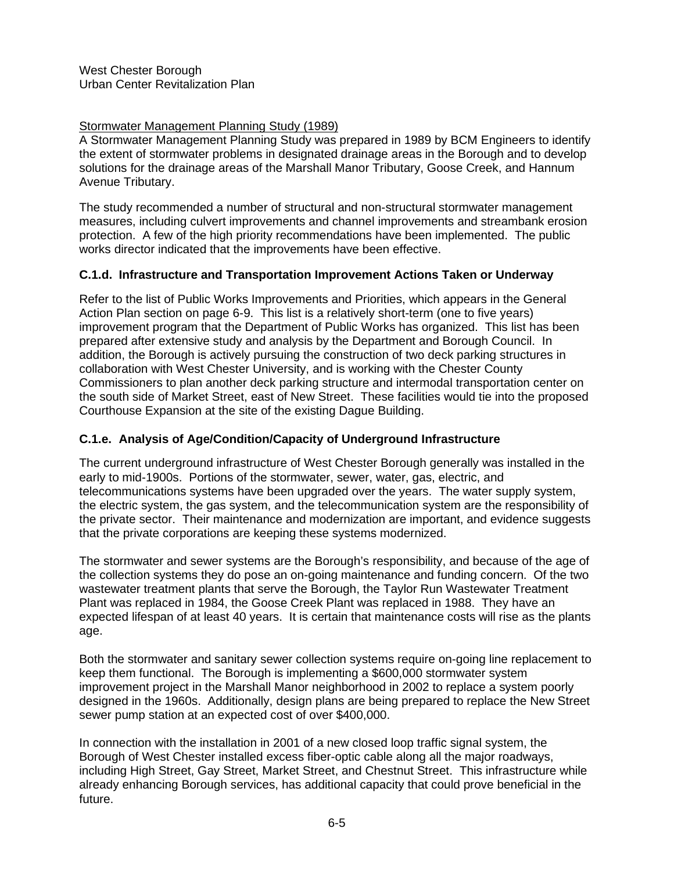# Stormwater Management Planning Study (1989)

A Stormwater Management Planning Study was prepared in 1989 by BCM Engineers to identify the extent of stormwater problems in designated drainage areas in the Borough and to develop solutions for the drainage areas of the Marshall Manor Tributary, Goose Creek, and Hannum Avenue Tributary.

The study recommended a number of structural and non-structural stormwater management measures, including culvert improvements and channel improvements and streambank erosion protection. A few of the high priority recommendations have been implemented. The public works director indicated that the improvements have been effective.

# **C.1.d. Infrastructure and Transportation Improvement Actions Taken or Underway**

Refer to the list of Public Works Improvements and Priorities, which appears in the General Action Plan section on page 6-9. This list is a relatively short-term (one to five years) improvement program that the Department of Public Works has organized. This list has been prepared after extensive study and analysis by the Department and Borough Council. In addition, the Borough is actively pursuing the construction of two deck parking structures in collaboration with West Chester University, and is working with the Chester County Commissioners to plan another deck parking structure and intermodal transportation center on the south side of Market Street, east of New Street. These facilities would tie into the proposed Courthouse Expansion at the site of the existing Dague Building.

# **C.1.e. Analysis of Age/Condition/Capacity of Underground Infrastructure**

The current underground infrastructure of West Chester Borough generally was installed in the early to mid-1900s. Portions of the stormwater, sewer, water, gas, electric, and telecommunications systems have been upgraded over the years. The water supply system, the electric system, the gas system, and the telecommunication system are the responsibility of the private sector. Their maintenance and modernization are important, and evidence suggests that the private corporations are keeping these systems modernized.

The stormwater and sewer systems are the Borough's responsibility, and because of the age of the collection systems they do pose an on-going maintenance and funding concern. Of the two wastewater treatment plants that serve the Borough, the Taylor Run Wastewater Treatment Plant was replaced in 1984, the Goose Creek Plant was replaced in 1988. They have an expected lifespan of at least 40 years. It is certain that maintenance costs will rise as the plants age.

Both the stormwater and sanitary sewer collection systems require on-going line replacement to keep them functional. The Borough is implementing a \$600,000 stormwater system improvement project in the Marshall Manor neighborhood in 2002 to replace a system poorly designed in the 1960s. Additionally, design plans are being prepared to replace the New Street sewer pump station at an expected cost of over \$400,000.

In connection with the installation in 2001 of a new closed loop traffic signal system, the Borough of West Chester installed excess fiber-optic cable along all the major roadways, including High Street, Gay Street, Market Street, and Chestnut Street. This infrastructure while already enhancing Borough services, has additional capacity that could prove beneficial in the future.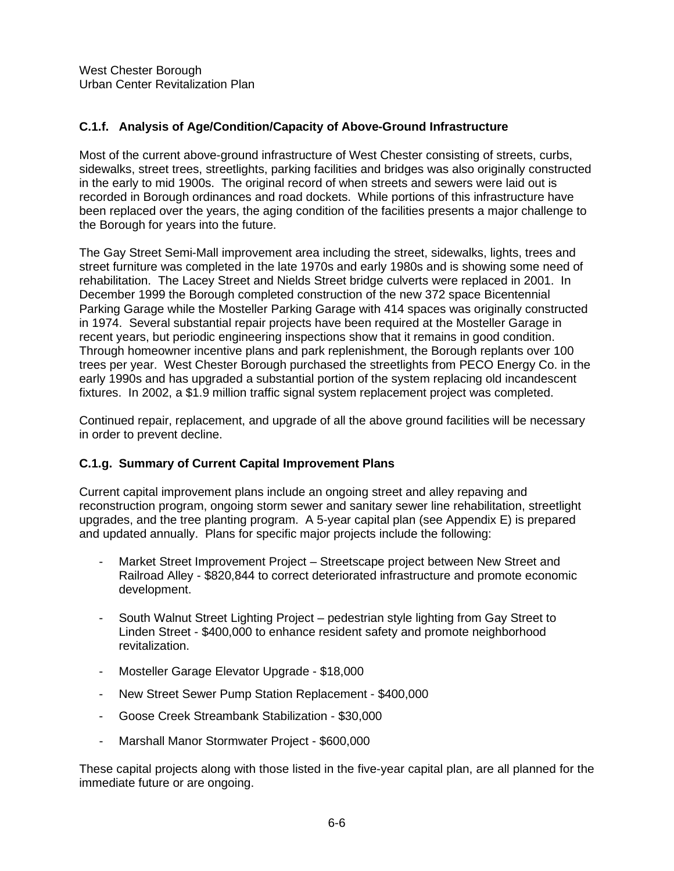# **C.1.f. Analysis of Age/Condition/Capacity of Above-Ground Infrastructure**

Most of the current above-ground infrastructure of West Chester consisting of streets, curbs, sidewalks, street trees, streetlights, parking facilities and bridges was also originally constructed in the early to mid 1900s. The original record of when streets and sewers were laid out is recorded in Borough ordinances and road dockets. While portions of this infrastructure have been replaced over the years, the aging condition of the facilities presents a major challenge to the Borough for years into the future.

The Gay Street Semi-Mall improvement area including the street, sidewalks, lights, trees and street furniture was completed in the late 1970s and early 1980s and is showing some need of rehabilitation. The Lacey Street and Nields Street bridge culverts were replaced in 2001. In December 1999 the Borough completed construction of the new 372 space Bicentennial Parking Garage while the Mosteller Parking Garage with 414 spaces was originally constructed in 1974. Several substantial repair projects have been required at the Mosteller Garage in recent years, but periodic engineering inspections show that it remains in good condition. Through homeowner incentive plans and park replenishment, the Borough replants over 100 trees per year. West Chester Borough purchased the streetlights from PECO Energy Co. in the early 1990s and has upgraded a substantial portion of the system replacing old incandescent fixtures. In 2002, a \$1.9 million traffic signal system replacement project was completed.

Continued repair, replacement, and upgrade of all the above ground facilities will be necessary in order to prevent decline.

## **C.1.g. Summary of Current Capital Improvement Plans**

Current capital improvement plans include an ongoing street and alley repaving and reconstruction program, ongoing storm sewer and sanitary sewer line rehabilitation, streetlight upgrades, and the tree planting program. A 5-year capital plan (see Appendix E) is prepared and updated annually. Plans for specific major projects include the following:

- Market Street Improvement Project Streetscape project between New Street and Railroad Alley - \$820,844 to correct deteriorated infrastructure and promote economic development.
- South Walnut Street Lighting Project pedestrian style lighting from Gay Street to Linden Street - \$400,000 to enhance resident safety and promote neighborhood revitalization.
- Mosteller Garage Elevator Upgrade \$18,000
- New Street Sewer Pump Station Replacement \$400,000
- Goose Creek Streambank Stabilization \$30,000
- Marshall Manor Stormwater Project \$600,000

These capital projects along with those listed in the five-year capital plan, are all planned for the immediate future or are ongoing.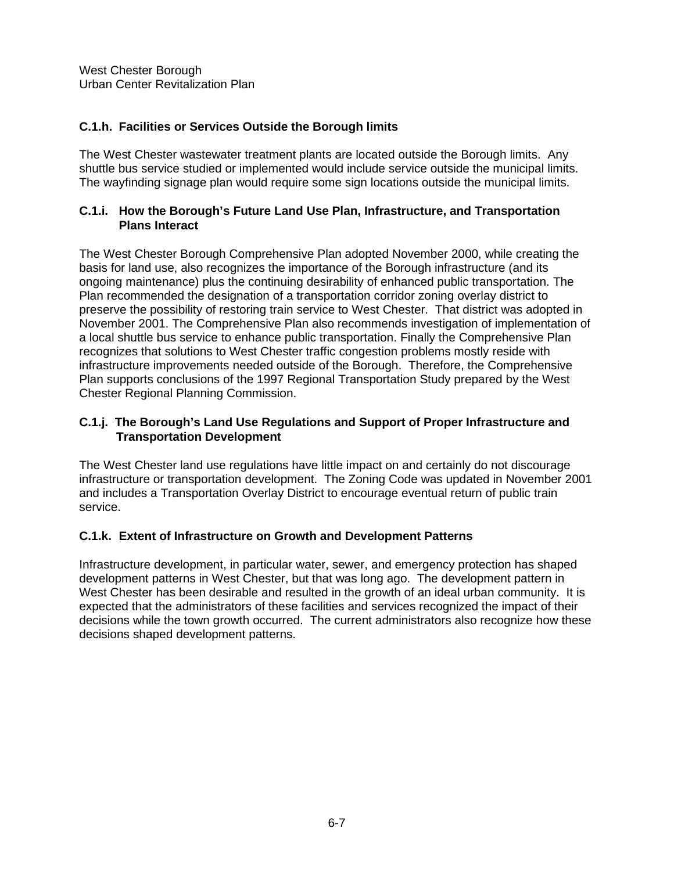# **C.1.h. Facilities or Services Outside the Borough limits**

The West Chester wastewater treatment plants are located outside the Borough limits. Any shuttle bus service studied or implemented would include service outside the municipal limits. The wayfinding signage plan would require some sign locations outside the municipal limits.

#### **C.1.i. How the Borough's Future Land Use Plan, Infrastructure, and Transportation Plans Interact**

The West Chester Borough Comprehensive Plan adopted November 2000, while creating the basis for land use, also recognizes the importance of the Borough infrastructure (and its ongoing maintenance) plus the continuing desirability of enhanced public transportation. The Plan recommended the designation of a transportation corridor zoning overlay district to preserve the possibility of restoring train service to West Chester. That district was adopted in November 2001. The Comprehensive Plan also recommends investigation of implementation of a local shuttle bus service to enhance public transportation. Finally the Comprehensive Plan recognizes that solutions to West Chester traffic congestion problems mostly reside with infrastructure improvements needed outside of the Borough. Therefore, the Comprehensive Plan supports conclusions of the 1997 Regional Transportation Study prepared by the West Chester Regional Planning Commission.

## **C.1.j. The Borough's Land Use Regulations and Support of Proper Infrastructure and Transportation Development**

The West Chester land use regulations have little impact on and certainly do not discourage infrastructure or transportation development. The Zoning Code was updated in November 2001 and includes a Transportation Overlay District to encourage eventual return of public train service.

## **C.1.k. Extent of Infrastructure on Growth and Development Patterns**

Infrastructure development, in particular water, sewer, and emergency protection has shaped development patterns in West Chester, but that was long ago. The development pattern in West Chester has been desirable and resulted in the growth of an ideal urban community. It is expected that the administrators of these facilities and services recognized the impact of their decisions while the town growth occurred. The current administrators also recognize how these decisions shaped development patterns.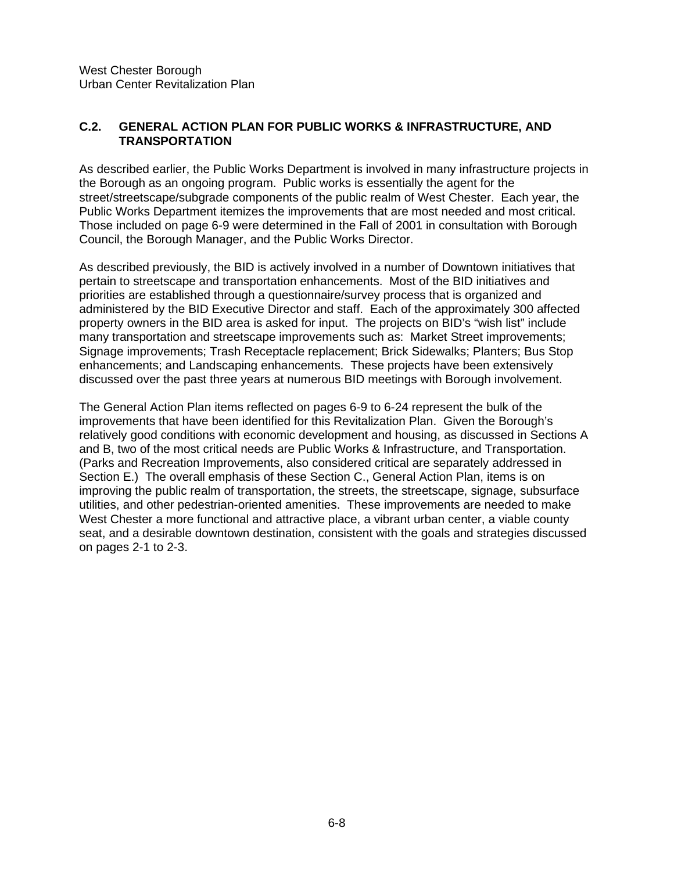## **C.2. GENERAL ACTION PLAN FOR PUBLIC WORKS & INFRASTRUCTURE, AND TRANSPORTATION**

As described earlier, the Public Works Department is involved in many infrastructure projects in the Borough as an ongoing program. Public works is essentially the agent for the street/streetscape/subgrade components of the public realm of West Chester. Each year, the Public Works Department itemizes the improvements that are most needed and most critical. Those included on page 6-9 were determined in the Fall of 2001 in consultation with Borough Council, the Borough Manager, and the Public Works Director.

As described previously, the BID is actively involved in a number of Downtown initiatives that pertain to streetscape and transportation enhancements. Most of the BID initiatives and priorities are established through a questionnaire/survey process that is organized and administered by the BID Executive Director and staff. Each of the approximately 300 affected property owners in the BID area is asked for input. The projects on BID's "wish list" include many transportation and streetscape improvements such as: Market Street improvements; Signage improvements; Trash Receptacle replacement; Brick Sidewalks; Planters; Bus Stop enhancements; and Landscaping enhancements. These projects have been extensively discussed over the past three years at numerous BID meetings with Borough involvement.

The General Action Plan items reflected on pages 6-9 to 6-24 represent the bulk of the improvements that have been identified for this Revitalization Plan. Given the Borough's relatively good conditions with economic development and housing, as discussed in Sections A and B, two of the most critical needs are Public Works & Infrastructure, and Transportation. (Parks and Recreation Improvements, also considered critical are separately addressed in Section E.) The overall emphasis of these Section C., General Action Plan, items is on improving the public realm of transportation, the streets, the streetscape, signage, subsurface utilities, and other pedestrian-oriented amenities. These improvements are needed to make West Chester a more functional and attractive place, a vibrant urban center, a viable county seat, and a desirable downtown destination, consistent with the goals and strategies discussed on pages 2-1 to 2-3.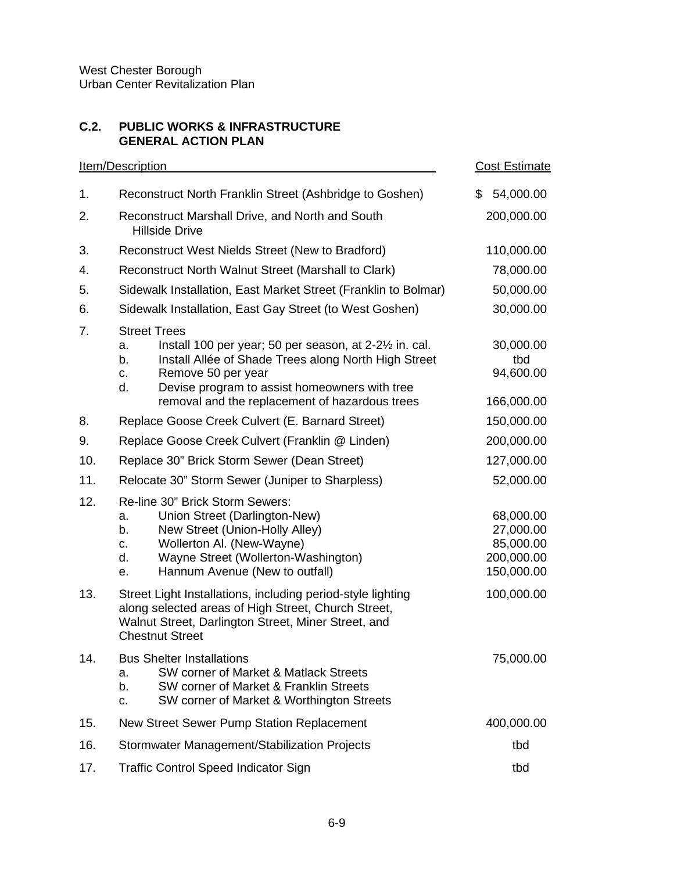# **C.2. PUBLIC WORKS & INFRASTRUCTURE GENERAL ACTION PLAN**

|     | <b>Item/Description</b>                                                                                                                                                                                                                                                               | <b>Cost Estimate</b>                                            |
|-----|---------------------------------------------------------------------------------------------------------------------------------------------------------------------------------------------------------------------------------------------------------------------------------------|-----------------------------------------------------------------|
| 1.  | Reconstruct North Franklin Street (Ashbridge to Goshen)                                                                                                                                                                                                                               | \$<br>54,000.00                                                 |
| 2.  | Reconstruct Marshall Drive, and North and South<br><b>Hillside Drive</b>                                                                                                                                                                                                              | 200,000.00                                                      |
| 3.  | Reconstruct West Nields Street (New to Bradford)                                                                                                                                                                                                                                      | 110,000.00                                                      |
| 4.  | Reconstruct North Walnut Street (Marshall to Clark)                                                                                                                                                                                                                                   | 78,000.00                                                       |
| 5.  | Sidewalk Installation, East Market Street (Franklin to Bolmar)                                                                                                                                                                                                                        | 50,000.00                                                       |
| 6.  | Sidewalk Installation, East Gay Street (to West Goshen)                                                                                                                                                                                                                               | 30,000.00                                                       |
| 7.  | <b>Street Trees</b><br>Install 100 per year; 50 per season, at 2-2½ in. cal.<br>a.<br>Install Allée of Shade Trees along North High Street<br>b.<br>Remove 50 per year<br>c.<br>Devise program to assist homeowners with tree<br>d.<br>removal and the replacement of hazardous trees | 30,000.00<br>tbd<br>94,600.00<br>166,000.00                     |
| 8.  | Replace Goose Creek Culvert (E. Barnard Street)                                                                                                                                                                                                                                       | 150,000.00                                                      |
| 9.  | Replace Goose Creek Culvert (Franklin @ Linden)                                                                                                                                                                                                                                       | 200,000.00                                                      |
| 10. | Replace 30" Brick Storm Sewer (Dean Street)                                                                                                                                                                                                                                           | 127,000.00                                                      |
| 11. | Relocate 30" Storm Sewer (Juniper to Sharpless)                                                                                                                                                                                                                                       | 52,000.00                                                       |
| 12. | Re-line 30" Brick Storm Sewers:<br>Union Street (Darlington-New)<br>a.<br>New Street (Union-Holly Alley)<br>b.<br>Wollerton Al. (New-Wayne)<br>C.<br>Wayne Street (Wollerton-Washington)<br>d.<br>Hannum Avenue (New to outfall)<br>е.                                                | 68,000.00<br>27,000.00<br>85,000.00<br>200,000.00<br>150,000.00 |
| 13. | Street Light Installations, including period-style lighting<br>along selected areas of High Street, Church Street,<br>Walnut Street, Darlington Street, Miner Street, and<br><b>Chestnut Street</b>                                                                                   | 100,000.00                                                      |
| 14. | <b>Bus Shelter Installations</b><br>SW corner of Market & Matlack Streets<br>a.<br>b.<br>SW corner of Market & Franklin Streets<br>SW corner of Market & Worthington Streets<br>c.                                                                                                    | 75,000.00                                                       |
| 15. | New Street Sewer Pump Station Replacement                                                                                                                                                                                                                                             | 400,000.00                                                      |
| 16. | Stormwater Management/Stabilization Projects                                                                                                                                                                                                                                          | tbd                                                             |
| 17. | <b>Traffic Control Speed Indicator Sign</b>                                                                                                                                                                                                                                           | tbd                                                             |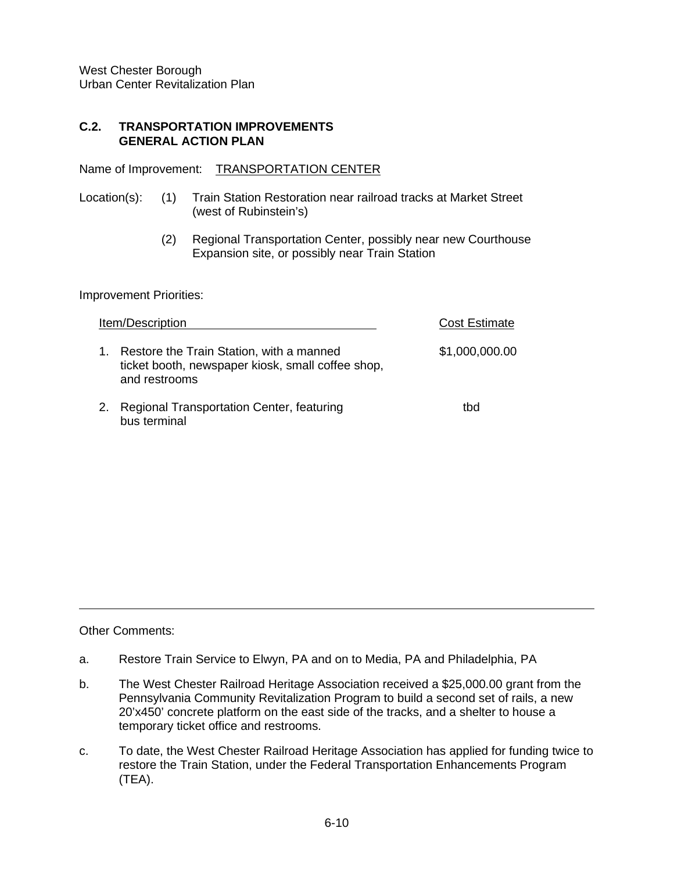#### **C.2. TRANSPORTATION IMPROVEMENTS GENERAL ACTION PLAN**

Name of Improvement: TRANSPORTATION CENTER

- Location(s): (1) Train Station Restoration near railroad tracks at Market Street (west of Rubinstein's)
	- (2) Regional Transportation Center, possibly near new Courthouse Expansion site, or possibly near Train Station

Improvement Priorities:

|    | Item/Description                                                                                               | <b>Cost Estimate</b> |
|----|----------------------------------------------------------------------------------------------------------------|----------------------|
| 1. | Restore the Train Station, with a manned<br>ticket booth, newspaper kiosk, small coffee shop,<br>and restrooms | \$1,000,000.00       |
|    | 2. Regional Transportation Center, featuring<br>bus terminal                                                   | tbd                  |

Other Comments:

- a. Restore Train Service to Elwyn, PA and on to Media, PA and Philadelphia, PA
- b. The West Chester Railroad Heritage Association received a \$25,000.00 grant from the Pennsylvania Community Revitalization Program to build a second set of rails, a new 20'x450' concrete platform on the east side of the tracks, and a shelter to house a temporary ticket office and restrooms.
- c. To date, the West Chester Railroad Heritage Association has applied for funding twice to restore the Train Station, under the Federal Transportation Enhancements Program (TEA).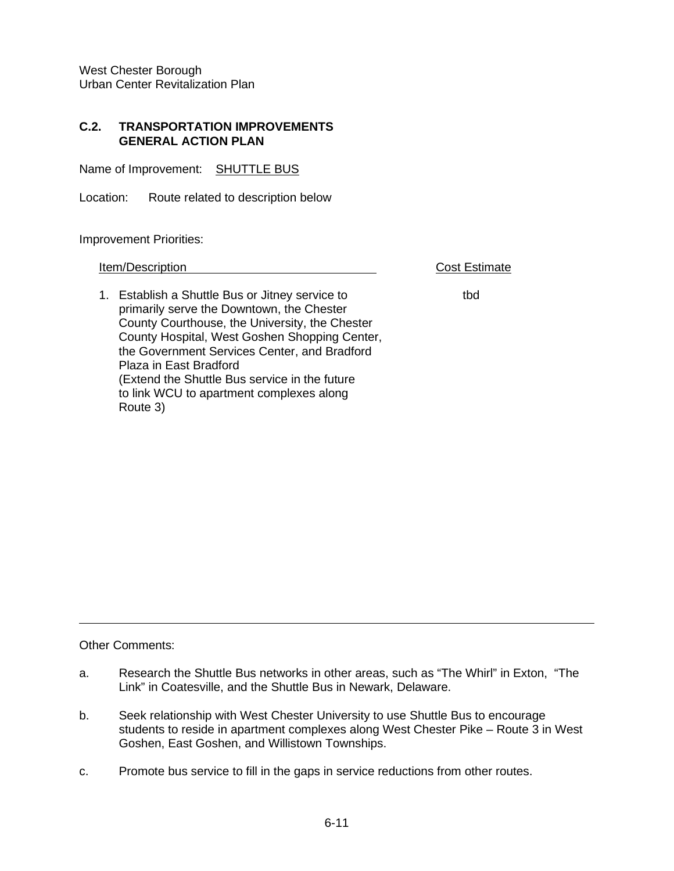#### **C.2. TRANSPORTATION IMPROVEMENTS GENERAL ACTION PLAN**

Name of Improvement: SHUTTLE BUS

Location: Route related to description below

Improvement Priorities:

**Item/Description** Cost Estimate

1. Establish a Shuttle Bus or Jitney service to the thing that primarily serve the Downtown, the Chester County Courthouse, the University, the Chester County Hospital, West Goshen Shopping Center, the Government Services Center, and Bradford Plaza in East Bradford (Extend the Shuttle Bus service in the future to link WCU to apartment complexes along Route 3)

Other Comments:

- a. Research the Shuttle Bus networks in other areas, such as "The Whirl" in Exton, "The Link" in Coatesville, and the Shuttle Bus in Newark, Delaware.
- b. Seek relationship with West Chester University to use Shuttle Bus to encourage students to reside in apartment complexes along West Chester Pike – Route 3 in West Goshen, East Goshen, and Willistown Townships.
- c. Promote bus service to fill in the gaps in service reductions from other routes.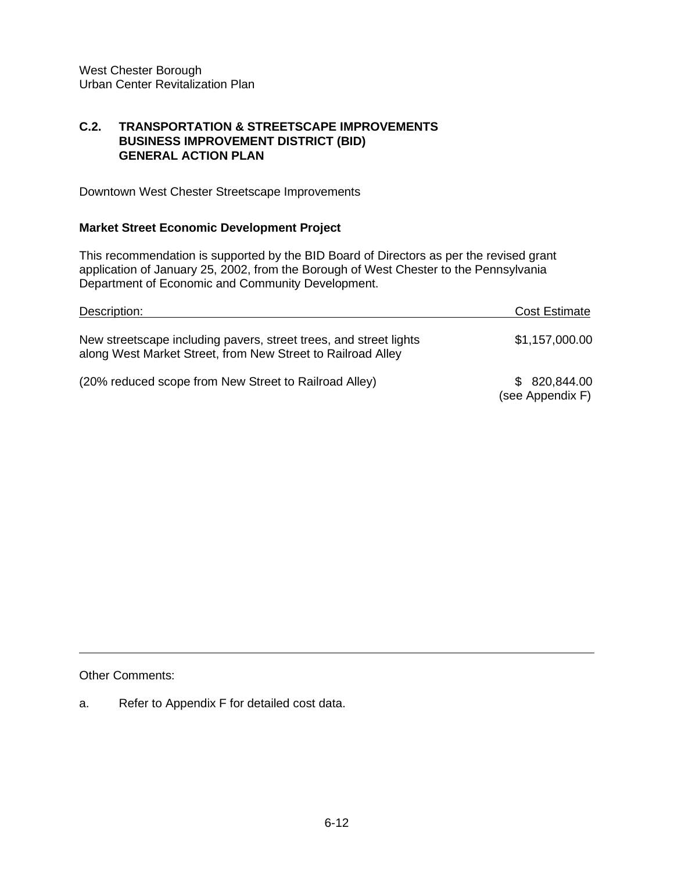## **C.2. TRANSPORTATION & STREETSCAPE IMPROVEMENTS BUSINESS IMPROVEMENT DISTRICT (BID) GENERAL ACTION PLAN**

Downtown West Chester Streetscape Improvements

# **Market Street Economic Development Project**

This recommendation is supported by the BID Board of Directors as per the revised grant application of January 25, 2002, from the Borough of West Chester to the Pennsylvania Department of Economic and Community Development.

| Description:                                                                                                                     | <b>Cost Estimate</b>              |
|----------------------------------------------------------------------------------------------------------------------------------|-----------------------------------|
| New streetscape including pavers, street trees, and street lights<br>along West Market Street, from New Street to Railroad Alley | \$1,157,000.00                    |
| (20% reduced scope from New Street to Railroad Alley)                                                                            | \$ 820,844.00<br>(see Appendix F) |

Other Comments:

a. Refer to Appendix F for detailed cost data.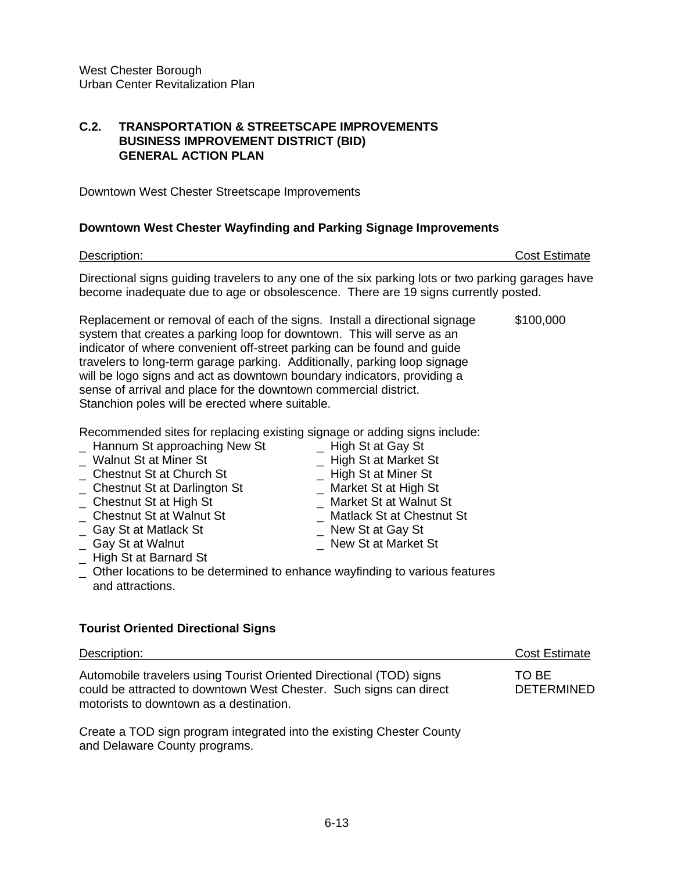## **C.2. TRANSPORTATION & STREETSCAPE IMPROVEMENTS BUSINESS IMPROVEMENT DISTRICT (BID) GENERAL ACTION PLAN**

Downtown West Chester Streetscape Improvements

#### **Downtown West Chester Wayfinding and Parking Signage Improvements**

Description: Cost Estimate Directional signs guiding travelers to any one of the six parking lots or two parking garages have become inadequate due to age or obsolescence. There are 19 signs currently posted.

Replacement or removal of each of the signs. Install a directional signage \$100,000 system that creates a parking loop for downtown. This will serve as an indicator of where convenient off-street parking can be found and guide travelers to long-term garage parking. Additionally, parking loop signage will be logo signs and act as downtown boundary indicators, providing a sense of arrival and place for the downtown commercial district. Stanchion poles will be erected where suitable.

Recommended sites for replacing existing signage or adding signs include:

| _ Hannum St approaching New St            | _ High St at Gay St         |
|-------------------------------------------|-----------------------------|
| _ Walnut St at Miner St                   | _ High St at Market St      |
| _ Chestnut St at Church St                | _ High St at Miner St       |
| _ Chestnut St at Darlington St            | _ Market St at High St      |
| _ Chestnut St at High St                  | Market St at Walnut St      |
| _ Chestnut St at Walnut St                | _ Matlack St at Chestnut St |
| _ Gay St at Matlack St                    | _ New St at Gay St          |
| _ Gay St at Walnut                        | New St at Market St         |
| <b>Litrade Office Disponsional Office</b> |                             |

- \_ High St at Barnard St
- \_ Other locations to be determined to enhance wayfinding to various features and attractions.

## **Tourist Oriented Directional Signs**

| Description:                                                                                                                                                                         | <b>Cost Estimate</b>       |
|--------------------------------------------------------------------------------------------------------------------------------------------------------------------------------------|----------------------------|
| Automobile travelers using Tourist Oriented Directional (TOD) signs<br>could be attracted to downtown West Chester. Such signs can direct<br>motorists to downtown as a destination. | TO BE<br><b>DETERMINED</b> |

Create a TOD sign program integrated into the existing Chester County and Delaware County programs.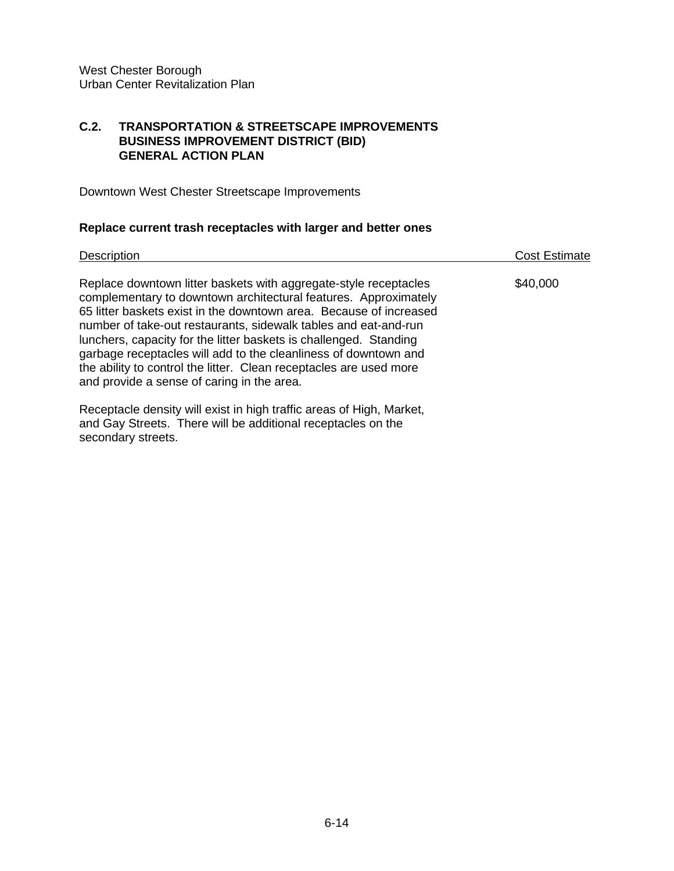## **C.2. TRANSPORTATION & STREETSCAPE IMPROVEMENTS BUSINESS IMPROVEMENT DISTRICT (BID) GENERAL ACTION PLAN**

Downtown West Chester Streetscape Improvements

# **Replace current trash receptacles with larger and better ones**

| <b>Description</b>                                                                                                                                                                                                                                                                                                                                                                                                                                                                                                                       | Cost Estimate |
|------------------------------------------------------------------------------------------------------------------------------------------------------------------------------------------------------------------------------------------------------------------------------------------------------------------------------------------------------------------------------------------------------------------------------------------------------------------------------------------------------------------------------------------|---------------|
| Replace downtown litter baskets with aggregate-style receptacles<br>complementary to downtown architectural features. Approximately<br>65 litter baskets exist in the downtown area. Because of increased<br>number of take-out restaurants, sidewalk tables and eat-and-run<br>lunchers, capacity for the litter baskets is challenged. Standing<br>garbage receptacles will add to the cleanliness of downtown and<br>the ability to control the litter. Clean receptacles are used more<br>and provide a sense of caring in the area. | \$40,000      |
| Receptacle density will exist in high traffic areas of High, Market,<br>and Gay Streets. There will be additional receptacles on the<br>secondary streets.                                                                                                                                                                                                                                                                                                                                                                               |               |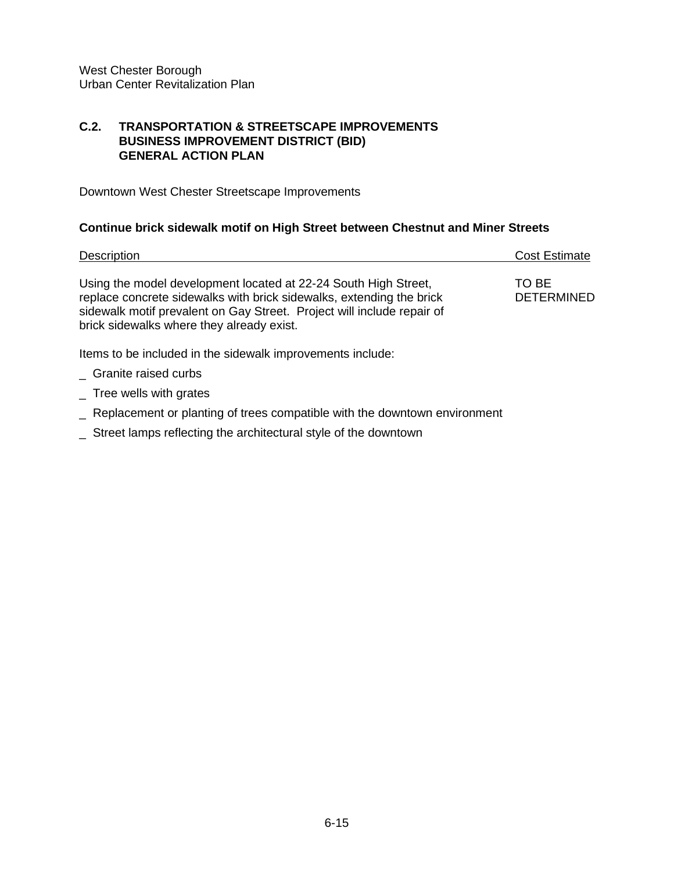#### **C.2. TRANSPORTATION & STREETSCAPE IMPROVEMENTS BUSINESS IMPROVEMENT DISTRICT (BID) GENERAL ACTION PLAN**

Downtown West Chester Streetscape Improvements

#### **Continue brick sidewalk motif on High Street between Chestnut and Miner Streets**

| Description                                                                                                                                                                                                                                                    | <b>Cost Estimate</b>       |
|----------------------------------------------------------------------------------------------------------------------------------------------------------------------------------------------------------------------------------------------------------------|----------------------------|
| Using the model development located at 22-24 South High Street,<br>replace concrete sidewalks with brick sidewalks, extending the brick<br>sidewalk motif prevalent on Gay Street. Project will include repair of<br>brick sidewalks where they already exist. | TO BE<br><b>DETERMINED</b> |
| Items to be included in the sidewalk improvements include:                                                                                                                                                                                                     |                            |
| Granite raised curbs                                                                                                                                                                                                                                           |                            |

- \_ Tree wells with grates
- \_ Replacement or planting of trees compatible with the downtown environment
- \_ Street lamps reflecting the architectural style of the downtown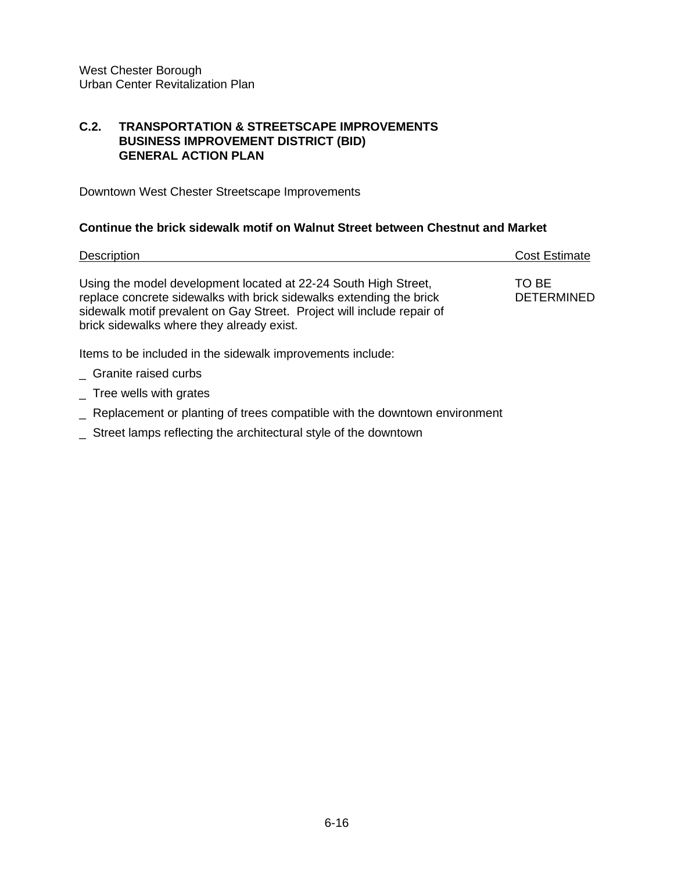#### **C.2. TRANSPORTATION & STREETSCAPE IMPROVEMENTS BUSINESS IMPROVEMENT DISTRICT (BID) GENERAL ACTION PLAN**

Downtown West Chester Streetscape Improvements

## **Continue the brick sidewalk motif on Walnut Street between Chestnut and Market**

| Description                                                                                                                                                                                                                                                   | <b>Cost Estimate</b>       |
|---------------------------------------------------------------------------------------------------------------------------------------------------------------------------------------------------------------------------------------------------------------|----------------------------|
| Using the model development located at 22-24 South High Street,<br>replace concrete sidewalks with brick sidewalks extending the brick<br>sidewalk motif prevalent on Gay Street. Project will include repair of<br>brick sidewalks where they already exist. | TO BE<br><b>DETERMINED</b> |
| Items to be included in the sidewalk improvements include:                                                                                                                                                                                                    |                            |
| _ Granite raised curbs                                                                                                                                                                                                                                        |                            |

- \_ Tree wells with grates
- \_ Replacement or planting of trees compatible with the downtown environment
- \_ Street lamps reflecting the architectural style of the downtown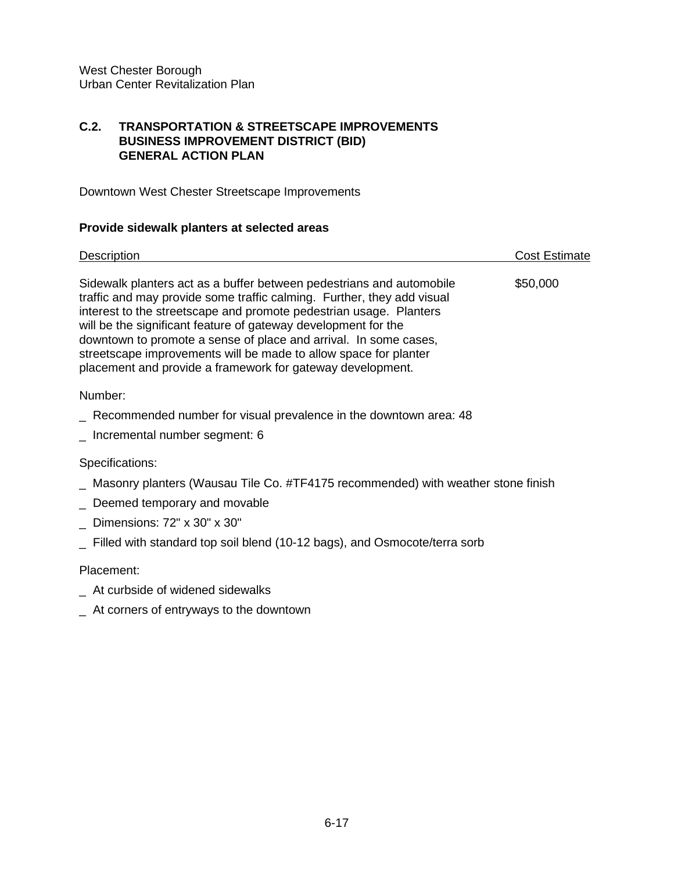## **C.2. TRANSPORTATION & STREETSCAPE IMPROVEMENTS BUSINESS IMPROVEMENT DISTRICT (BID) GENERAL ACTION PLAN**

Downtown West Chester Streetscape Improvements

#### **Provide sidewalk planters at selected areas**

| Description                                                                                                                                                                                                                                                                                                                                                                                                                                                                                  | Cost Estimate |
|----------------------------------------------------------------------------------------------------------------------------------------------------------------------------------------------------------------------------------------------------------------------------------------------------------------------------------------------------------------------------------------------------------------------------------------------------------------------------------------------|---------------|
| Sidewalk planters act as a buffer between pedestrians and automobile<br>traffic and may provide some traffic calming. Further, they add visual<br>interest to the streetscape and promote pedestrian usage. Planters<br>will be the significant feature of gateway development for the<br>downtown to promote a sense of place and arrival. In some cases,<br>streetscape improvements will be made to allow space for planter<br>placement and provide a framework for gateway development. | \$50,000      |
| Number:                                                                                                                                                                                                                                                                                                                                                                                                                                                                                      |               |
| Recommended number for visual prevalence in the downtown area: 48                                                                                                                                                                                                                                                                                                                                                                                                                            |               |

\_ Incremental number segment: 6

#### Specifications:

- \_ Masonry planters (Wausau Tile Co. #TF4175 recommended) with weather stone finish
- \_ Deemed temporary and movable
- \_ Dimensions: 72" x 30" x 30"
- \_ Filled with standard top soil blend (10-12 bags), and Osmocote/terra sorb

## Placement:

- \_ At curbside of widened sidewalks
- \_ At corners of entryways to the downtown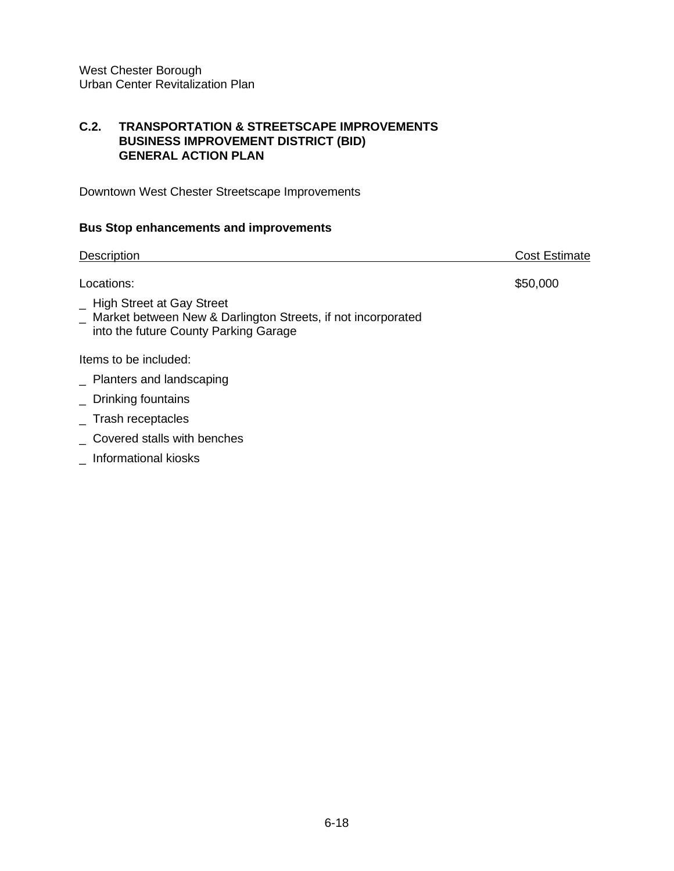## **C.2. TRANSPORTATION & STREETSCAPE IMPROVEMENTS BUSINESS IMPROVEMENT DISTRICT (BID) GENERAL ACTION PLAN**

Downtown West Chester Streetscape Improvements

# **Bus Stop enhancements and improvements**

| <b>Description</b>                                                                                                                     | <b>Cost Estimate</b> |
|----------------------------------------------------------------------------------------------------------------------------------------|----------------------|
| Locations:                                                                                                                             | \$50,000             |
| _ High Street at Gay Street<br>_ Market between New & Darlington Streets, if not incorporated<br>into the future County Parking Garage |                      |
| Items to be included:                                                                                                                  |                      |
| Planters and landscaping                                                                                                               |                      |
| $\_$ Drinking fountains                                                                                                                |                      |
| $\_$ Trash receptacles                                                                                                                 |                      |
| _ Covered stalls with benches                                                                                                          |                      |

\_ Informational kiosks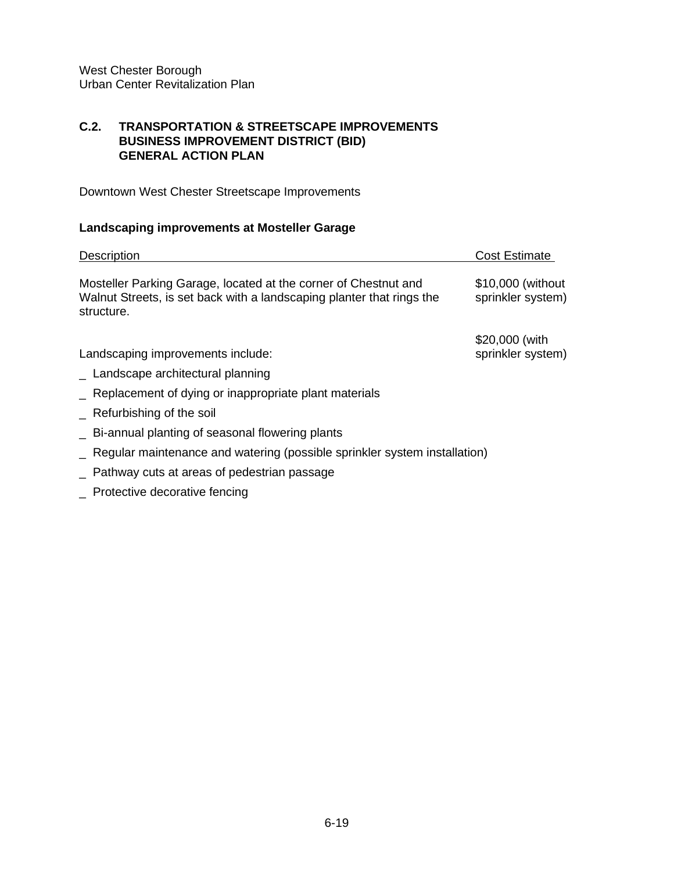## **C.2. TRANSPORTATION & STREETSCAPE IMPROVEMENTS BUSINESS IMPROVEMENT DISTRICT (BID) GENERAL ACTION PLAN**

Downtown West Chester Streetscape Improvements

# **Landscaping improvements at Mosteller Garage**

| <b>Description</b>                                                                                                                                     | <b>Cost Estimate</b>                   |
|--------------------------------------------------------------------------------------------------------------------------------------------------------|----------------------------------------|
| Mosteller Parking Garage, located at the corner of Chestnut and<br>Walnut Streets, is set back with a landscaping planter that rings the<br>structure. | \$10,000 (without<br>sprinkler system) |
|                                                                                                                                                        | \$20,000 (with                         |
| Landscaping improvements include:                                                                                                                      | sprinkler system)                      |
| _ Landscape architectural planning                                                                                                                     |                                        |
| Replacement of dying or inappropriate plant materials                                                                                                  |                                        |
| Refurbishing of the soil                                                                                                                               |                                        |
| - Bi-annual planting of seasonal flowering plants                                                                                                      |                                        |
| Regular maintenance and watering (possible sprinkler system installation)                                                                              |                                        |
| Pathway cuts at areas of pedestrian passage                                                                                                            |                                        |

\_ Protective decorative fencing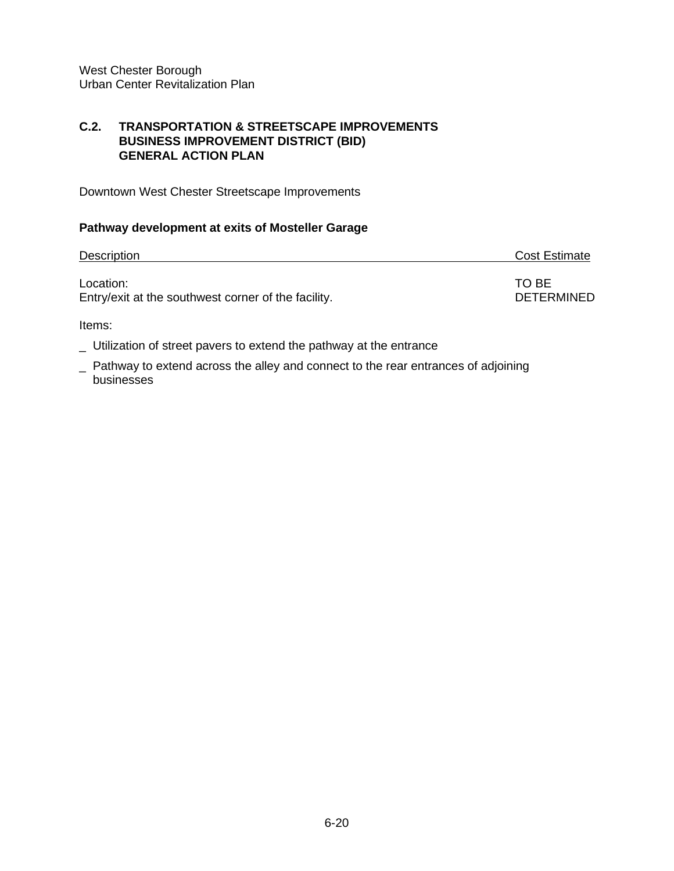#### **C.2. TRANSPORTATION & STREETSCAPE IMPROVEMENTS BUSINESS IMPROVEMENT DISTRICT (BID) GENERAL ACTION PLAN**

Downtown West Chester Streetscape Improvements

# **Pathway development at exits of Mosteller Garage**

| <b>Description</b>                                  | <b>Cost Estimate</b> |
|-----------------------------------------------------|----------------------|
| Location:                                           | TO BE                |
| Entry/exit at the southwest corner of the facility. | <b>DETERMINED</b>    |

Items:

\_ Utilization of street pavers to extend the pathway at the entrance

\_ Pathway to extend across the alley and connect to the rear entrances of adjoining businesses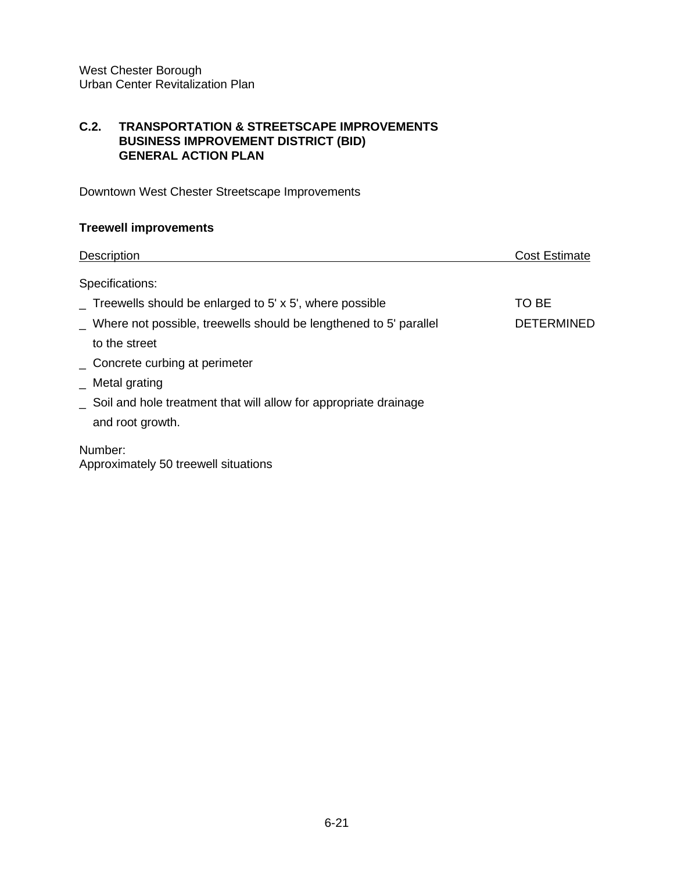## **C.2. TRANSPORTATION & STREETSCAPE IMPROVEMENTS BUSINESS IMPROVEMENT DISTRICT (BID) GENERAL ACTION PLAN**

Downtown West Chester Streetscape Improvements

# **Treewell improvements**

| <b>Description</b>                                                               | <b>Cost Estimate</b> |
|----------------------------------------------------------------------------------|----------------------|
| Specifications:                                                                  |                      |
| $\overline{\phantom{a}}$ Treewells should be enlarged to 5' x 5', where possible | TO BE                |
| Where not possible, treewells should be lengthened to 5' parallel                | <b>DETERMINED</b>    |
| to the street                                                                    |                      |
| _ Concrete curbing at perimeter                                                  |                      |
| $\_$ Metal grating                                                               |                      |
| Soil and hole treatment that will allow for appropriate drainage                 |                      |
| and root growth.                                                                 |                      |
| Number:<br>Approximately 50 treewell situations                                  |                      |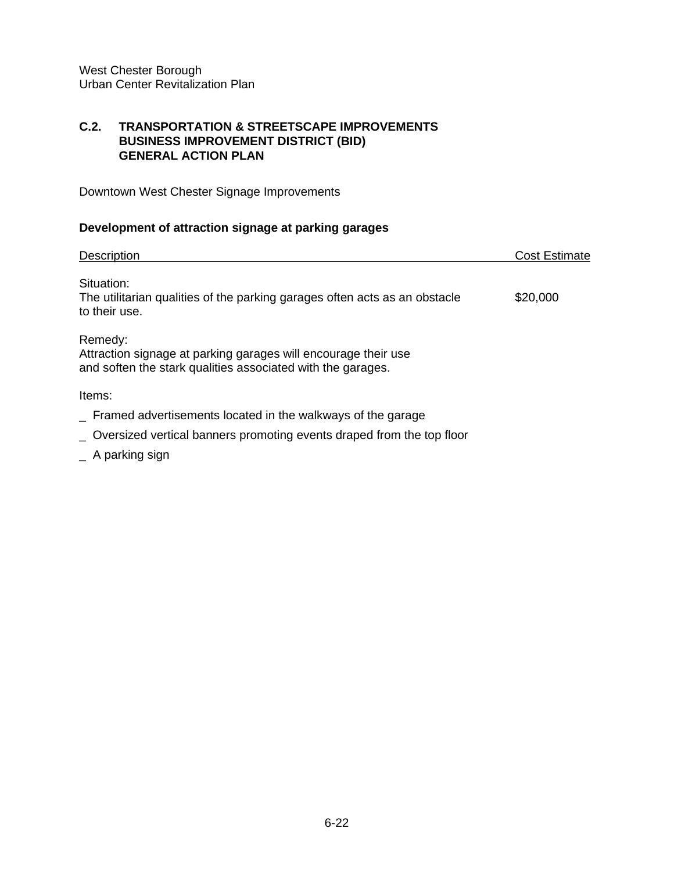## **C.2. TRANSPORTATION & STREETSCAPE IMPROVEMENTS BUSINESS IMPROVEMENT DISTRICT (BID) GENERAL ACTION PLAN**

Downtown West Chester Signage Improvements

# **Development of attraction signage at parking garages**

| <b>Description</b>                                                                                                                       | <b>Cost Estimate</b> |
|------------------------------------------------------------------------------------------------------------------------------------------|----------------------|
| Situation:<br>The utilitarian qualities of the parking garages often acts as an obstacle<br>to their use.                                | \$20,000             |
| Remedy:<br>Attraction signage at parking garages will encourage their use<br>and soften the stark qualities associated with the garages. |                      |
| Items:                                                                                                                                   |                      |
| Framed advertisements located in the walkways of the garage                                                                              |                      |
| _ Oversized vertical banners promoting events draped from the top floor                                                                  |                      |

\_ A parking sign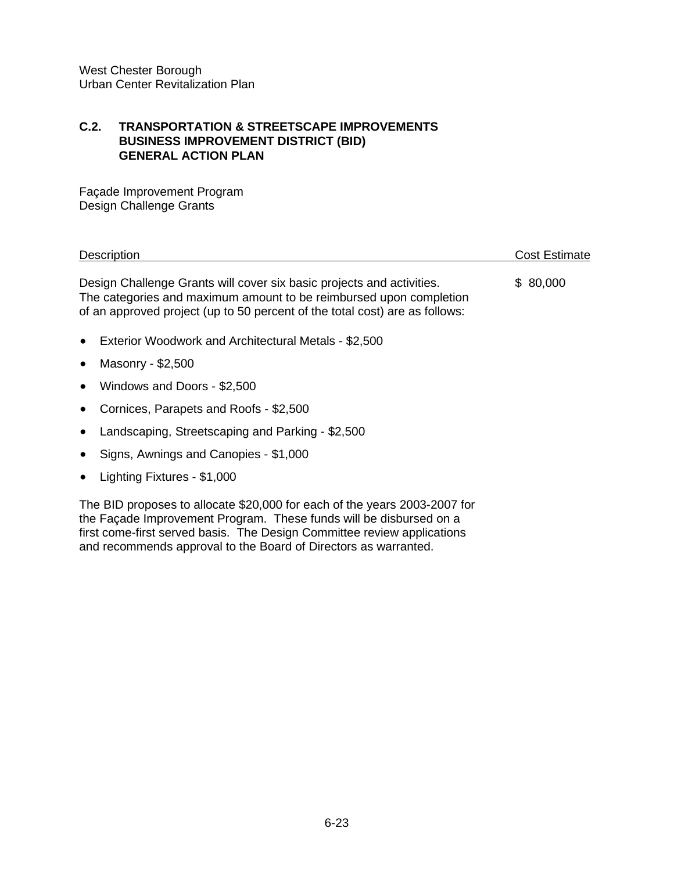#### **C.2. TRANSPORTATION & STREETSCAPE IMPROVEMENTS BUSINESS IMPROVEMENT DISTRICT (BID) GENERAL ACTION PLAN**

Façade Improvement Program Design Challenge Grants

Description **Cost Estimate** Cost Estimate Design Challenge Grants will cover six basic projects and activities. \$ 80,000 The categories and maximum amount to be reimbursed upon completion of an approved project (up to 50 percent of the total cost) are as follows:

- Exterior Woodwork and Architectural Metals \$2,500
- Masonry \$2,500
- Windows and Doors \$2,500
- Cornices, Parapets and Roofs \$2,500
- Landscaping, Streetscaping and Parking \$2,500
- Signs, Awnings and Canopies \$1,000
- Lighting Fixtures \$1,000

The BID proposes to allocate \$20,000 for each of the years 2003-2007 for the Façade Improvement Program. These funds will be disbursed on a first come-first served basis. The Design Committee review applications and recommends approval to the Board of Directors as warranted.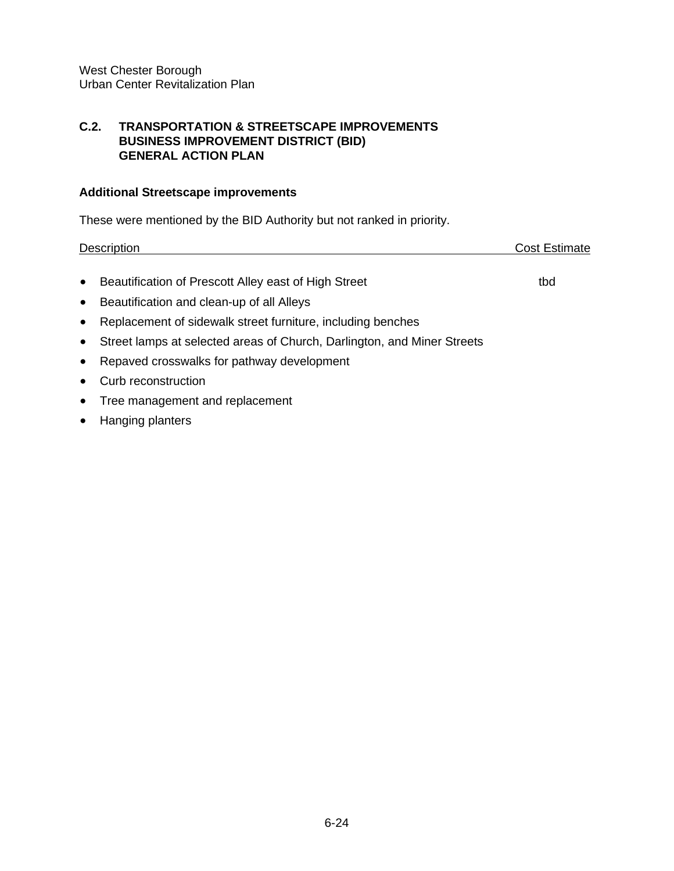#### **C.2. TRANSPORTATION & STREETSCAPE IMPROVEMENTS BUSINESS IMPROVEMENT DISTRICT (BID) GENERAL ACTION PLAN**

#### **Additional Streetscape improvements**

These were mentioned by the BID Authority but not ranked in priority.

Description Cost Estimate • Beautification of Prescott Alley east of High Street the thorn that the thorn that the thorn that the thorn that the thorn that the thorn that the thorn that the thorn that the thorn that the thorn that the thorn that th

- Beautification and clean-up of all Alleys
- Replacement of sidewalk street furniture, including benches
- Street lamps at selected areas of Church, Darlington, and Miner Streets
- Repaved crosswalks for pathway development
- Curb reconstruction
- Tree management and replacement
- Hanging planters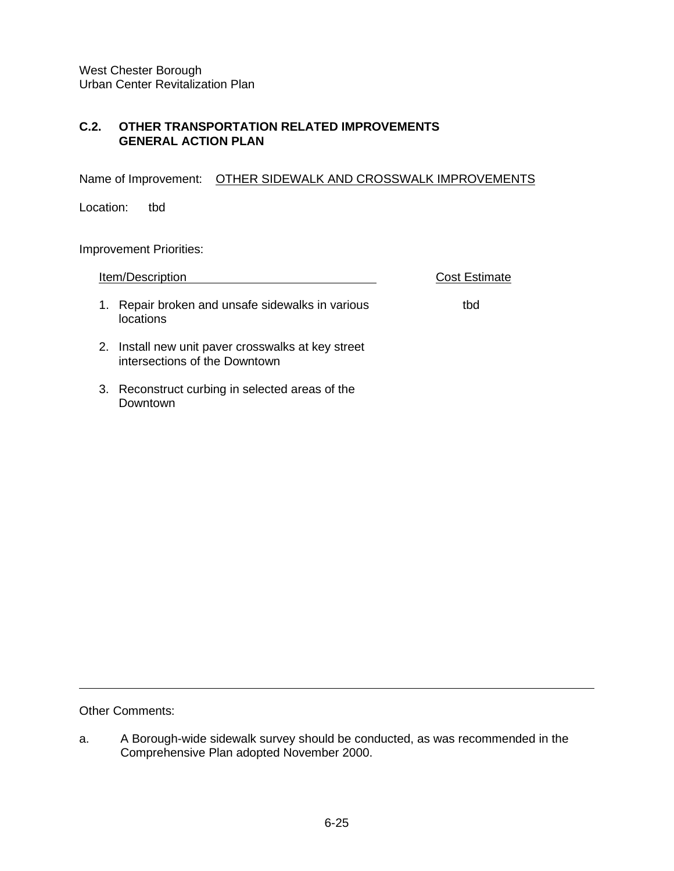# **C.2. OTHER TRANSPORTATION RELATED IMPROVEMENTS GENERAL ACTION PLAN**

Name of Improvement: OTHER SIDEWALK AND CROSSWALK IMPROVEMENTS

Location: tbd

Improvement Priorities:

|    | Item/Description                                                                 | <b>Cost Estimate</b> |
|----|----------------------------------------------------------------------------------|----------------------|
| 1. | Repair broken and unsafe sidewalks in various<br>locations                       | tbd                  |
| 2. | Install new unit paver crosswalks at key street<br>intersections of the Downtown |                      |
| 3. | Reconstruct curbing in selected areas of the<br>Downtown                         |                      |

Other Comments:

a. A Borough-wide sidewalk survey should be conducted, as was recommended in the Comprehensive Plan adopted November 2000.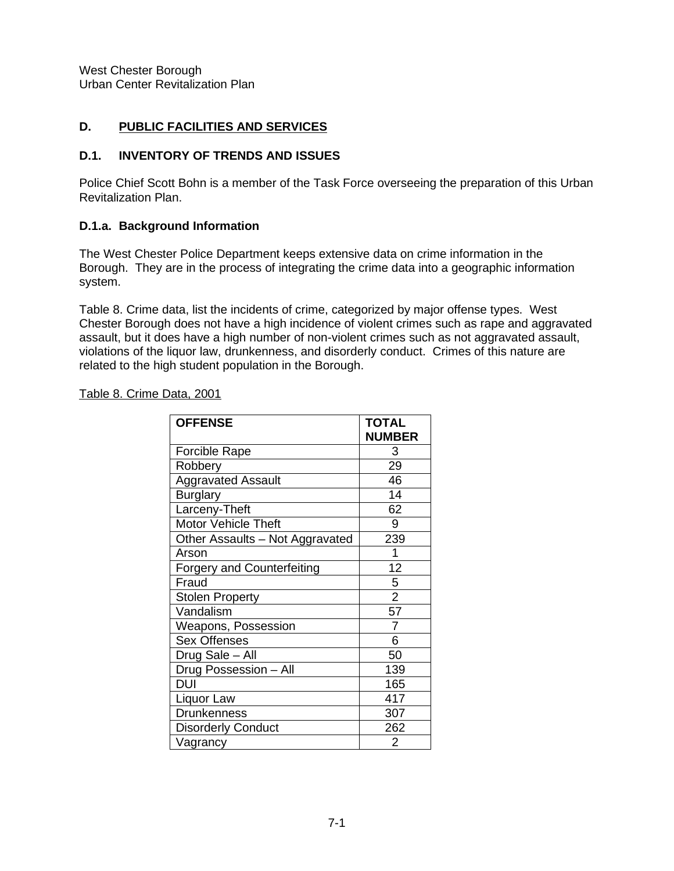## **D. PUBLIC FACILITIES AND SERVICES**

#### **D.1. INVENTORY OF TRENDS AND ISSUES**

Police Chief Scott Bohn is a member of the Task Force overseeing the preparation of this Urban Revitalization Plan.

## **D.1.a. Background Information**

The West Chester Police Department keeps extensive data on crime information in the Borough. They are in the process of integrating the crime data into a geographic information system.

Table 8. Crime data, list the incidents of crime, categorized by major offense types. West Chester Borough does not have a high incidence of violent crimes such as rape and aggravated assault, but it does have a high number of non-violent crimes such as not aggravated assault, violations of the liquor law, drunkenness, and disorderly conduct. Crimes of this nature are related to the high student population in the Borough.

Table 8. Crime Data, 2001

| <b>OFFENSE</b>                    | <b>TOTAL</b>   |
|-----------------------------------|----------------|
|                                   | <b>NUMBER</b>  |
| <b>Forcible Rape</b>              | 3              |
| Robbery                           | 29             |
| <b>Aggravated Assault</b>         | 46             |
| <b>Burglary</b>                   | 14             |
| Larceny-Theft                     | 62             |
| <b>Motor Vehicle Theft</b>        | 9              |
| Other Assaults - Not Aggravated   | 239            |
| Arson                             | 1              |
| <b>Forgery and Counterfeiting</b> | 12             |
| Fraud                             | 5              |
| <b>Stolen Property</b>            | $\overline{2}$ |
| Vandalism                         | 57             |
| Weapons, Possession               | $\overline{7}$ |
| <b>Sex Offenses</b>               | 6              |
| Drug Sale - All                   | 50             |
| Drug Possession - All             | 139            |
| DUI                               | 165            |
| Liquor Law                        | 417            |
| <b>Drunkenness</b>                | 307            |
| <b>Disorderly Conduct</b>         | 262            |
| Vagrancy                          | 2              |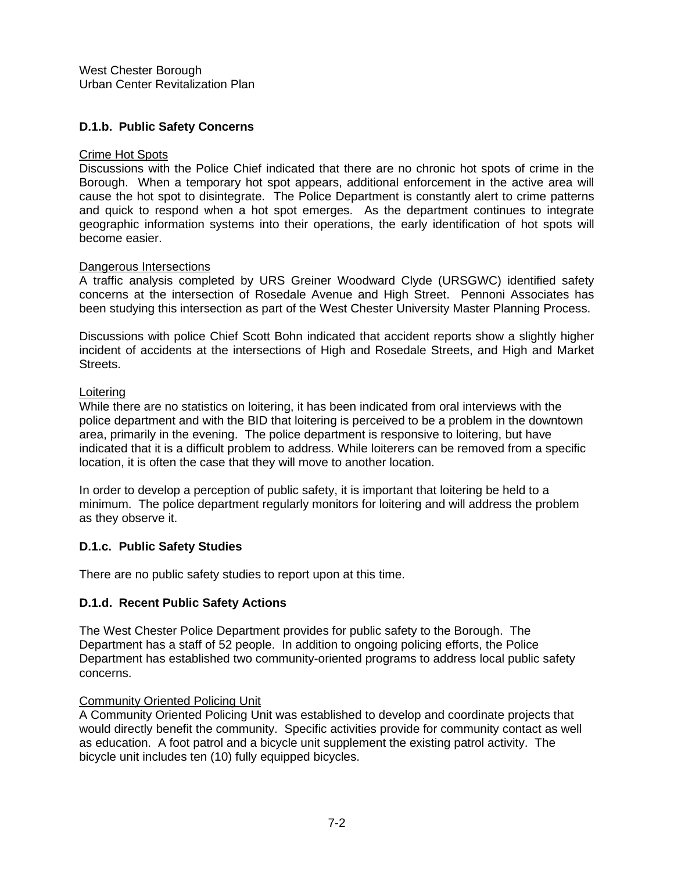# **D.1.b. Public Safety Concerns**

#### Crime Hot Spots

Discussions with the Police Chief indicated that there are no chronic hot spots of crime in the Borough. When a temporary hot spot appears, additional enforcement in the active area will cause the hot spot to disintegrate. The Police Department is constantly alert to crime patterns and quick to respond when a hot spot emerges. As the department continues to integrate geographic information systems into their operations, the early identification of hot spots will become easier.

#### Dangerous Intersections

A traffic analysis completed by URS Greiner Woodward Clyde (URSGWC) identified safety concerns at the intersection of Rosedale Avenue and High Street. Pennoni Associates has been studying this intersection as part of the West Chester University Master Planning Process.

Discussions with police Chief Scott Bohn indicated that accident reports show a slightly higher incident of accidents at the intersections of High and Rosedale Streets, and High and Market Streets.

#### Loitering

While there are no statistics on loitering, it has been indicated from oral interviews with the police department and with the BID that loitering is perceived to be a problem in the downtown area, primarily in the evening. The police department is responsive to loitering, but have indicated that it is a difficult problem to address. While loiterers can be removed from a specific location, it is often the case that they will move to another location.

In order to develop a perception of public safety, it is important that loitering be held to a minimum. The police department regularly monitors for loitering and will address the problem as they observe it.

## **D.1.c. Public Safety Studies**

There are no public safety studies to report upon at this time.

## **D.1.d. Recent Public Safety Actions**

The West Chester Police Department provides for public safety to the Borough. The Department has a staff of 52 people. In addition to ongoing policing efforts, the Police Department has established two community-oriented programs to address local public safety concerns.

#### Community Oriented Policing Unit

A Community Oriented Policing Unit was established to develop and coordinate projects that would directly benefit the community. Specific activities provide for community contact as well as education. A foot patrol and a bicycle unit supplement the existing patrol activity. The bicycle unit includes ten (10) fully equipped bicycles.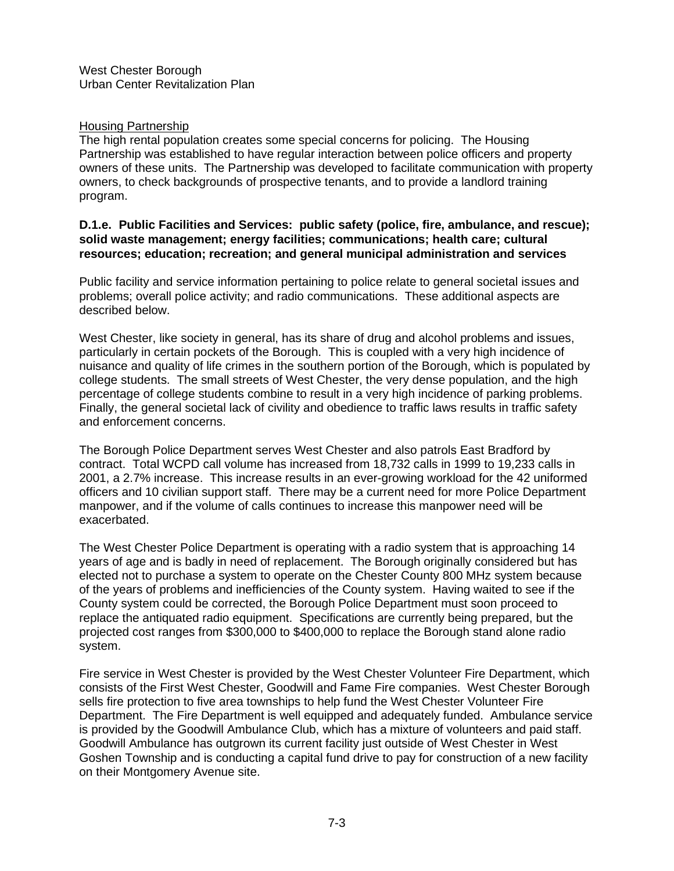#### **Housing Partnership**

The high rental population creates some special concerns for policing. The Housing Partnership was established to have regular interaction between police officers and property owners of these units. The Partnership was developed to facilitate communication with property owners, to check backgrounds of prospective tenants, and to provide a landlord training program.

#### **D.1.e. Public Facilities and Services: public safety (police, fire, ambulance, and rescue); solid waste management; energy facilities; communications; health care; cultural resources; education; recreation; and general municipal administration and services**

Public facility and service information pertaining to police relate to general societal issues and problems; overall police activity; and radio communications. These additional aspects are described below.

West Chester, like society in general, has its share of drug and alcohol problems and issues, particularly in certain pockets of the Borough. This is coupled with a very high incidence of nuisance and quality of life crimes in the southern portion of the Borough, which is populated by college students. The small streets of West Chester, the very dense population, and the high percentage of college students combine to result in a very high incidence of parking problems. Finally, the general societal lack of civility and obedience to traffic laws results in traffic safety and enforcement concerns.

The Borough Police Department serves West Chester and also patrols East Bradford by contract. Total WCPD call volume has increased from 18,732 calls in 1999 to 19,233 calls in 2001, a 2.7% increase. This increase results in an ever-growing workload for the 42 uniformed officers and 10 civilian support staff. There may be a current need for more Police Department manpower, and if the volume of calls continues to increase this manpower need will be exacerbated.

The West Chester Police Department is operating with a radio system that is approaching 14 years of age and is badly in need of replacement. The Borough originally considered but has elected not to purchase a system to operate on the Chester County 800 MHz system because of the years of problems and inefficiencies of the County system. Having waited to see if the County system could be corrected, the Borough Police Department must soon proceed to replace the antiquated radio equipment. Specifications are currently being prepared, but the projected cost ranges from \$300,000 to \$400,000 to replace the Borough stand alone radio system.

Fire service in West Chester is provided by the West Chester Volunteer Fire Department, which consists of the First West Chester, Goodwill and Fame Fire companies. West Chester Borough sells fire protection to five area townships to help fund the West Chester Volunteer Fire Department. The Fire Department is well equipped and adequately funded. Ambulance service is provided by the Goodwill Ambulance Club, which has a mixture of volunteers and paid staff. Goodwill Ambulance has outgrown its current facility just outside of West Chester in West Goshen Township and is conducting a capital fund drive to pay for construction of a new facility on their Montgomery Avenue site.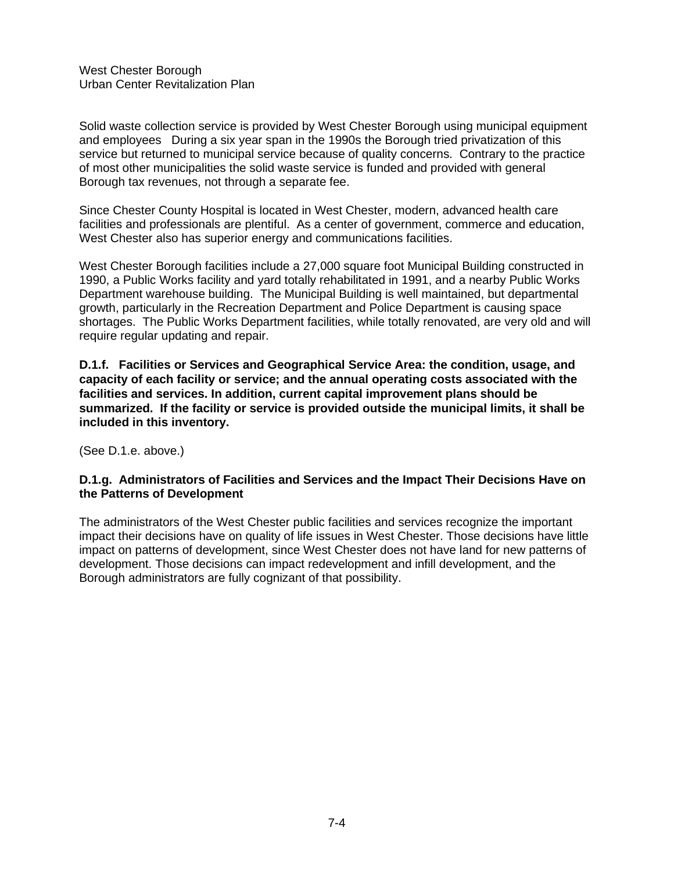Solid waste collection service is provided by West Chester Borough using municipal equipment and employees During a six year span in the 1990s the Borough tried privatization of this service but returned to municipal service because of quality concerns. Contrary to the practice of most other municipalities the solid waste service is funded and provided with general Borough tax revenues, not through a separate fee.

Since Chester County Hospital is located in West Chester, modern, advanced health care facilities and professionals are plentiful. As a center of government, commerce and education, West Chester also has superior energy and communications facilities.

West Chester Borough facilities include a 27,000 square foot Municipal Building constructed in 1990, a Public Works facility and yard totally rehabilitated in 1991, and a nearby Public Works Department warehouse building. The Municipal Building is well maintained, but departmental growth, particularly in the Recreation Department and Police Department is causing space shortages. The Public Works Department facilities, while totally renovated, are very old and will require regular updating and repair.

**D.1.f. Facilities or Services and Geographical Service Area: the condition, usage, and capacity of each facility or service; and the annual operating costs associated with the facilities and services. In addition, current capital improvement plans should be summarized. If the facility or service is provided outside the municipal limits, it shall be included in this inventory.**

(See D.1.e. above.)

## **D.1.g. Administrators of Facilities and Services and the Impact Their Decisions Have on the Patterns of Development**

The administrators of the West Chester public facilities and services recognize the important impact their decisions have on quality of life issues in West Chester. Those decisions have little impact on patterns of development, since West Chester does not have land for new patterns of development. Those decisions can impact redevelopment and infill development, and the Borough administrators are fully cognizant of that possibility.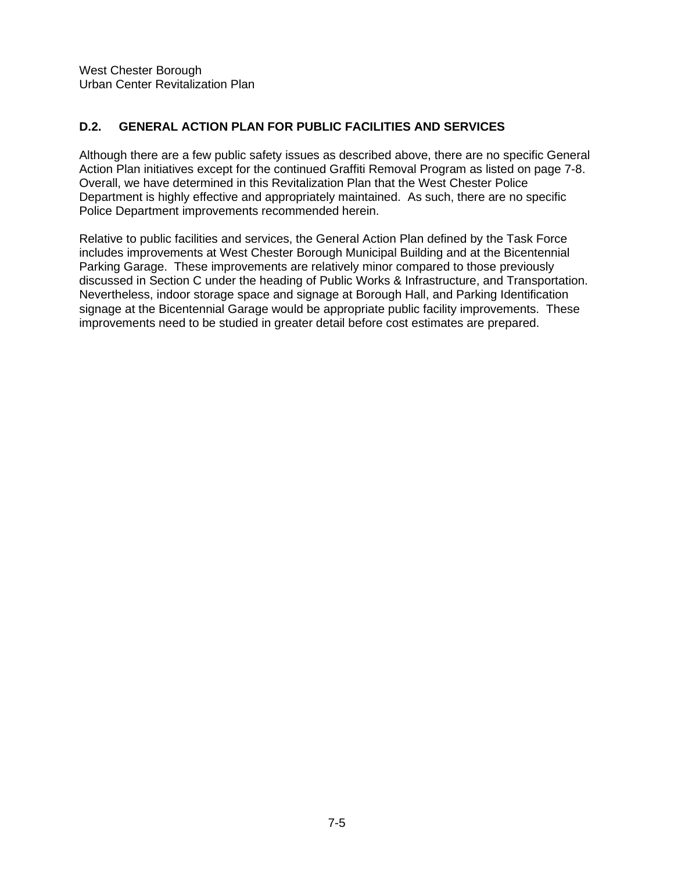# **D.2. GENERAL ACTION PLAN FOR PUBLIC FACILITIES AND SERVICES**

Although there are a few public safety issues as described above, there are no specific General Action Plan initiatives except for the continued Graffiti Removal Program as listed on page 7-8. Overall, we have determined in this Revitalization Plan that the West Chester Police Department is highly effective and appropriately maintained. As such, there are no specific Police Department improvements recommended herein.

Relative to public facilities and services, the General Action Plan defined by the Task Force includes improvements at West Chester Borough Municipal Building and at the Bicentennial Parking Garage. These improvements are relatively minor compared to those previously discussed in Section C under the heading of Public Works & Infrastructure, and Transportation. Nevertheless, indoor storage space and signage at Borough Hall, and Parking Identification signage at the Bicentennial Garage would be appropriate public facility improvements. These improvements need to be studied in greater detail before cost estimates are prepared.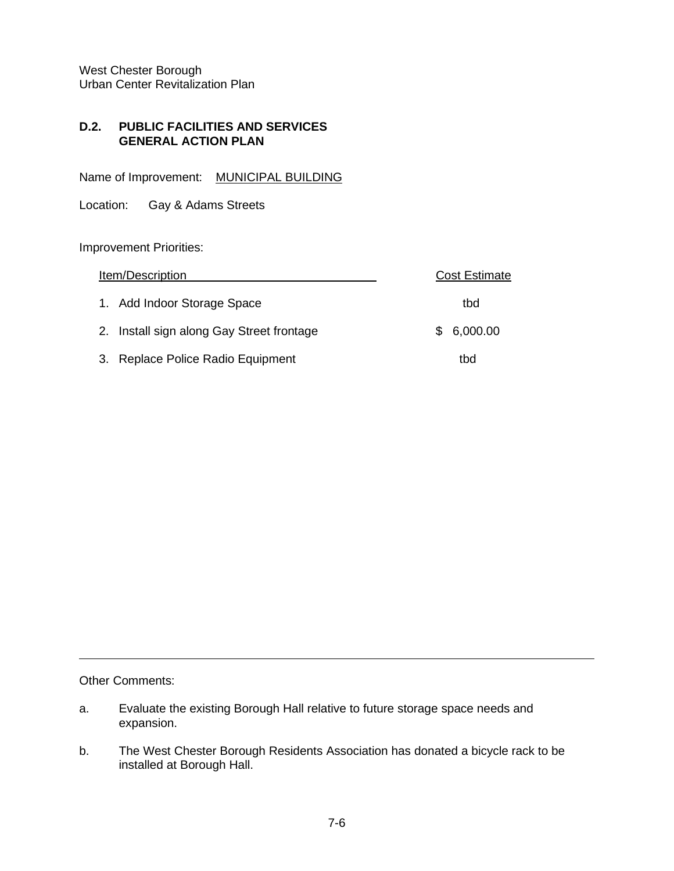#### **D.2. PUBLIC FACILITIES AND SERVICES GENERAL ACTION PLAN**

Name of Improvement: MUNICIPAL BUILDING

Location: Gay & Adams Streets

Improvement Priorities:

| <u>Item/Description</u>                   | <b>Cost Estimate</b> |
|-------------------------------------------|----------------------|
| 1. Add Indoor Storage Space               | tbd                  |
| 2. Install sign along Gay Street frontage | 6,000.00<br>S.       |
| 3. Replace Police Radio Equipment         | tbd                  |

Other Comments:

- a. Evaluate the existing Borough Hall relative to future storage space needs and expansion.
- b. The West Chester Borough Residents Association has donated a bicycle rack to be installed at Borough Hall.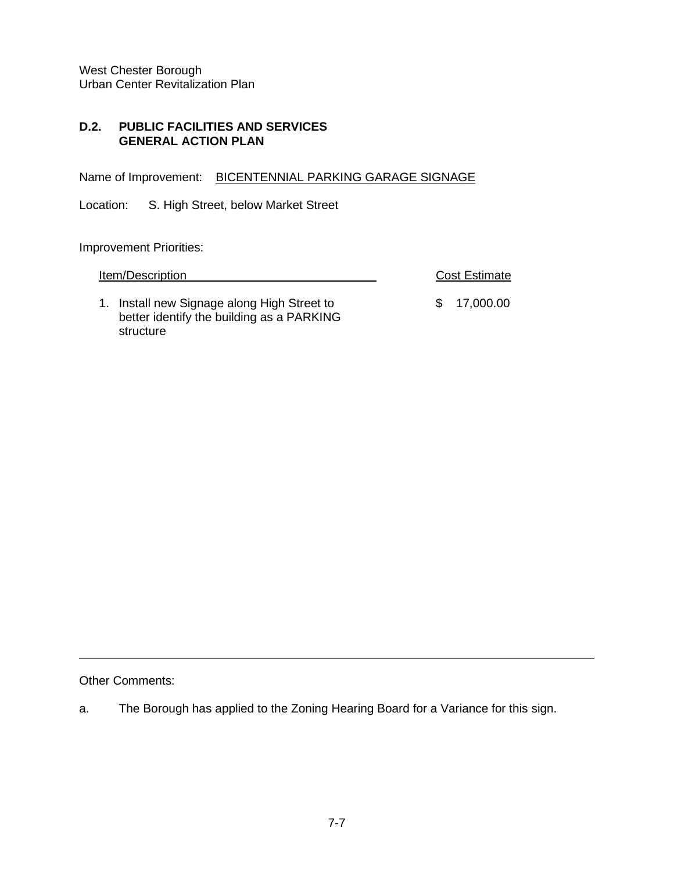#### **D.2. PUBLIC FACILITIES AND SERVICES GENERAL ACTION PLAN**

Name of Improvement: BICENTENNIAL PARKING GARAGE SIGNAGE

Location: S. High Street, below Market Street

Improvement Priorities:

| Item/Description | <b>Cost Estimate</b> |
|------------------|----------------------|
|                  |                      |

1. Install new Signage along High Street to  $$ 17,000.00$ better identify the building as a PARKING structure

Other Comments:

a. The Borough has applied to the Zoning Hearing Board for a Variance for this sign.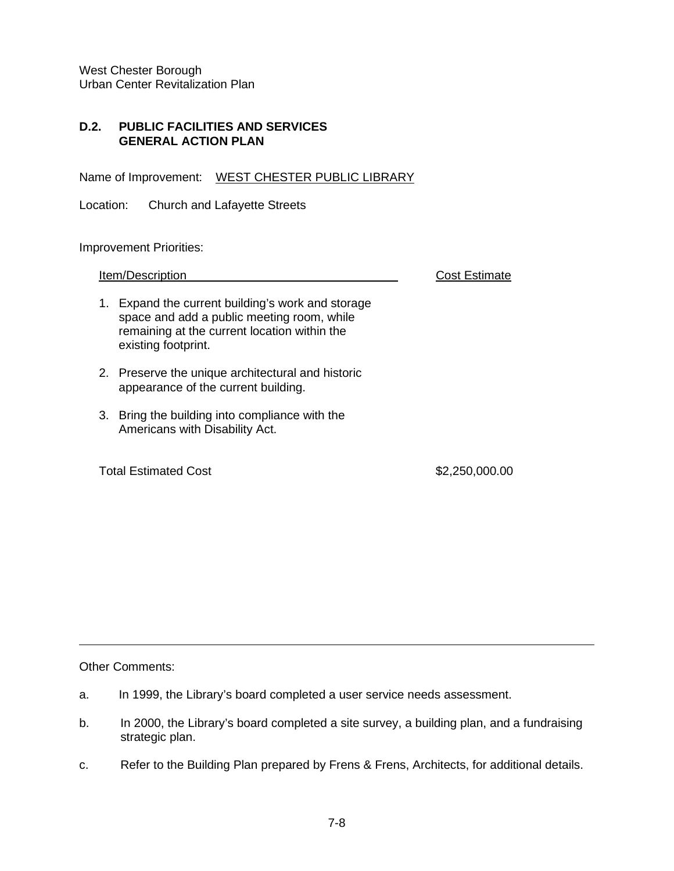#### **D.2. PUBLIC FACILITIES AND SERVICES GENERAL ACTION PLAN**

Name of Improvement: WEST CHESTER PUBLIC LIBRARY

Location: Church and Lafayette Streets

Improvement Priorities:

**Item/Description Cost Estimate** 

- 1. Expand the current building's work and storage space and add a public meeting room, while remaining at the current location within the existing footprint.
- 2. Preserve the unique architectural and historic appearance of the current building.
- 3. Bring the building into compliance with the Americans with Disability Act.

Total Estimated Cost \$2,250,000.00

Other Comments:

- a. In 1999, the Library's board completed a user service needs assessment.
- b. In 2000, the Library's board completed a site survey, a building plan, and a fundraising strategic plan.
- c. Refer to the Building Plan prepared by Frens & Frens, Architects, for additional details.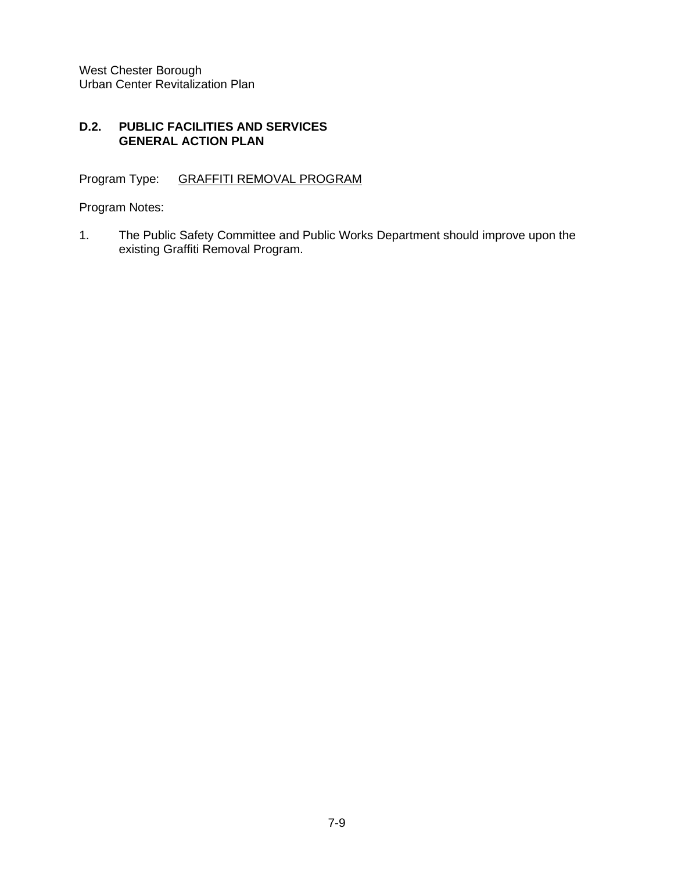#### **D.2. PUBLIC FACILITIES AND SERVICES GENERAL ACTION PLAN**

Program Type: GRAFFITI REMOVAL PROGRAM

Program Notes:

1. The Public Safety Committee and Public Works Department should improve upon the existing Graffiti Removal Program.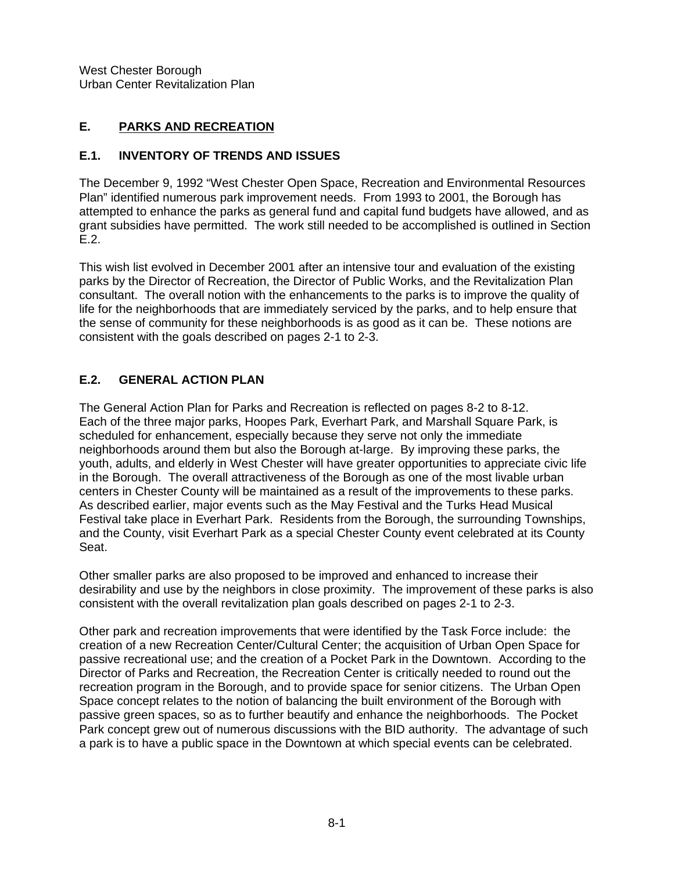# **E. PARKS AND RECREATION**

## **E.1. INVENTORY OF TRENDS AND ISSUES**

The December 9, 1992 "West Chester Open Space, Recreation and Environmental Resources Plan" identified numerous park improvement needs. From 1993 to 2001, the Borough has attempted to enhance the parks as general fund and capital fund budgets have allowed, and as grant subsidies have permitted. The work still needed to be accomplished is outlined in Section E.2.

This wish list evolved in December 2001 after an intensive tour and evaluation of the existing parks by the Director of Recreation, the Director of Public Works, and the Revitalization Plan consultant. The overall notion with the enhancements to the parks is to improve the quality of life for the neighborhoods that are immediately serviced by the parks, and to help ensure that the sense of community for these neighborhoods is as good as it can be. These notions are consistent with the goals described on pages 2-1 to 2-3.

## **E.2. GENERAL ACTION PLAN**

The General Action Plan for Parks and Recreation is reflected on pages 8-2 to 8-12. Each of the three major parks, Hoopes Park, Everhart Park, and Marshall Square Park, is scheduled for enhancement, especially because they serve not only the immediate neighborhoods around them but also the Borough at-large. By improving these parks, the youth, adults, and elderly in West Chester will have greater opportunities to appreciate civic life in the Borough. The overall attractiveness of the Borough as one of the most livable urban centers in Chester County will be maintained as a result of the improvements to these parks. As described earlier, major events such as the May Festival and the Turks Head Musical Festival take place in Everhart Park. Residents from the Borough, the surrounding Townships, and the County, visit Everhart Park as a special Chester County event celebrated at its County Seat.

Other smaller parks are also proposed to be improved and enhanced to increase their desirability and use by the neighbors in close proximity. The improvement of these parks is also consistent with the overall revitalization plan goals described on pages 2-1 to 2-3.

Other park and recreation improvements that were identified by the Task Force include: the creation of a new Recreation Center/Cultural Center; the acquisition of Urban Open Space for passive recreational use; and the creation of a Pocket Park in the Downtown. According to the Director of Parks and Recreation, the Recreation Center is critically needed to round out the recreation program in the Borough, and to provide space for senior citizens. The Urban Open Space concept relates to the notion of balancing the built environment of the Borough with passive green spaces, so as to further beautify and enhance the neighborhoods. The Pocket Park concept grew out of numerous discussions with the BID authority. The advantage of such a park is to have a public space in the Downtown at which special events can be celebrated.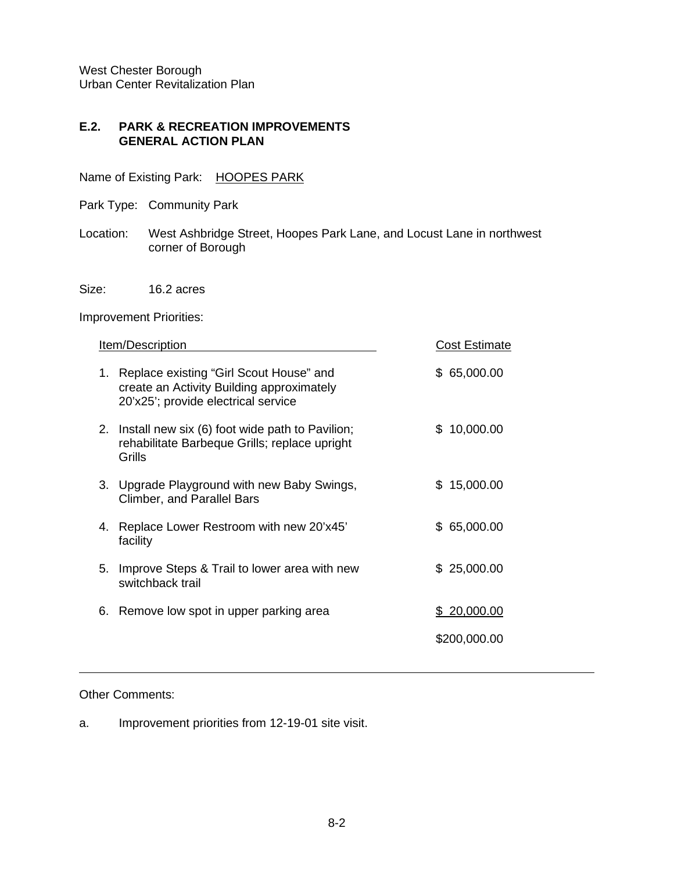#### **E.2. PARK & RECREATION IMPROVEMENTS GENERAL ACTION PLAN**

Name of Existing Park: HOOPES PARK

- Park Type: Community Park
- Location: West Ashbridge Street, Hoopes Park Lane, and Locust Lane in northwest corner of Borough
- Size: 16.2 acres

Improvement Priorities:

|    | Item/Description                                                                                                            | <b>Cost Estimate</b> |
|----|-----------------------------------------------------------------------------------------------------------------------------|----------------------|
| 1. | Replace existing "Girl Scout House" and<br>create an Activity Building approximately<br>20'x25'; provide electrical service | \$65,000.00          |
| 2. | Install new six (6) foot wide path to Pavilion;<br>rehabilitate Barbeque Grills; replace upright<br>Grills                  | \$10,000.00          |
|    | 3. Upgrade Playground with new Baby Swings,<br><b>Climber, and Parallel Bars</b>                                            | \$15,000.00          |
| 4. | Replace Lower Restroom with new 20'x45'<br>facility                                                                         | \$65,000.00          |
| 5. | Improve Steps & Trail to lower area with new<br>switchback trail                                                            | \$25,000.00          |
|    | 6. Remove low spot in upper parking area                                                                                    | \$20,000.00          |
|    |                                                                                                                             | \$200,000.00         |
|    |                                                                                                                             |                      |

#### Other Comments:

a. Improvement priorities from 12-19-01 site visit.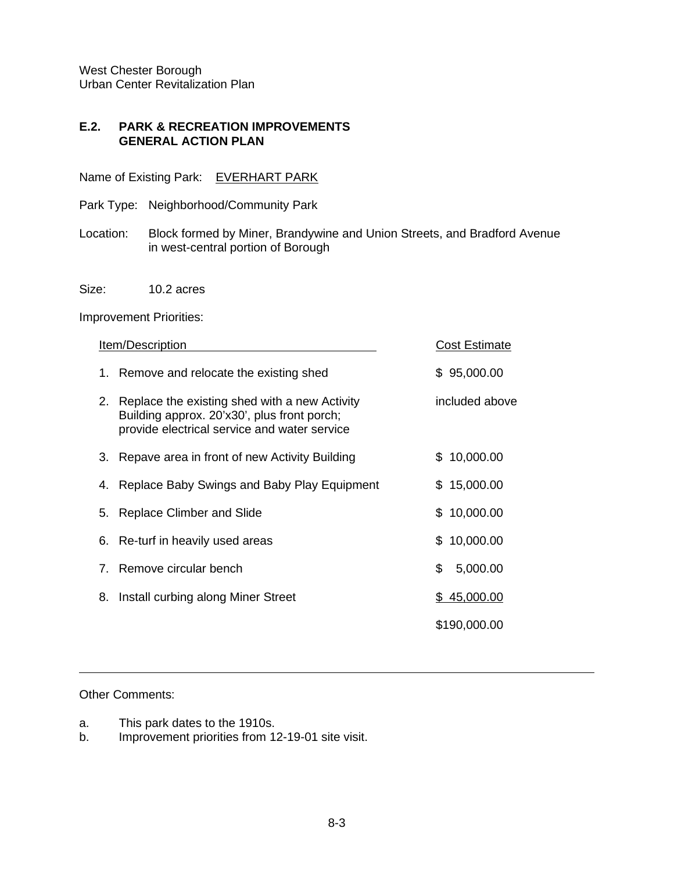#### **E.2. PARK & RECREATION IMPROVEMENTS GENERAL ACTION PLAN**

Name of Existing Park: EVERHART PARK

- Park Type: Neighborhood/Community Park
- Location: Block formed by Miner, Brandywine and Union Streets, and Bradford Avenue in west-central portion of Borough

Size: 10.2 acres

Improvement Priorities:

|                                | Item/Description                                                                                                                             | Cost Estimate  |
|--------------------------------|----------------------------------------------------------------------------------------------------------------------------------------------|----------------|
| 1.                             | Remove and relocate the existing shed                                                                                                        | \$95,000.00    |
| 2.                             | Replace the existing shed with a new Activity<br>Building approx. 20'x30', plus front porch;<br>provide electrical service and water service | included above |
| 3.                             | Repave area in front of new Activity Building                                                                                                | \$10,000.00    |
| 4.                             | Replace Baby Swings and Baby Play Equipment                                                                                                  | \$15,000.00    |
| 5.                             | Replace Climber and Slide                                                                                                                    | \$10,000.00    |
|                                | 6. Re-turf in heavily used areas                                                                                                             | \$10,000.00    |
| $7_{\scriptscriptstyle{\sim}}$ | Remove circular bench                                                                                                                        | \$<br>5,000.00 |
| 8.                             | Install curbing along Miner Street                                                                                                           | \$45,000.00    |
|                                |                                                                                                                                              | \$190,000.00   |

#### Other Comments:

- a. This park dates to the 1910s.<br>b. Improvement priorities from 1.
- Improvement priorities from 12-19-01 site visit.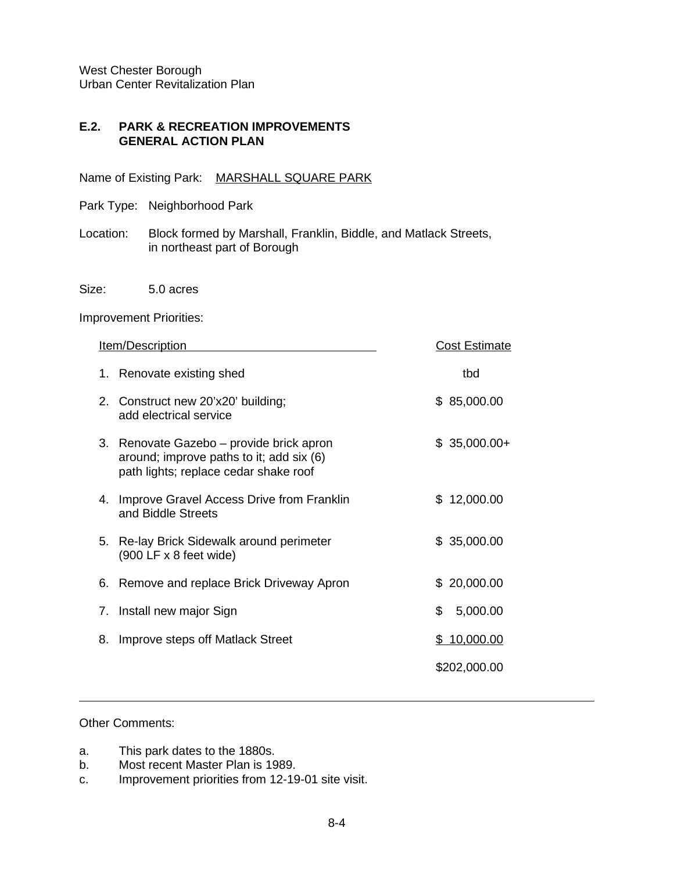#### **E.2. PARK & RECREATION IMPROVEMENTS GENERAL ACTION PLAN**

Name of Existing Park: MARSHALL SQUARE PARK

- Park Type: Neighborhood Park
- Location: Block formed by Marshall, Franklin, Biddle, and Matlack Streets, in northeast part of Borough
- Size: 5.0 acres

#### Improvement Priorities:

|    | Item/Description                                                                                                              |     | <b>Cost Estimate</b> |
|----|-------------------------------------------------------------------------------------------------------------------------------|-----|----------------------|
| 1. | Renovate existing shed                                                                                                        |     | tbd                  |
|    | 2. Construct new 20'x20' building;<br>add electrical service                                                                  |     | \$85,000.00          |
|    | 3. Renovate Gazebo – provide brick apron<br>around; improve paths to it; add six (6)<br>path lights; replace cedar shake roof |     | $$35,000.00+$        |
| 4. | Improve Gravel Access Drive from Franklin<br>and Biddle Streets                                                               | \$. | 12,000.00            |
| 5. | Re-lay Brick Sidewalk around perimeter<br>(900 LF x 8 feet wide)                                                              |     | \$35,000.00          |
|    | 6. Remove and replace Brick Driveway Apron                                                                                    | \$. | 20,000.00            |
|    | 7. Install new major Sign                                                                                                     | \$  | 5,000.00             |
| 8. | Improve steps off Matlack Street                                                                                              |     | \$10,000.00          |
|    |                                                                                                                               |     | \$202,000.00         |

#### Other Comments:

- a. This park dates to the 1880s.
- b. Most recent Master Plan is 1989.
- c. Improvement priorities from 12-19-01 site visit.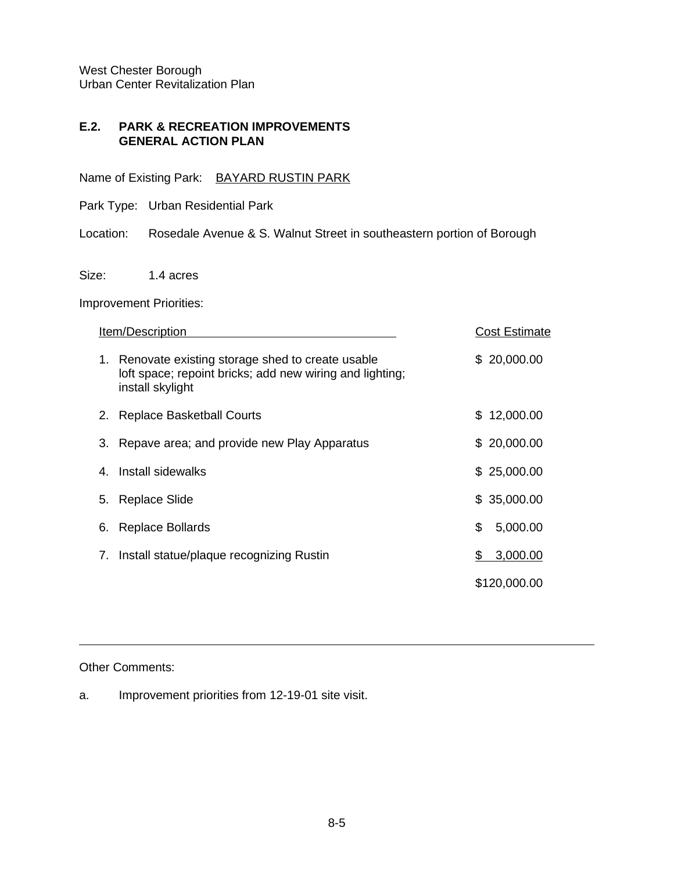#### **E.2. PARK & RECREATION IMPROVEMENTS GENERAL ACTION PLAN**

Name of Existing Park: BAYARD RUSTIN PARK

Park Type: Urban Residential Park

Location: Rosedale Avenue & S. Walnut Street in southeastern portion of Borough

Size: 1.4 acres

Improvement Priorities:

| Item/Description                                                                                                                      | <b>Cost Estimate</b> |
|---------------------------------------------------------------------------------------------------------------------------------------|----------------------|
| Renovate existing storage shed to create usable<br>1.<br>loft space; repoint bricks; add new wiring and lighting;<br>install skylight | \$20,000.00          |
| <b>Replace Basketball Courts</b><br>2.                                                                                                | 12,000.00<br>\$.     |
| Repave area; and provide new Play Apparatus<br>З.                                                                                     | \$20,000.00          |
| 4. Install sidewalks                                                                                                                  | \$25,000.00          |
| Replace Slide<br>5.                                                                                                                   | \$35,000.00          |
| <b>Replace Bollards</b><br>6.                                                                                                         | \$<br>5,000.00       |
| Install statue/plaque recognizing Rustin<br>7.                                                                                        | 3,000.00<br>S.       |
|                                                                                                                                       | \$120,000.00         |

Other Comments:

a. Improvement priorities from 12-19-01 site visit.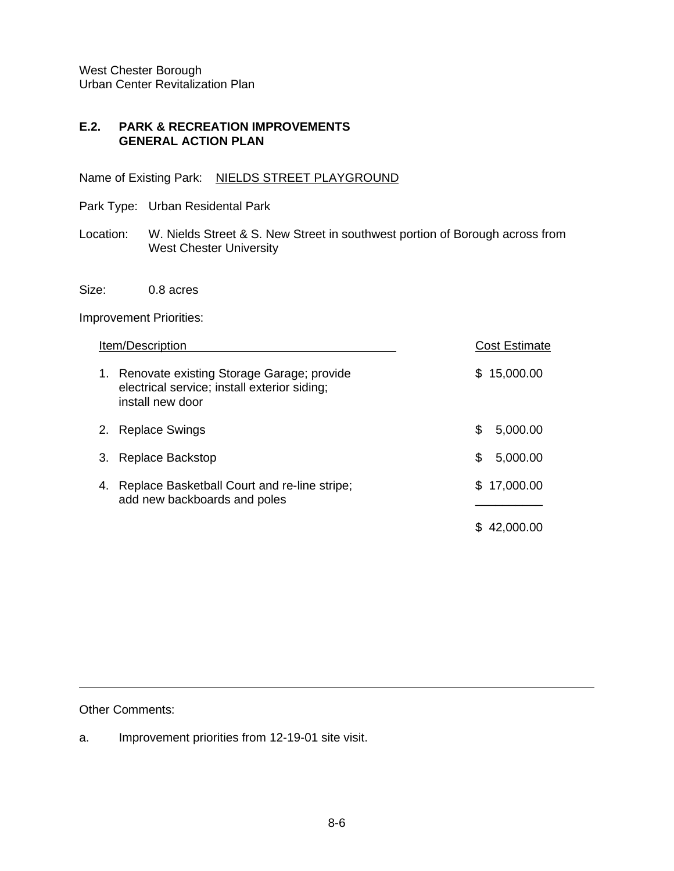#### **E.2. PARK & RECREATION IMPROVEMENTS GENERAL ACTION PLAN**

Name of Existing Park: NIELDS STREET PLAYGROUND

- Park Type: Urban Residental Park
- Location: W. Nields Street & S. New Street in southwest portion of Borough across from West Chester University
- Size: 0.8 acres

Improvement Priorities:

|    | Item/Description                                                                                                 | <b>Cost Estimate</b> |
|----|------------------------------------------------------------------------------------------------------------------|----------------------|
|    | 1. Renovate existing Storage Garage; provide<br>electrical service; install exterior siding;<br>install new door | 15,000.00<br>S       |
| 2. | <b>Replace Swings</b>                                                                                            | S<br>5,000.00        |
|    | Replace Backstop                                                                                                 | \$<br>5,000.00       |
| 4. | Replace Basketball Court and re-line stripe;<br>add new backboards and poles                                     | 17,000.00<br>S.      |
|    |                                                                                                                  | 42.000.00            |

Other Comments:

a. Improvement priorities from 12-19-01 site visit.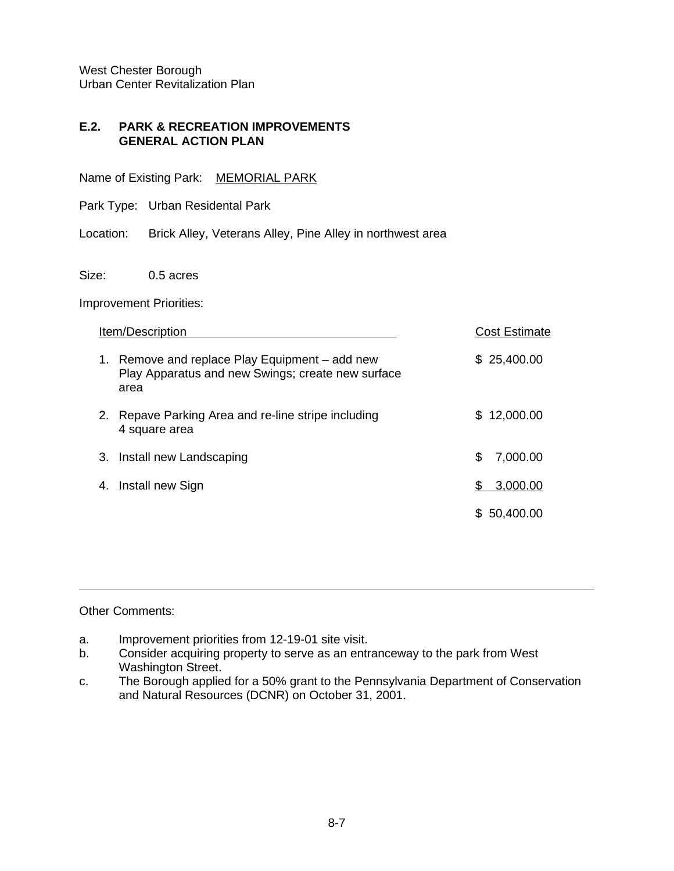#### **E.2. PARK & RECREATION IMPROVEMENTS GENERAL ACTION PLAN**

Name of Existing Park: MEMORIAL PARK

Park Type: Urban Residental Park

Location: Brick Alley, Veterans Alley, Pine Alley in northwest area

Size: 0.5 acres

Improvement Priorities:

|    | Item/Description                                                                                            |     | <b>Cost Estimate</b> |
|----|-------------------------------------------------------------------------------------------------------------|-----|----------------------|
|    | 1. Remove and replace Play Equipment – add new<br>Play Apparatus and new Swings; create new surface<br>area |     | \$25,400.00          |
| 2. | Repave Parking Area and re-line stripe including<br>4 square area                                           | \$. | 12,000.00            |
| 3. | Install new Landscaping                                                                                     | \$  | 7,000.00             |
| 4. | Install new Sign                                                                                            | S   | 3,000.00             |
|    |                                                                                                             | S.  | 50,400.00            |
|    |                                                                                                             |     |                      |

#### Other Comments:

- a. Improvement priorities from 12-19-01 site visit.
- b. Consider acquiring property to serve as an entranceway to the park from West Washington Street.
- c. The Borough applied for a 50% grant to the Pennsylvania Department of Conservation and Natural Resources (DCNR) on October 31, 2001.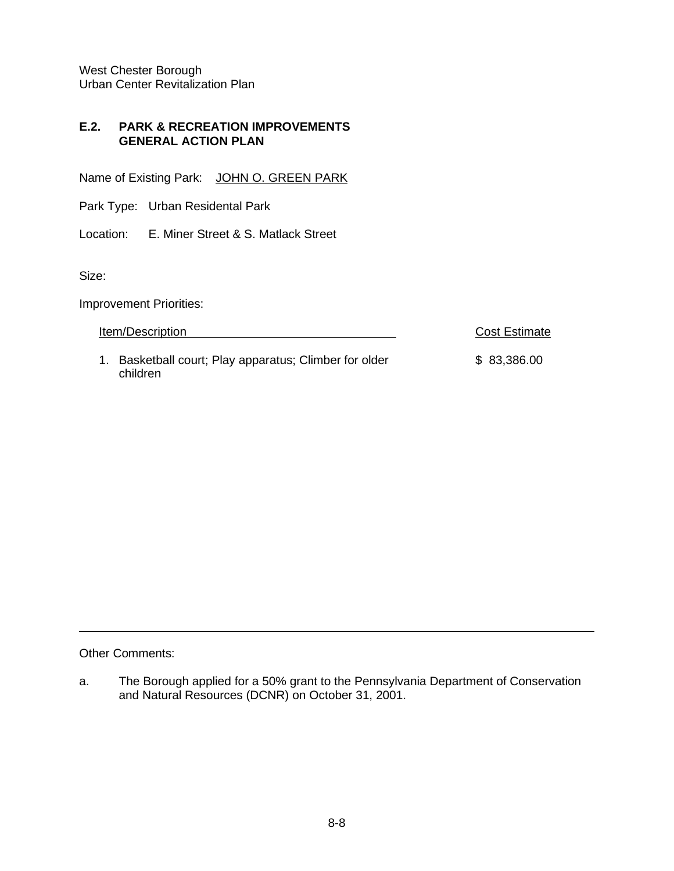#### **E.2. PARK & RECREATION IMPROVEMENTS GENERAL ACTION PLAN**

Name of Existing Park: JOHN O. GREEN PARK

Park Type: Urban Residental Park

Location: E. Miner Street & S. Matlack Street

Size:

Improvement Priorities:

Item/Description **Cost Estimate** 

1. Basketball court; Play apparatus; Climber for older \$ 83,386.00 children

Other Comments:

a. The Borough applied for a 50% grant to the Pennsylvania Department of Conservation and Natural Resources (DCNR) on October 31, 2001.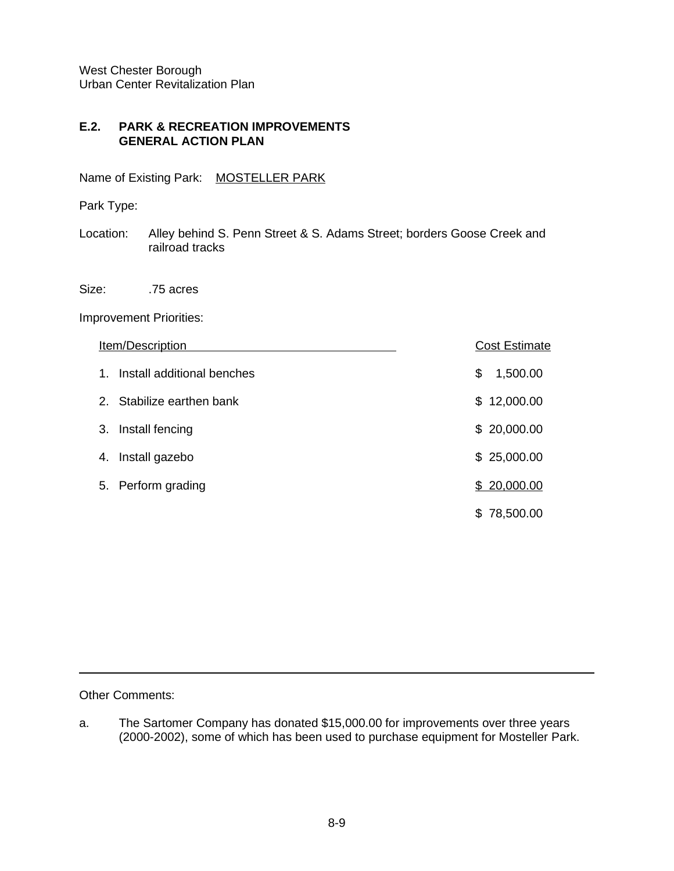## **E.2. PARK & RECREATION IMPROVEMENTS GENERAL ACTION PLAN**

Name of Existing Park: MOSTELLER PARK

Park Type:

Location: Alley behind S. Penn Street & S. Adams Street; borders Goose Creek and railroad tracks

Size: .75 acres

Improvement Priorities:

|    | Item/Description           |    | <b>Cost Estimate</b> |
|----|----------------------------|----|----------------------|
| 1. | Install additional benches | \$ | 1,500.00             |
|    | 2. Stabilize earthen bank  |    | \$12,000.00          |
| 3. | Install fencing            |    | \$20,000.00          |
| 4. | Install gazebo             |    | \$25,000.00          |
|    | 5. Perform grading         |    | \$20,000.00          |
|    |                            | S. | 78,500.00            |

Other Comments:

a. The Sartomer Company has donated \$15,000.00 for improvements over three years (2000-2002), some of which has been used to purchase equipment for Mosteller Park.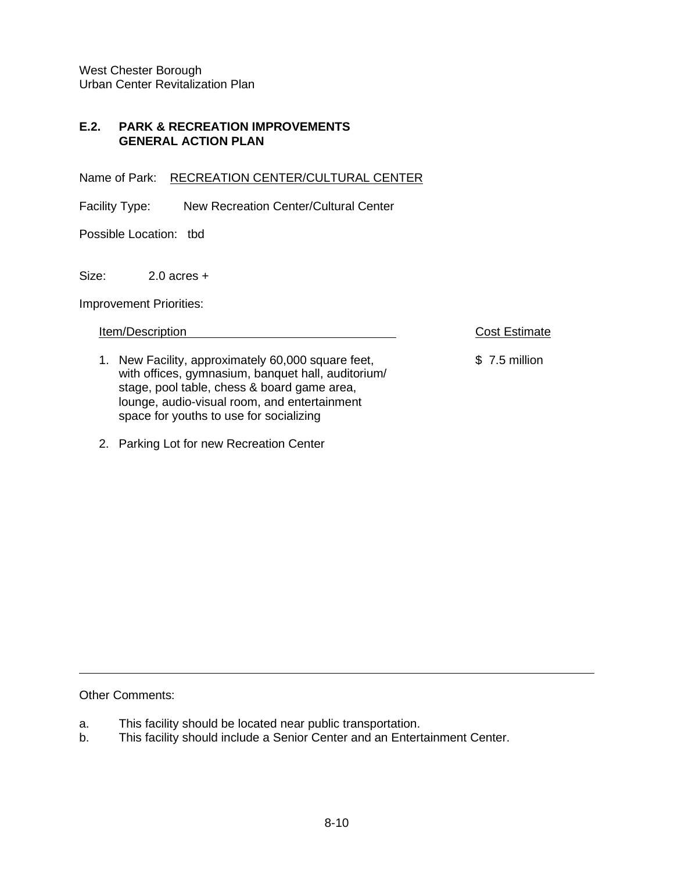## **E.2. PARK & RECREATION IMPROVEMENTS GENERAL ACTION PLAN**

Name of Park: RECREATION CENTER/CULTURAL CENTER

Facility Type: New Recreation Center/Cultural Center

Possible Location: tbd

Size: 2.0 acres +

Improvement Priorities:

Item/Description **Cost Estimate** 

- 1. New Facility, approximately 60,000 square feet, \$ 7.5 million with offices, gymnasium, banquet hall, auditorium/ stage, pool table, chess & board game area, lounge, audio-visual room, and entertainment space for youths to use for socializing
- 2. Parking Lot for new Recreation Center

Other Comments:

- a. This facility should be located near public transportation.
- b. This facility should include a Senior Center and an Entertainment Center.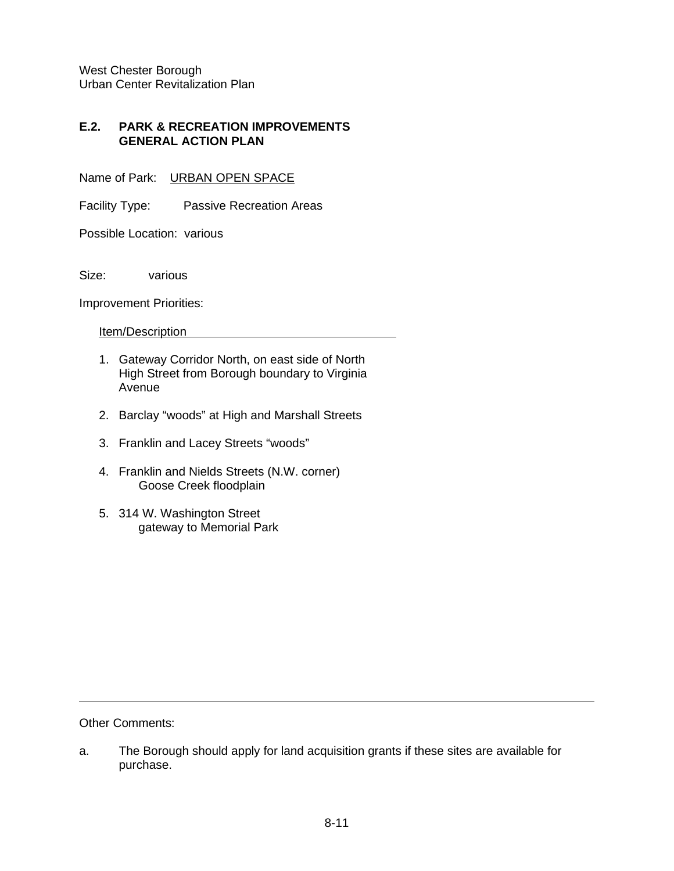#### **E.2. PARK & RECREATION IMPROVEMENTS GENERAL ACTION PLAN**

Name of Park: URBAN OPEN SPACE

Facility Type: Passive Recreation Areas

Possible Location: various

Size: various

Improvement Priorities:

Item/Description

- 1. Gateway Corridor North, on east side of North High Street from Borough boundary to Virginia Avenue
- 2. Barclay "woods" at High and Marshall Streets
- 3. Franklin and Lacey Streets "woods"
- 4. Franklin and Nields Streets (N.W. corner) Goose Creek floodplain
- 5. 314 W. Washington Street gateway to Memorial Park

Other Comments:

a. The Borough should apply for land acquisition grants if these sites are available for purchase.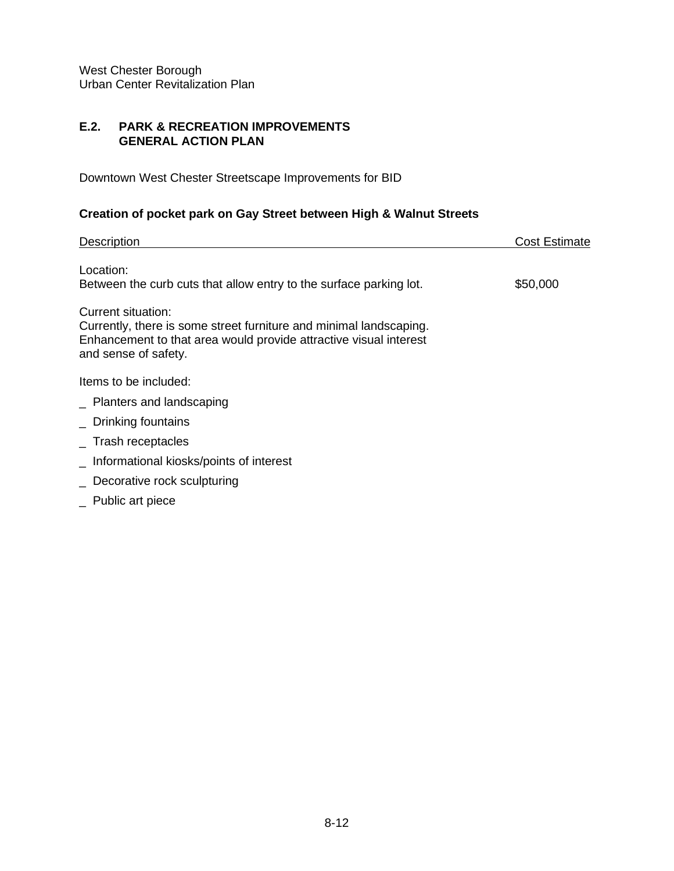#### **E.2. PARK & RECREATION IMPROVEMENTS GENERAL ACTION PLAN**

Downtown West Chester Streetscape Improvements for BID

# **Creation of pocket park on Gay Street between High & Walnut Streets**

| <b>Description</b>                                                                                                                                                                    | Cost Estimate |
|---------------------------------------------------------------------------------------------------------------------------------------------------------------------------------------|---------------|
| Location:<br>Between the curb cuts that allow entry to the surface parking lot.                                                                                                       | \$50,000      |
| Current situation:<br>Currently, there is some street furniture and minimal landscaping.<br>Enhancement to that area would provide attractive visual interest<br>and sense of safety. |               |
| Items to be included:                                                                                                                                                                 |               |
| _ Planters and landscaping                                                                                                                                                            |               |
| _ Drinking fountains                                                                                                                                                                  |               |
| $\_$ Trash receptacles                                                                                                                                                                |               |
| _ Informational kiosks/points of interest                                                                                                                                             |               |
| _ Decorative rock sculpturing                                                                                                                                                         |               |
| _ Public art piece                                                                                                                                                                    |               |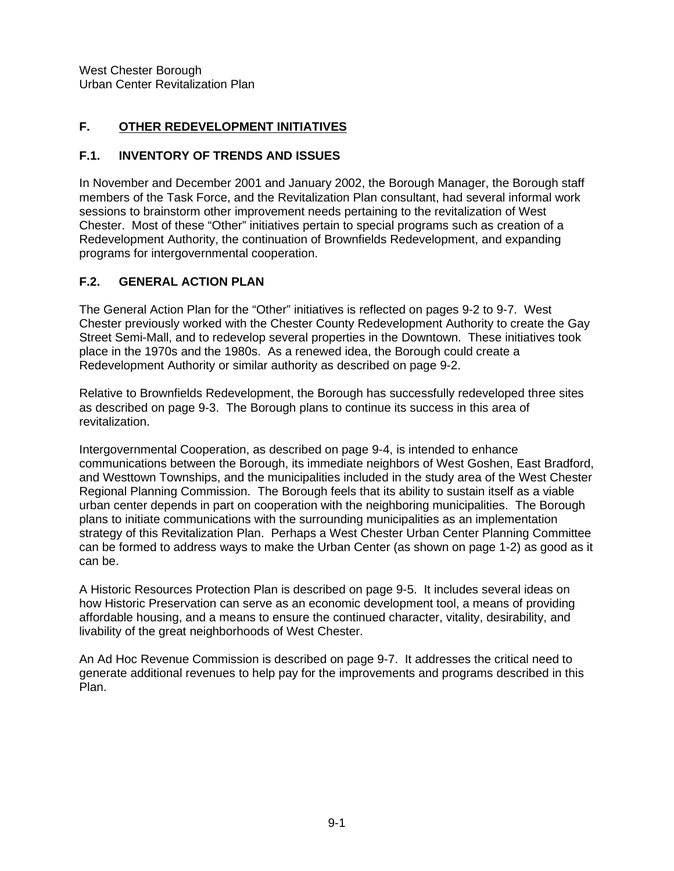# **F. OTHER REDEVELOPMENT INITIATIVES**

## **F.1. INVENTORY OF TRENDS AND ISSUES**

In November and December 2001 and January 2002, the Borough Manager, the Borough staff members of the Task Force, and the Revitalization Plan consultant, had several informal work sessions to brainstorm other improvement needs pertaining to the revitalization of West Chester. Most of these "Other" initiatives pertain to special programs such as creation of a Redevelopment Authority, the continuation of Brownfields Redevelopment, and expanding programs for intergovernmental cooperation.

## **F.2. GENERAL ACTION PLAN**

The General Action Plan for the "Other" initiatives is reflected on pages 9-2 to 9-7. West Chester previously worked with the Chester County Redevelopment Authority to create the Gay Street Semi-Mall, and to redevelop several properties in the Downtown. These initiatives took place in the 1970s and the 1980s. As a renewed idea, the Borough could create a Redevelopment Authority or similar authority as described on page 9-2.

Relative to Brownfields Redevelopment, the Borough has successfully redeveloped three sites as described on page 9-3. The Borough plans to continue its success in this area of revitalization.

Intergovernmental Cooperation, as described on page 9-4, is intended to enhance communications between the Borough, its immediate neighbors of West Goshen, East Bradford, and Westtown Townships, and the municipalities included in the study area of the West Chester Regional Planning Commission. The Borough feels that its ability to sustain itself as a viable urban center depends in part on cooperation with the neighboring municipalities. The Borough plans to initiate communications with the surrounding municipalities as an implementation strategy of this Revitalization Plan. Perhaps a West Chester Urban Center Planning Committee can be formed to address ways to make the Urban Center (as shown on page 1-2) as good as it can be.

A Historic Resources Protection Plan is described on page 9-5. It includes several ideas on how Historic Preservation can serve as an economic development tool, a means of providing affordable housing, and a means to ensure the continued character, vitality, desirability, and livability of the great neighborhoods of West Chester.

An Ad Hoc Revenue Commission is described on page 9-7. It addresses the critical need to generate additional revenues to help pay for the improvements and programs described in this Plan.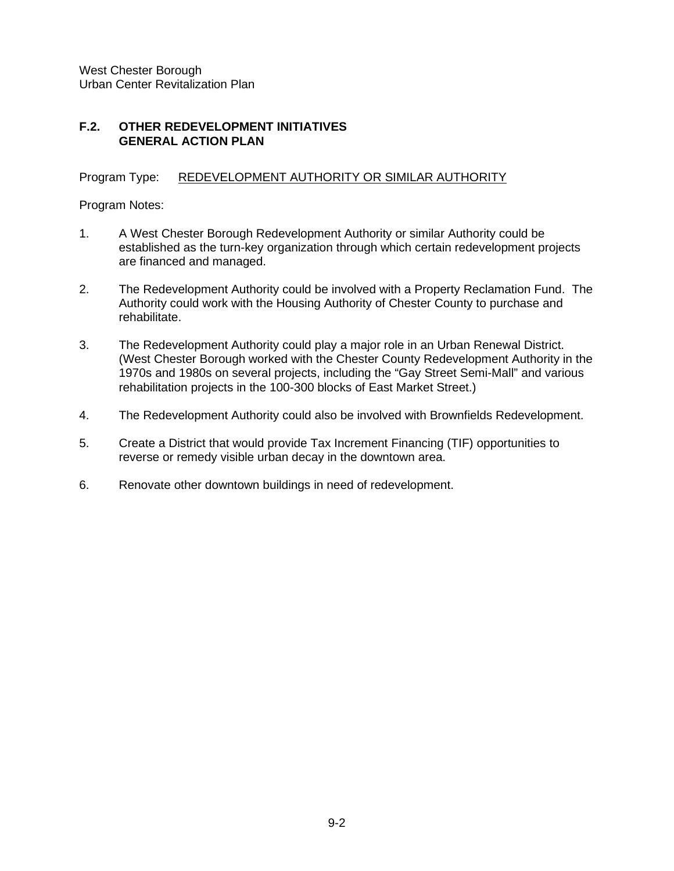## **F.2. OTHER REDEVELOPMENT INITIATIVES GENERAL ACTION PLAN**

## Program Type: REDEVELOPMENT AUTHORITY OR SIMILAR AUTHORITY

Program Notes:

- 1. A West Chester Borough Redevelopment Authority or similar Authority could be established as the turn-key organization through which certain redevelopment projects are financed and managed.
- 2. The Redevelopment Authority could be involved with a Property Reclamation Fund. The Authority could work with the Housing Authority of Chester County to purchase and rehabilitate.
- 3. The Redevelopment Authority could play a major role in an Urban Renewal District. (West Chester Borough worked with the Chester County Redevelopment Authority in the 1970s and 1980s on several projects, including the "Gay Street Semi-Mall" and various rehabilitation projects in the 100-300 blocks of East Market Street.)
- 4. The Redevelopment Authority could also be involved with Brownfields Redevelopment.
- 5. Create a District that would provide Tax Increment Financing (TIF) opportunities to reverse or remedy visible urban decay in the downtown area.
- 6. Renovate other downtown buildings in need of redevelopment.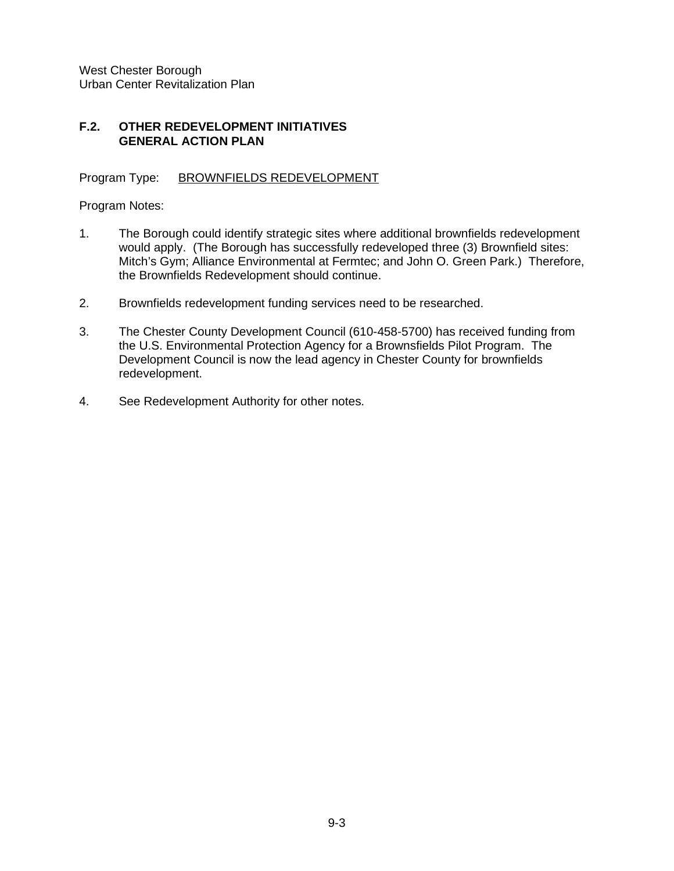## **F.2. OTHER REDEVELOPMENT INITIATIVES GENERAL ACTION PLAN**

Program Type: BROWNFIELDS REDEVELOPMENT

Program Notes:

- 1. The Borough could identify strategic sites where additional brownfields redevelopment would apply. (The Borough has successfully redeveloped three (3) Brownfield sites: Mitch's Gym; Alliance Environmental at Fermtec; and John O. Green Park.) Therefore, the Brownfields Redevelopment should continue.
- 2. Brownfields redevelopment funding services need to be researched.
- 3. The Chester County Development Council (610-458-5700) has received funding from the U.S. Environmental Protection Agency for a Brownsfields Pilot Program. The Development Council is now the lead agency in Chester County for brownfields redevelopment.
- 4. See Redevelopment Authority for other notes.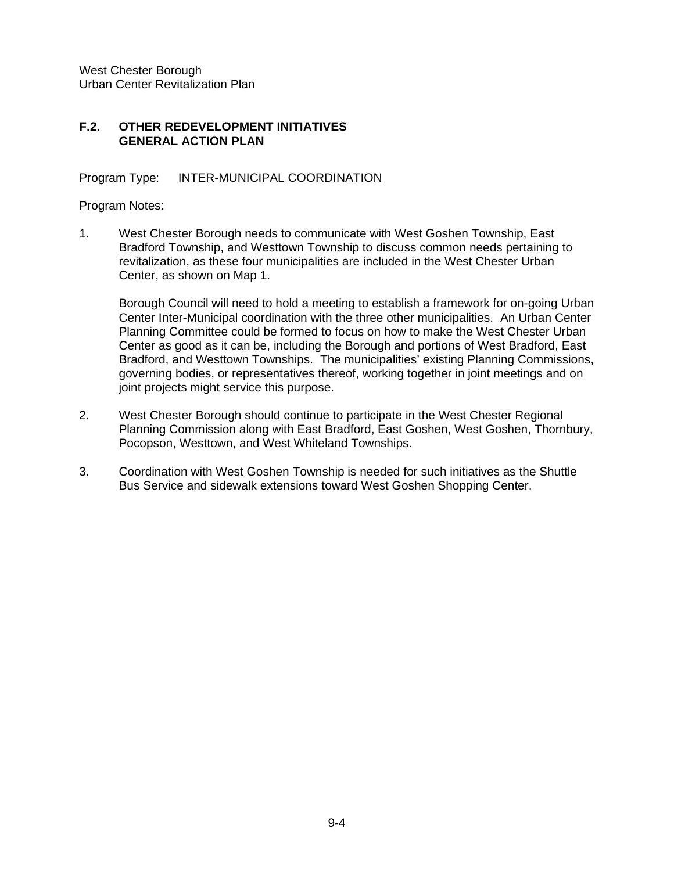## **F.2. OTHER REDEVELOPMENT INITIATIVES GENERAL ACTION PLAN**

#### Program Type: INTER-MUNICIPAL COORDINATION

Program Notes:

1. West Chester Borough needs to communicate with West Goshen Township, East Bradford Township, and Westtown Township to discuss common needs pertaining to revitalization, as these four municipalities are included in the West Chester Urban Center, as shown on Map 1.

Borough Council will need to hold a meeting to establish a framework for on-going Urban Center Inter-Municipal coordination with the three other municipalities. An Urban Center Planning Committee could be formed to focus on how to make the West Chester Urban Center as good as it can be, including the Borough and portions of West Bradford, East Bradford, and Westtown Townships. The municipalities' existing Planning Commissions, governing bodies, or representatives thereof, working together in joint meetings and on joint projects might service this purpose.

- 2. West Chester Borough should continue to participate in the West Chester Regional Planning Commission along with East Bradford, East Goshen, West Goshen, Thornbury, Pocopson, Westtown, and West Whiteland Townships.
- 3. Coordination with West Goshen Township is needed for such initiatives as the Shuttle Bus Service and sidewalk extensions toward West Goshen Shopping Center.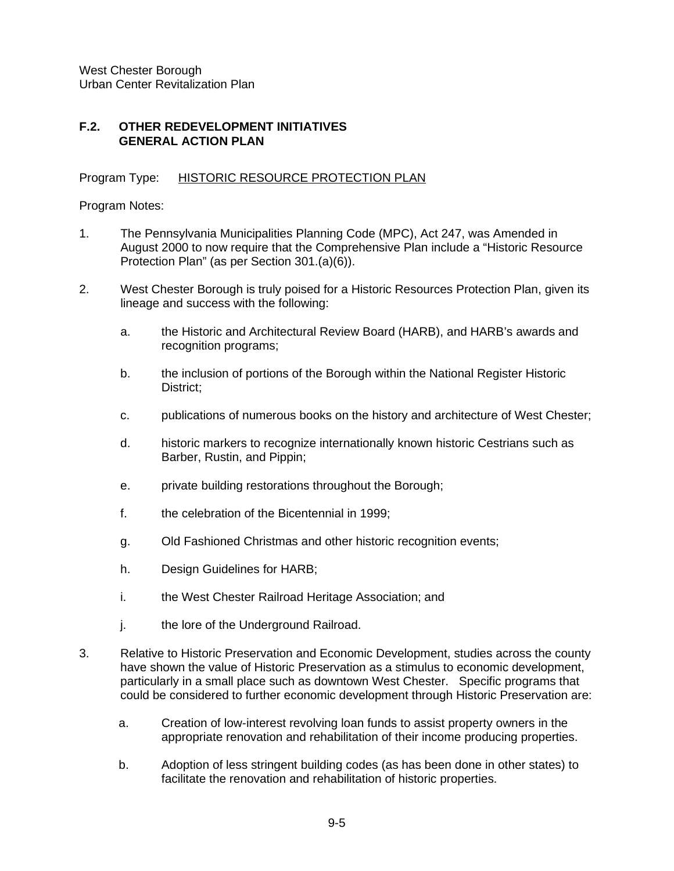## **F.2. OTHER REDEVELOPMENT INITIATIVES GENERAL ACTION PLAN**

#### Program Type: HISTORIC RESOURCE PROTECTION PLAN

Program Notes:

- 1. The Pennsylvania Municipalities Planning Code (MPC), Act 247, was Amended in August 2000 to now require that the Comprehensive Plan include a "Historic Resource Protection Plan" (as per Section 301.(a)(6)).
- 2. West Chester Borough is truly poised for a Historic Resources Protection Plan, given its lineage and success with the following:
	- a. the Historic and Architectural Review Board (HARB), and HARB's awards and recognition programs;
	- b. the inclusion of portions of the Borough within the National Register Historic District;
	- c. publications of numerous books on the history and architecture of West Chester;
	- d. historic markers to recognize internationally known historic Cestrians such as Barber, Rustin, and Pippin;
	- e. private building restorations throughout the Borough;
	- f. the celebration of the Bicentennial in 1999;
	- g. Old Fashioned Christmas and other historic recognition events;
	- h. Design Guidelines for HARB;
	- i. the West Chester Railroad Heritage Association; and
	- j. the lore of the Underground Railroad.
- 3. Relative to Historic Preservation and Economic Development, studies across the county have shown the value of Historic Preservation as a stimulus to economic development, particularly in a small place such as downtown West Chester. Specific programs that could be considered to further economic development through Historic Preservation are:
	- a. Creation of low-interest revolving loan funds to assist property owners in the appropriate renovation and rehabilitation of their income producing properties.
	- b. Adoption of less stringent building codes (as has been done in other states) to facilitate the renovation and rehabilitation of historic properties.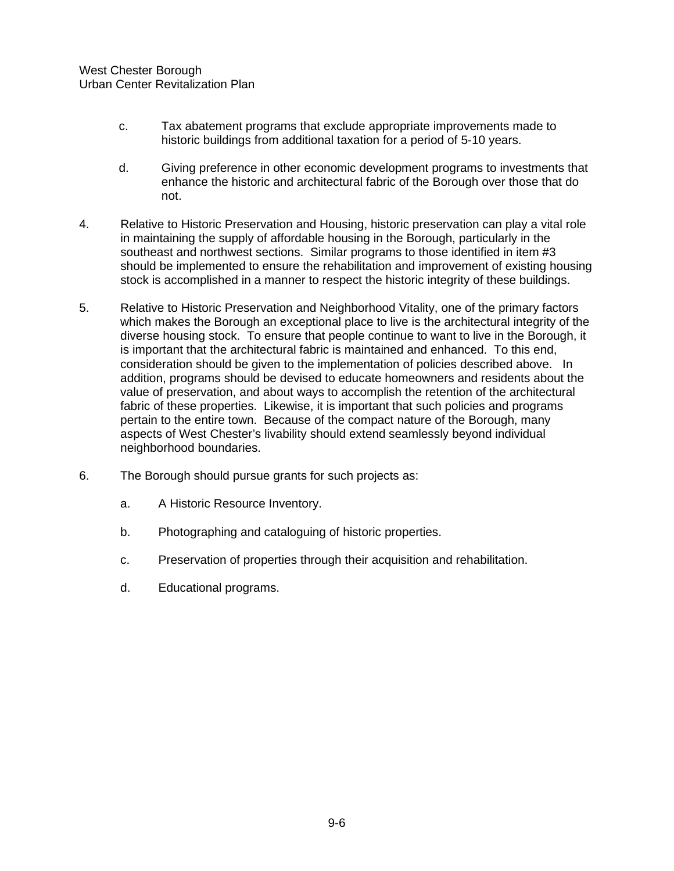- c. Tax abatement programs that exclude appropriate improvements made to historic buildings from additional taxation for a period of 5-10 years.
- d. Giving preference in other economic development programs to investments that enhance the historic and architectural fabric of the Borough over those that do not.
- 4. Relative to Historic Preservation and Housing, historic preservation can play a vital role in maintaining the supply of affordable housing in the Borough, particularly in the southeast and northwest sections. Similar programs to those identified in item #3 should be implemented to ensure the rehabilitation and improvement of existing housing stock is accomplished in a manner to respect the historic integrity of these buildings.
- 5. Relative to Historic Preservation and Neighborhood Vitality, one of the primary factors which makes the Borough an exceptional place to live is the architectural integrity of the diverse housing stock. To ensure that people continue to want to live in the Borough, it is important that the architectural fabric is maintained and enhanced. To this end, consideration should be given to the implementation of policies described above. In addition, programs should be devised to educate homeowners and residents about the value of preservation, and about ways to accomplish the retention of the architectural fabric of these properties. Likewise, it is important that such policies and programs pertain to the entire town. Because of the compact nature of the Borough, many aspects of West Chester's livability should extend seamlessly beyond individual neighborhood boundaries.
- 6. The Borough should pursue grants for such projects as:
	- a. A Historic Resource Inventory.
	- b. Photographing and cataloguing of historic properties.
	- c. Preservation of properties through their acquisition and rehabilitation.
	- d. Educational programs.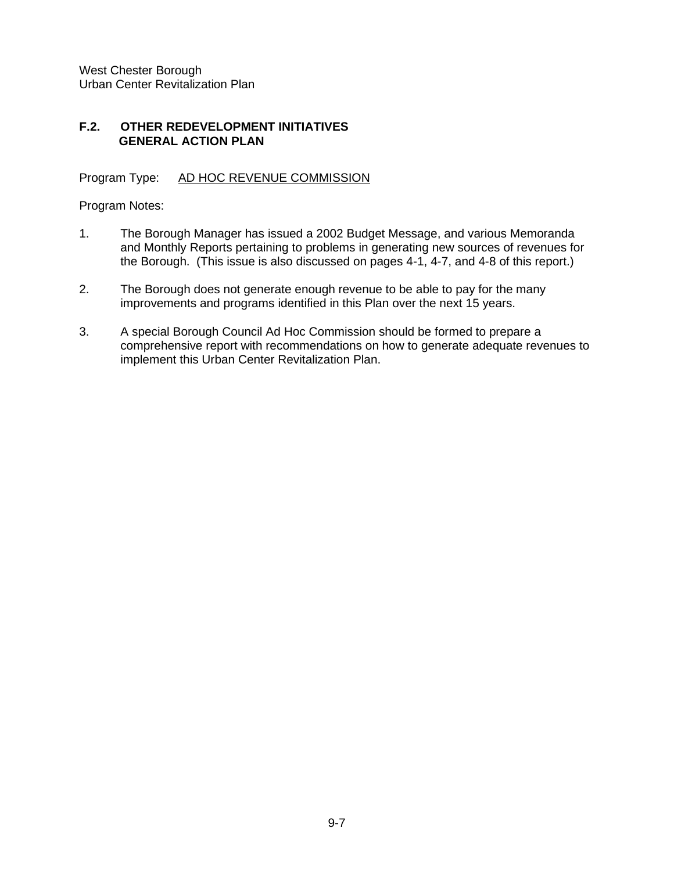## **F.2. OTHER REDEVELOPMENT INITIATIVES GENERAL ACTION PLAN**

Program Type: AD HOC REVENUE COMMISSION

Program Notes:

- 1. The Borough Manager has issued a 2002 Budget Message, and various Memoranda and Monthly Reports pertaining to problems in generating new sources of revenues for the Borough. (This issue is also discussed on pages 4-1, 4-7, and 4-8 of this report.)
- 2. The Borough does not generate enough revenue to be able to pay for the many improvements and programs identified in this Plan over the next 15 years.
- 3. A special Borough Council Ad Hoc Commission should be formed to prepare a comprehensive report with recommendations on how to generate adequate revenues to implement this Urban Center Revitalization Plan.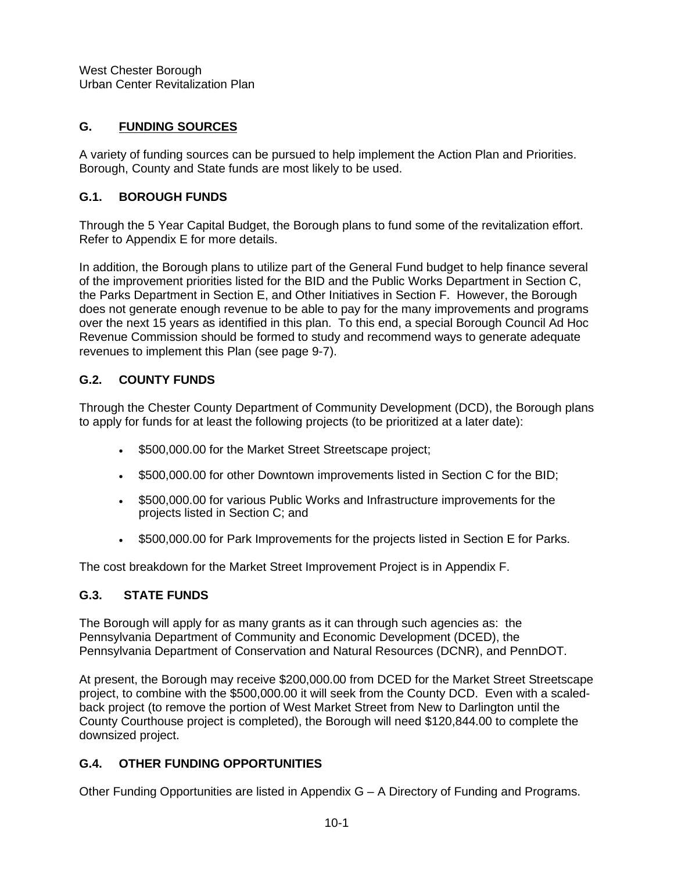# **G. FUNDING SOURCES**

A variety of funding sources can be pursued to help implement the Action Plan and Priorities. Borough, County and State funds are most likely to be used.

# **G.1. BOROUGH FUNDS**

Through the 5 Year Capital Budget, the Borough plans to fund some of the revitalization effort. Refer to Appendix E for more details.

In addition, the Borough plans to utilize part of the General Fund budget to help finance several of the improvement priorities listed for the BID and the Public Works Department in Section C, the Parks Department in Section E, and Other Initiatives in Section F. However, the Borough does not generate enough revenue to be able to pay for the many improvements and programs over the next 15 years as identified in this plan. To this end, a special Borough Council Ad Hoc Revenue Commission should be formed to study and recommend ways to generate adequate revenues to implement this Plan (see page 9-7).

# **G.2. COUNTY FUNDS**

Through the Chester County Department of Community Development (DCD), the Borough plans to apply for funds for at least the following projects (to be prioritized at a later date):

- \$500,000.00 for the Market Street Streetscape project;
- \$500,000.00 for other Downtown improvements listed in Section C for the BID;
- \$500,000.00 for various Public Works and Infrastructure improvements for the projects listed in Section C; and
- \$500,000.00 for Park Improvements for the projects listed in Section E for Parks.

The cost breakdown for the Market Street Improvement Project is in Appendix F.

# **G.3. STATE FUNDS**

The Borough will apply for as many grants as it can through such agencies as: the Pennsylvania Department of Community and Economic Development (DCED), the Pennsylvania Department of Conservation and Natural Resources (DCNR), and PennDOT.

At present, the Borough may receive \$200,000.00 from DCED for the Market Street Streetscape project, to combine with the \$500,000.00 it will seek from the County DCD. Even with a scaledback project (to remove the portion of West Market Street from New to Darlington until the County Courthouse project is completed), the Borough will need \$120,844.00 to complete the downsized project.

# **G.4. OTHER FUNDING OPPORTUNITIES**

Other Funding Opportunities are listed in Appendix G – A Directory of Funding and Programs.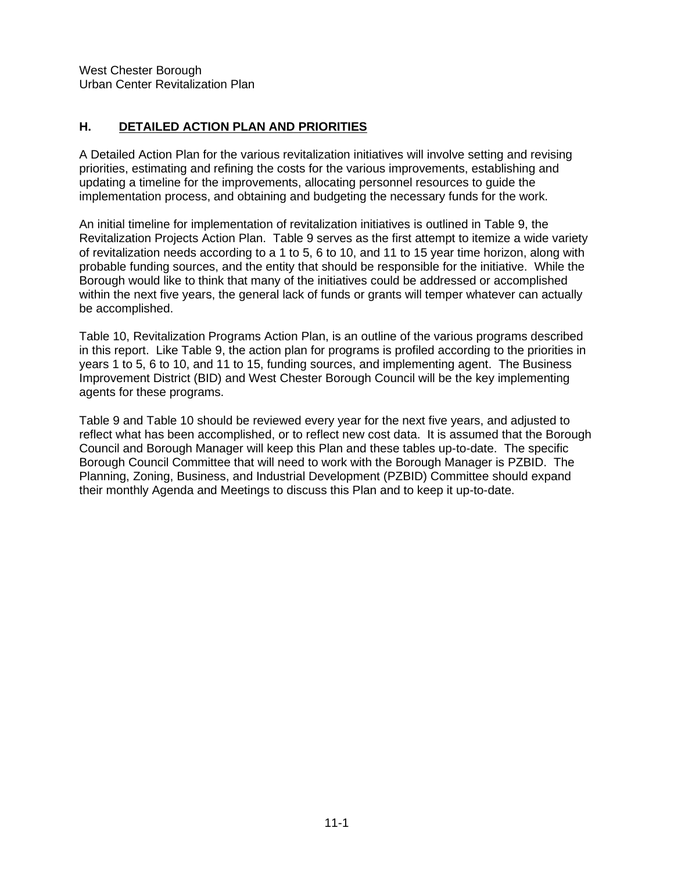## **H. DETAILED ACTION PLAN AND PRIORITIES**

A Detailed Action Plan for the various revitalization initiatives will involve setting and revising priorities, estimating and refining the costs for the various improvements, establishing and updating a timeline for the improvements, allocating personnel resources to guide the implementation process, and obtaining and budgeting the necessary funds for the work.

An initial timeline for implementation of revitalization initiatives is outlined in Table 9, the Revitalization Projects Action Plan. Table 9 serves as the first attempt to itemize a wide variety of revitalization needs according to a 1 to 5, 6 to 10, and 11 to 15 year time horizon, along with probable funding sources, and the entity that should be responsible for the initiative. While the Borough would like to think that many of the initiatives could be addressed or accomplished within the next five years, the general lack of funds or grants will temper whatever can actually be accomplished.

Table 10, Revitalization Programs Action Plan, is an outline of the various programs described in this report. Like Table 9, the action plan for programs is profiled according to the priorities in years 1 to 5, 6 to 10, and 11 to 15, funding sources, and implementing agent. The Business Improvement District (BID) and West Chester Borough Council will be the key implementing agents for these programs.

Table 9 and Table 10 should be reviewed every year for the next five years, and adjusted to reflect what has been accomplished, or to reflect new cost data. It is assumed that the Borough Council and Borough Manager will keep this Plan and these tables up-to-date. The specific Borough Council Committee that will need to work with the Borough Manager is PZBID. The Planning, Zoning, Business, and Industrial Development (PZBID) Committee should expand their monthly Agenda and Meetings to discuss this Plan and to keep it up-to-date.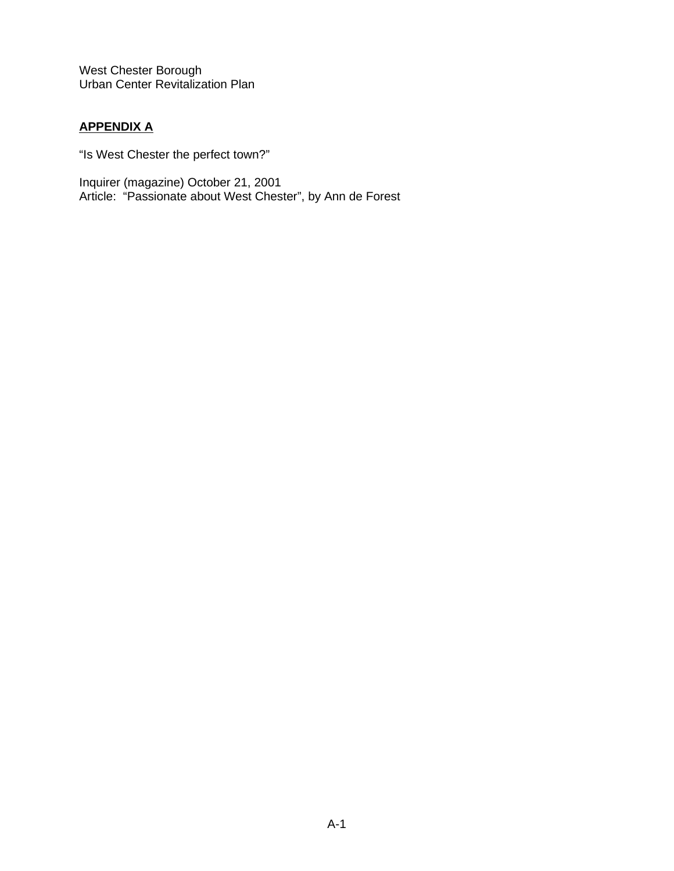# **APPENDIX A**

"Is West Chester the perfect town?"

Inquirer (magazine) October 21, 2001 Article: "Passionate about West Chester", by Ann de Forest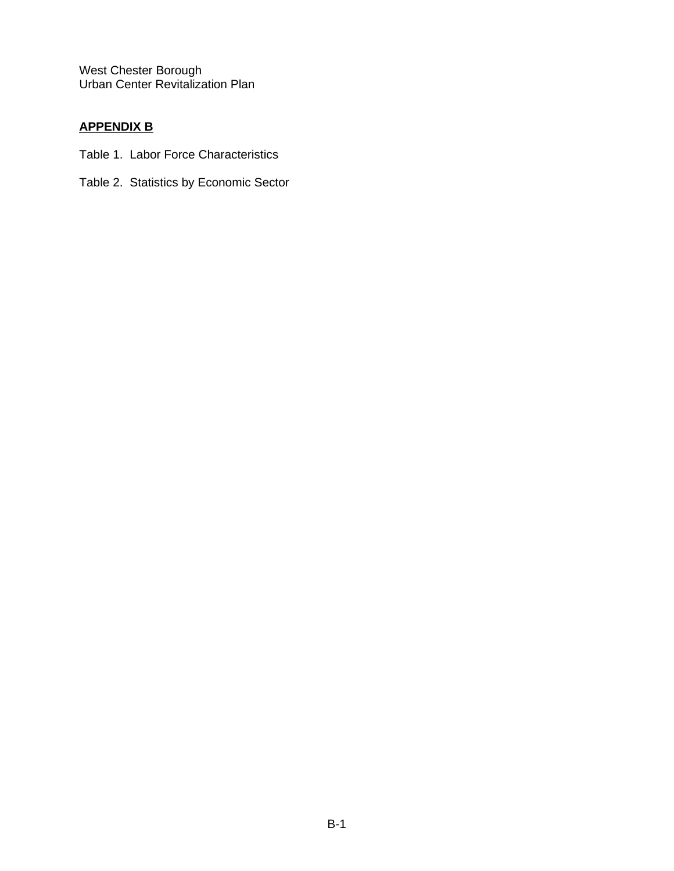# **APPENDIX B**

- Table 1. Labor Force Characteristics
- Table 2. Statistics by Economic Sector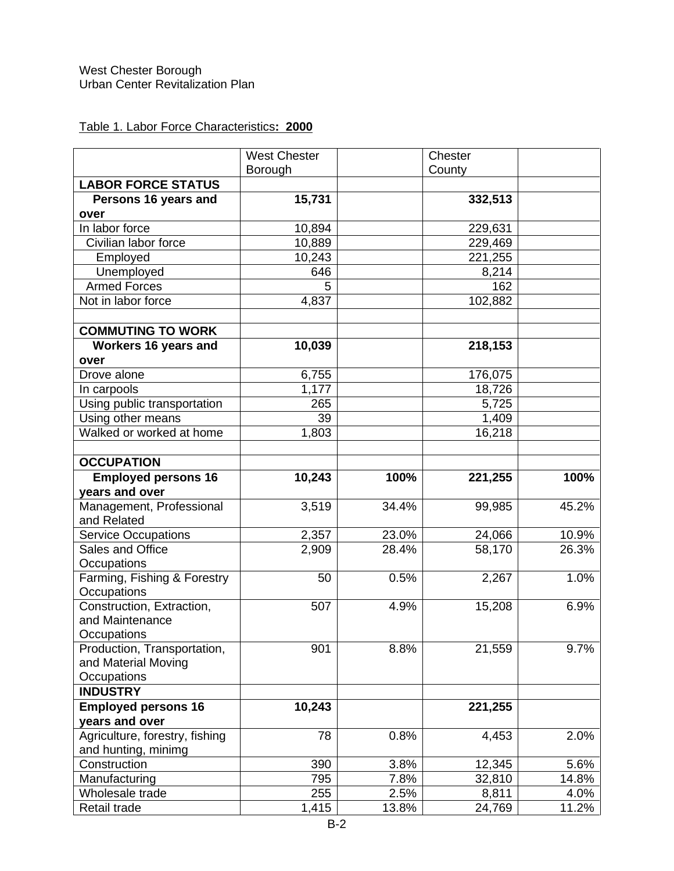# Table 1. Labor Force Characteristics**: 2000**

|                                | <b>West Chester</b> |       | Chester |       |
|--------------------------------|---------------------|-------|---------|-------|
|                                | Borough             |       | County  |       |
| <b>LABOR FORCE STATUS</b>      |                     |       |         |       |
| Persons 16 years and           | 15,731              |       | 332,513 |       |
| over                           |                     |       |         |       |
| In labor force                 | 10,894              |       | 229,631 |       |
| Civilian labor force           | 10,889              |       | 229,469 |       |
| Employed                       | 10,243              |       | 221,255 |       |
| Unemployed                     | 646                 |       | 8,214   |       |
| <b>Armed Forces</b>            | 5                   |       | 162     |       |
| Not in labor force             | 4,837               |       | 102,882 |       |
|                                |                     |       |         |       |
| <b>COMMUTING TO WORK</b>       |                     |       |         |       |
| Workers 16 years and           | 10,039              |       | 218,153 |       |
| over                           |                     |       |         |       |
| Drove alone                    | 6,755               |       | 176,075 |       |
| In carpools                    | 1,177               |       | 18,726  |       |
| Using public transportation    | 265                 |       | 5,725   |       |
| Using other means              | 39                  |       | 1,409   |       |
| Walked or worked at home       | 1,803               |       | 16,218  |       |
|                                |                     |       |         |       |
| <b>OCCUPATION</b>              |                     |       |         |       |
| <b>Employed persons 16</b>     | 10,243              | 100%  | 221,255 | 100%  |
| years and over                 |                     |       |         |       |
| Management, Professional       | 3,519               | 34.4% | 99,985  | 45.2% |
| and Related                    |                     |       |         |       |
| <b>Service Occupations</b>     | 2,357               | 23.0% | 24,066  | 10.9% |
| Sales and Office               | 2,909               | 28.4% | 58,170  | 26.3% |
| Occupations                    |                     |       |         |       |
| Farming, Fishing & Forestry    | 50                  | 0.5%  | 2,267   | 1.0%  |
| Occupations                    |                     |       |         |       |
| Construction, Extraction,      | 507                 | 4.9%  | 15,208  | 6.9%  |
| and Maintenance                |                     |       |         |       |
| Occupations                    |                     |       |         |       |
| Production, Transportation,    | 901                 | 8.8%  | 21,559  | 9.7%  |
| and Material Moving            |                     |       |         |       |
| Occupations                    |                     |       |         |       |
| <b>INDUSTRY</b>                |                     |       |         |       |
| <b>Employed persons 16</b>     | 10,243              |       | 221,255 |       |
| years and over                 |                     |       |         |       |
| Agriculture, forestry, fishing | 78                  | 0.8%  | 4,453   | 2.0%  |
| and hunting, minimg            |                     |       |         |       |
| Construction                   | 390                 | 3.8%  | 12,345  | 5.6%  |
| Manufacturing                  | 795                 | 7.8%  | 32,810  | 14.8% |
| Wholesale trade                | 255                 | 2.5%  | 8,811   | 4.0%  |
| Retail trade                   | 1,415               | 13.8% | 24,769  | 11.2% |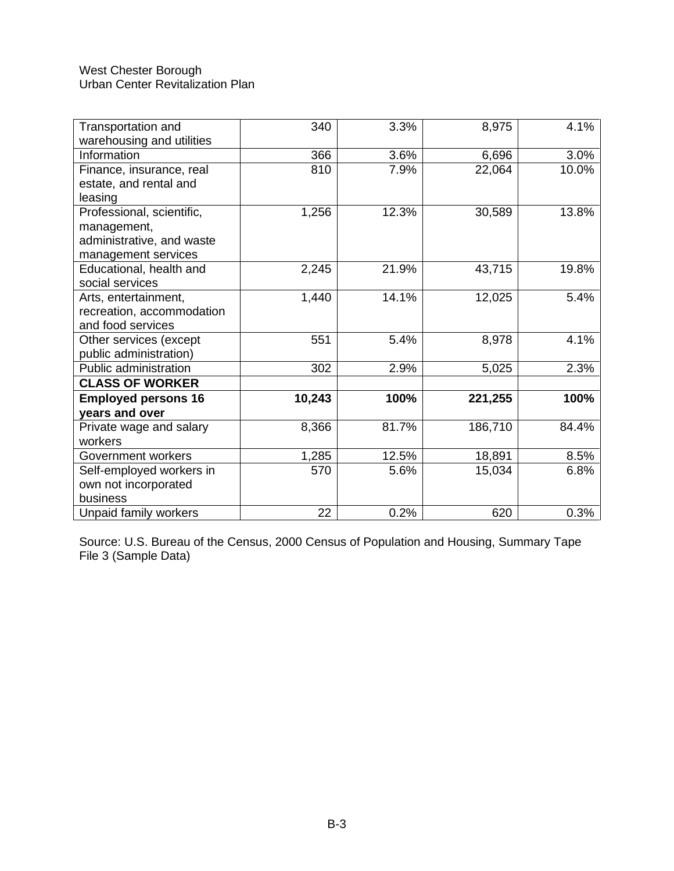| Transportation and<br>warehousing and utilities | 340    | 3.3%  | 8,975   | 4.1%  |
|-------------------------------------------------|--------|-------|---------|-------|
|                                                 |        |       |         |       |
| Information                                     | 366    | 3.6%  | 6,696   | 3.0%  |
| Finance, insurance, real                        | 810    | 7.9%  | 22,064  | 10.0% |
| estate, and rental and                          |        |       |         |       |
| leasing                                         |        |       |         |       |
| Professional, scientific,                       | 1,256  | 12.3% | 30,589  | 13.8% |
| management,                                     |        |       |         |       |
| administrative, and waste                       |        |       |         |       |
| management services                             |        |       |         |       |
| Educational, health and                         | 2,245  | 21.9% | 43,715  | 19.8% |
| social services                                 |        |       |         |       |
| Arts, entertainment,                            | 1,440  | 14.1% | 12,025  | 5.4%  |
| recreation, accommodation                       |        |       |         |       |
| and food services                               |        |       |         |       |
| Other services (except                          | 551    | 5.4%  | 8,978   | 4.1%  |
| public administration)                          |        |       |         |       |
| Public administration                           | 302    | 2.9%  | 5,025   | 2.3%  |
| <b>CLASS OF WORKER</b>                          |        |       |         |       |
| <b>Employed persons 16</b>                      | 10,243 | 100%  | 221,255 | 100%  |
| years and over                                  |        |       |         |       |
| Private wage and salary                         | 8,366  | 81.7% | 186,710 | 84.4% |
| workers                                         |        |       |         |       |
| Government workers                              | 1,285  | 12.5% | 18,891  | 8.5%  |
| Self-employed workers in                        | 570    | 5.6%  | 15,034  | 6.8%  |
| own not incorporated                            |        |       |         |       |
| business                                        |        |       |         |       |
| Unpaid family workers                           | 22     | 0.2%  | 620     | 0.3%  |

Source: U.S. Bureau of the Census, 2000 Census of Population and Housing, Summary Tape File 3 (Sample Data)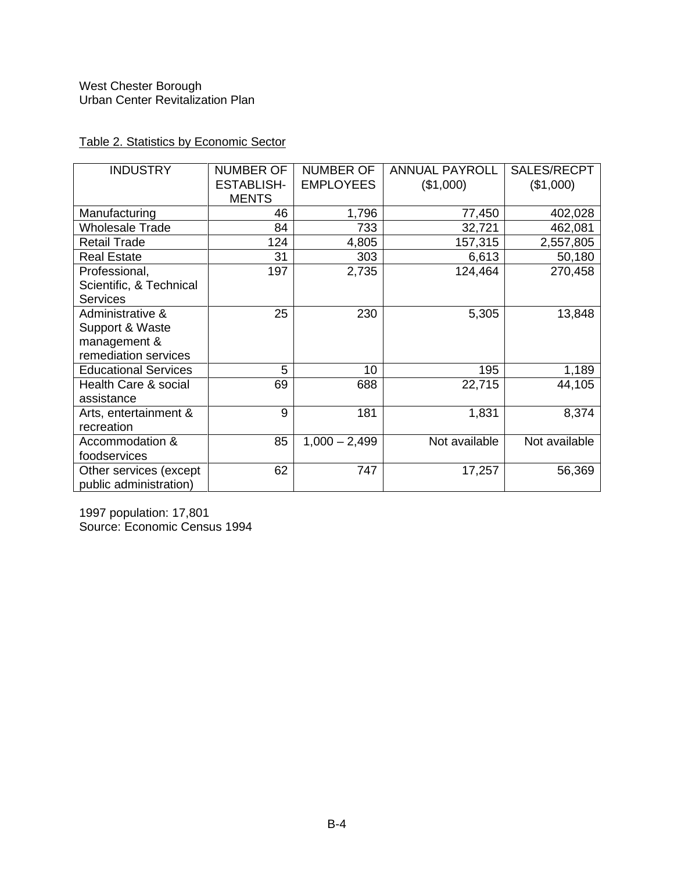| <b>INDUSTRY</b>                          | <b>NUMBER OF</b>  | <b>NUMBER OF</b> | <b>ANNUAL PAYROLL</b> | SALES/RECPT   |
|------------------------------------------|-------------------|------------------|-----------------------|---------------|
|                                          | <b>ESTABLISH-</b> | <b>EMPLOYEES</b> | (\$1,000)             | (\$1,000)     |
|                                          | <b>MENTS</b>      |                  |                       |               |
| Manufacturing                            | 46                | 1,796            | 77,450                | 402,028       |
| <b>Wholesale Trade</b>                   | 84                | 733              | 32,721                | 462,081       |
| <b>Retail Trade</b>                      | 124               | 4,805            | 157,315               | 2,557,805     |
| <b>Real Estate</b>                       | 31                | 303              | 6,613                 | 50,180        |
| Professional,<br>Scientific, & Technical | 197               | 2,735            | 124,464               | 270,458       |
| <b>Services</b>                          |                   |                  |                       |               |
| Administrative &                         | 25                | 230              | 5,305                 | 13,848        |
| Support & Waste                          |                   |                  |                       |               |
| management &                             |                   |                  |                       |               |
| remediation services                     |                   |                  |                       |               |
| <b>Educational Services</b>              | 5                 | 10               | 195                   | 1,189         |
| Health Care & social                     | 69                | 688              | 22,715                | 44,105        |
| assistance                               |                   |                  |                       |               |
| Arts, entertainment &                    | 9                 | 181              | 1,831                 | 8,374         |
| recreation                               |                   |                  |                       |               |
| Accommodation &                          | 85                | $1,000 - 2,499$  | Not available         | Not available |
| foodservices                             |                   |                  |                       |               |
| Other services (except                   | 62                | 747              | 17,257                | 56,369        |
| public administration)                   |                   |                  |                       |               |

Table 2. Statistics by Economic Sector

1997 population: 17,801 Source: Economic Census 1994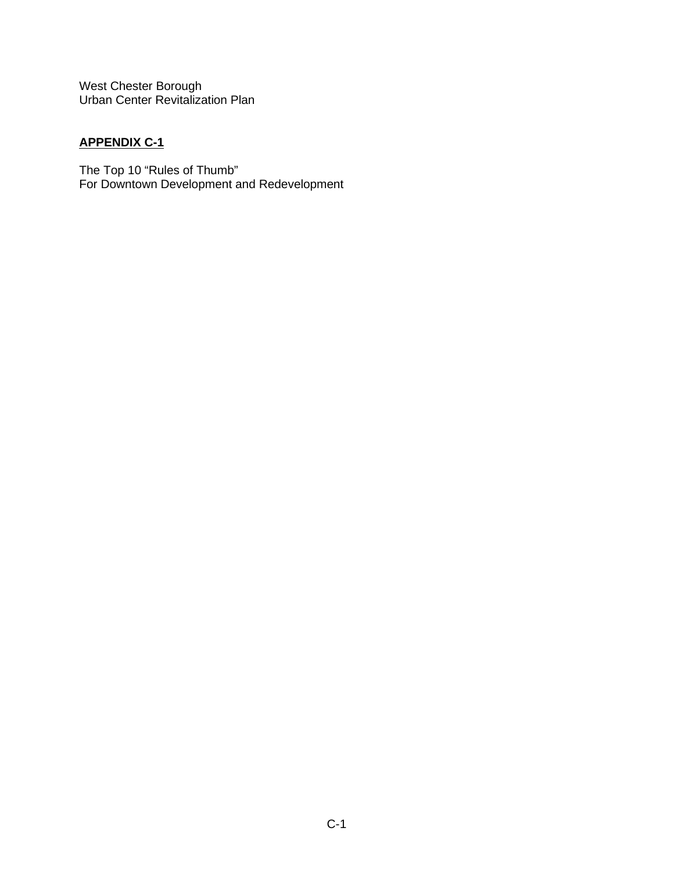# **APPENDIX C-1**

The Top 10 "Rules of Thumb" For Downtown Development and Redevelopment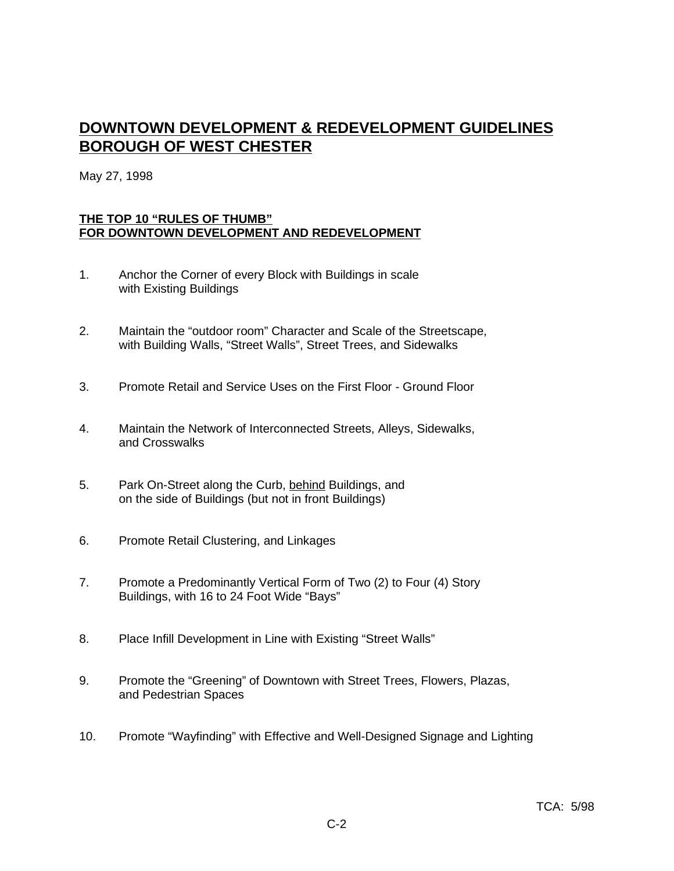# **DOWNTOWN DEVELOPMENT & REDEVELOPMENT GUIDELINES BOROUGH OF WEST CHESTER**

May 27, 1998

#### **THE TOP 10 "RULES OF THUMB" FOR DOWNTOWN DEVELOPMENT AND REDEVELOPMENT**

- 1. Anchor the Corner of every Block with Buildings in scale with Existing Buildings
- 2. Maintain the "outdoor room" Character and Scale of the Streetscape, with Building Walls, "Street Walls", Street Trees, and Sidewalks
- 3. Promote Retail and Service Uses on the First Floor Ground Floor
- 4. Maintain the Network of Interconnected Streets, Alleys, Sidewalks, and Crosswalks
- 5. Park On-Street along the Curb, behind Buildings, and on the side of Buildings (but not in front Buildings)
- 6. Promote Retail Clustering, and Linkages
- 7. Promote a Predominantly Vertical Form of Two (2) to Four (4) Story Buildings, with 16 to 24 Foot Wide "Bays"
- 8. Place Infill Development in Line with Existing "Street Walls"
- 9. Promote the "Greening" of Downtown with Street Trees, Flowers, Plazas, and Pedestrian Spaces
- 10. Promote "Wayfinding" with Effective and Well-Designed Signage and Lighting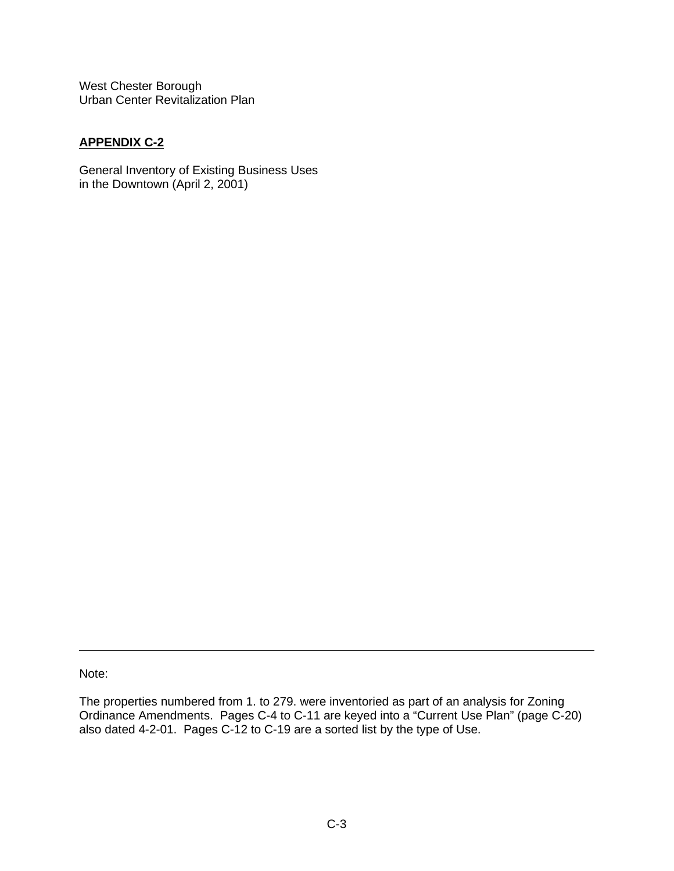## **APPENDIX C-2**

General Inventory of Existing Business Uses in the Downtown (April 2, 2001)

Note:

The properties numbered from 1. to 279. were inventoried as part of an analysis for Zoning Ordinance Amendments. Pages C-4 to C-11 are keyed into a "Current Use Plan" (page C-20) also dated 4-2-01. Pages C-12 to C-19 are a sorted list by the type of Use.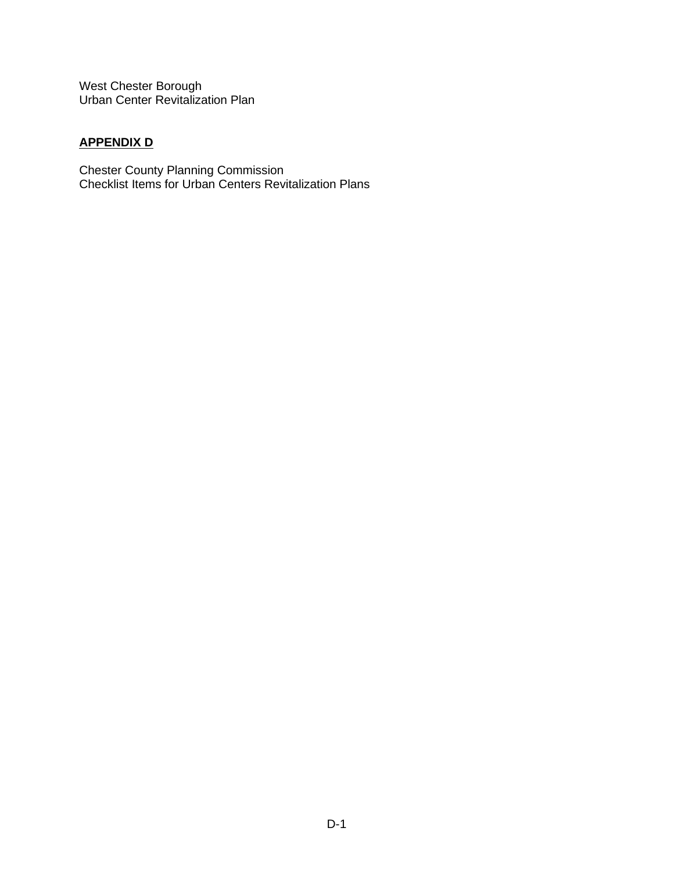# **APPENDIX D**

Chester County Planning Commission Checklist Items for Urban Centers Revitalization Plans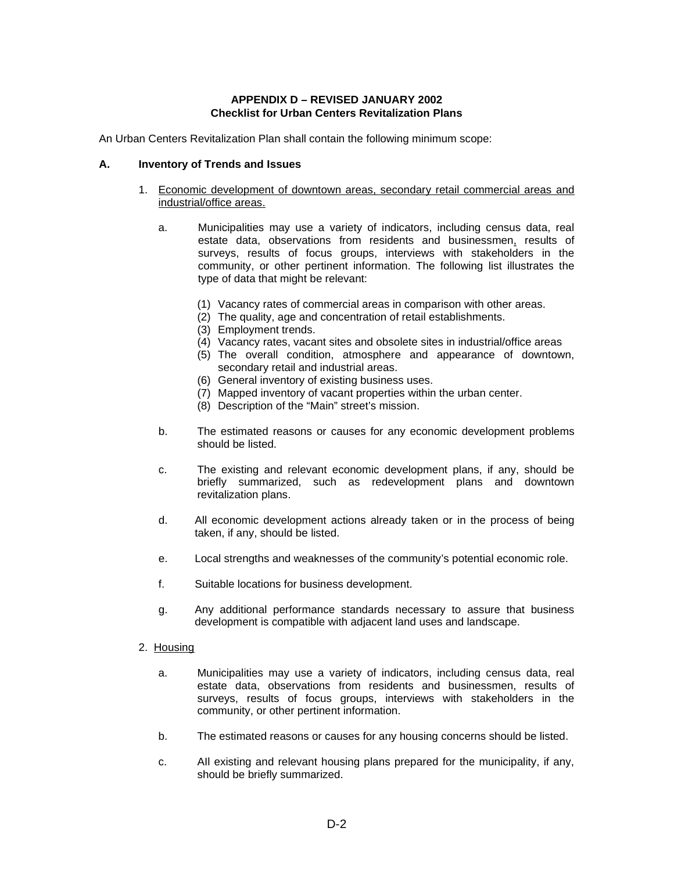#### **APPENDIX D – REVISED JANUARY 2002 Checklist for Urban Centers Revitalization Plans**

An Urban Centers Revitalization Plan shall contain the following minimum scope:

#### **A. Inventory of Trends and Issues**

- 1. Economic development of downtown areas, secondary retail commercial areas and industrial/office areas.
	- a. Municipalities may use a variety of indicators, including census data, real estate data, observations from residents and businessmen, results of surveys, results of focus groups, interviews with stakeholders in the community, or other pertinent information. The following list illustrates the type of data that might be relevant:
		- (1) Vacancy rates of commercial areas in comparison with other areas.
		- (2) The quality, age and concentration of retail establishments.
		- (3) Employment trends.
		- (4) Vacancy rates, vacant sites and obsolete sites in industrial/office areas
		- (5) The overall condition, atmosphere and appearance of downtown, secondary retail and industrial areas.
		- (6) General inventory of existing business uses.
		- (7) Mapped inventory of vacant properties within the urban center.
		- (8) Description of the "Main" street's mission.
	- b. The estimated reasons or causes for any economic development problems should be listed.
	- c. The existing and relevant economic development plans, if any, should be briefly summarized, such as redevelopment plans and downtown revitalization plans.
	- d. All economic development actions already taken or in the process of being taken, if any, should be listed.
	- e. Local strengths and weaknesses of the community's potential economic role.
	- f. Suitable locations for business development.
	- g. Any additional performance standards necessary to assure that business development is compatible with adjacent land uses and landscape.
- 2. Housing
	- a. Municipalities may use a variety of indicators, including census data, real estate data, observations from residents and businessmen, results of surveys, results of focus groups, interviews with stakeholders in the community, or other pertinent information.
	- b. The estimated reasons or causes for any housing concerns should be listed.
	- c. AIl existing and relevant housing plans prepared for the municipality, if any, should be briefly summarized.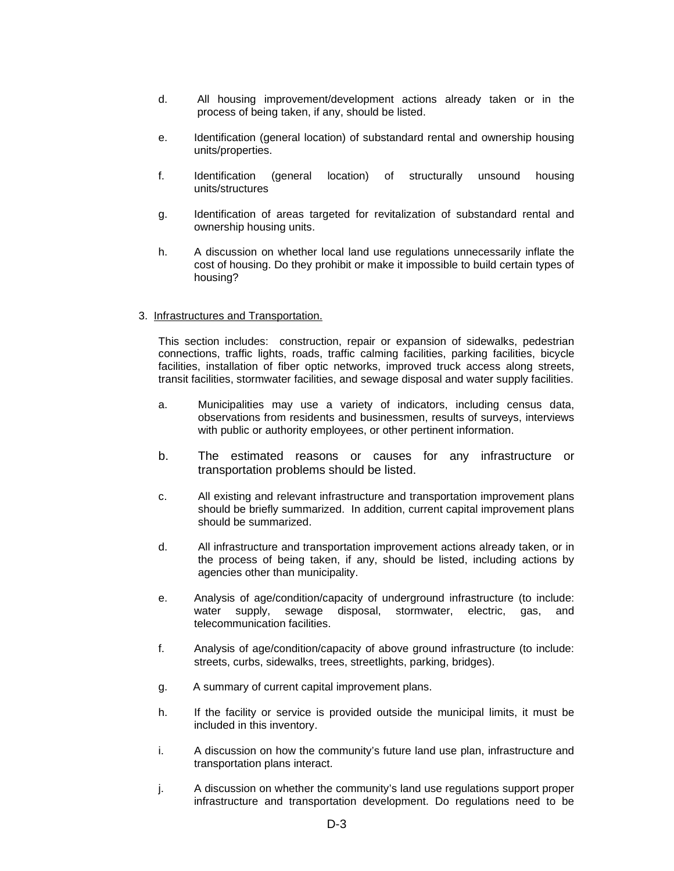- d. All housing improvement/development actions already taken or in the process of being taken, if any, should be listed.
- e. Identification (general location) of substandard rental and ownership housing units/properties.
- f. Identification (general location) of structurally unsound housing units/structures
- g. Identification of areas targeted for revitalization of substandard rental and ownership housing units.
- h. A discussion on whether local land use regulations unnecessarily inflate the cost of housing. Do they prohibit or make it impossible to build certain types of housing?

#### 3. Infrastructures and Transportation.

This section includes: construction, repair or expansion of sidewalks, pedestrian connections, traffic lights, roads, traffic calming facilities, parking facilities, bicycle facilities, installation of fiber optic networks, improved truck access along streets, transit facilities, stormwater facilities, and sewage disposal and water supply facilities.

- a. Municipalities may use a variety of indicators, including census data, observations from residents and businessmen, results of surveys, interviews with public or authority employees, or other pertinent information.
- b. The estimated reasons or causes for any infrastructure or transportation problems should be listed.
- c. All existing and relevant infrastructure and transportation improvement plans should be briefly summarized. In addition, current capital improvement plans should be summarized.
- d. All infrastructure and transportation improvement actions already taken, or in the process of being taken, if any, should be listed, including actions by agencies other than municipality.
- e. Analysis of age/condition/capacity of underground infrastructure (to include: water supply, sewage disposal, stormwater, electric, gas, and telecommunication facilities.
- f. Analysis of age/condition/capacity of above ground infrastructure (to include: streets, curbs, sidewalks, trees, streetlights, parking, bridges).
- g. A summary of current capital improvement plans.
- h. If the facility or service is provided outside the municipal limits, it must be included in this inventory.
- i. A discussion on how the community's future land use plan, infrastructure and transportation plans interact.
- j. A discussion on whether the community's land use regulations support proper infrastructure and transportation development. Do regulations need to be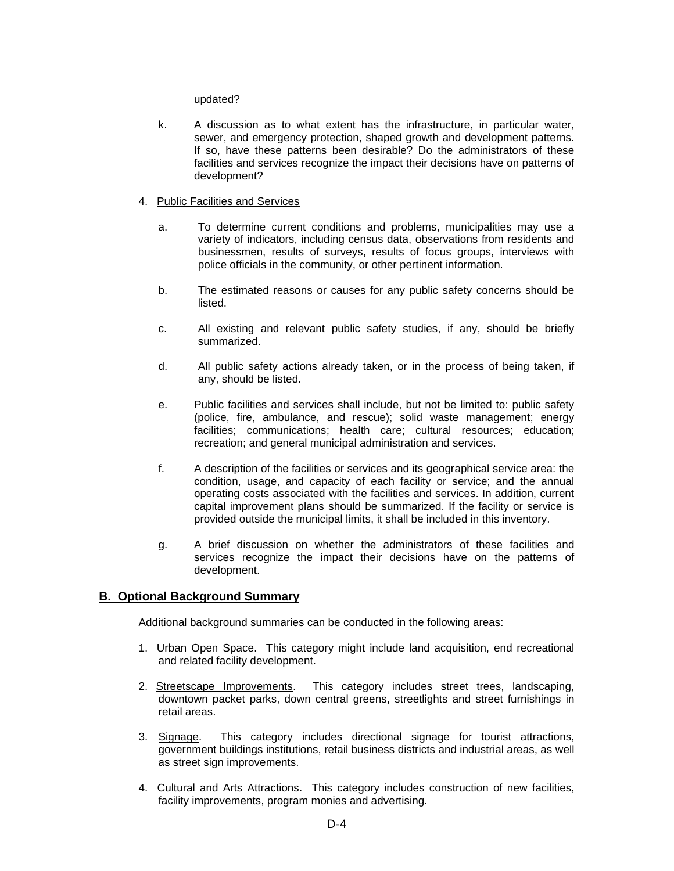#### updated?

k. A discussion as to what extent has the infrastructure, in particular water, sewer, and emergency protection, shaped growth and development patterns. If so, have these patterns been desirable? Do the administrators of these facilities and services recognize the impact their decisions have on patterns of development?

#### 4. Public Facilities and Services

- a. To determine current conditions and problems, municipalities may use a variety of indicators, including census data, observations from residents and businessmen, results of surveys, results of focus groups, interviews with police officials in the community, or other pertinent information.
- b. The estimated reasons or causes for any public safety concerns should be listed.
- c. All existing and relevant public safety studies, if any, should be briefly summarized.
- d. All public safety actions already taken, or in the process of being taken, if any, should be listed.
- e. Public facilities and services shall include, but not be limited to: public safety (police, fire, ambulance, and rescue); solid waste management; energy facilities; communications; health care; cultural resources; education; recreation; and general municipal administration and services.
- f. A description of the facilities or services and its geographical service area: the condition, usage, and capacity of each facility or service; and the annual operating costs associated with the facilities and services. In addition, current capital improvement plans should be summarized. If the facility or service is provided outside the municipal limits, it shall be included in this inventory.
- g. A brief discussion on whether the administrators of these facilities and services recognize the impact their decisions have on the patterns of development.

#### **B. Optional Background Summary**

Additional background summaries can be conducted in the following areas:

- 1. Urban Open Space. This category might include land acquisition, end recreational and related facility development.
- 2. Streetscape Improvements. This category includes street trees, landscaping, downtown packet parks, down central greens, streetlights and street furnishings in retail areas.
- 3. Signage. This category includes directional signage for tourist attractions, government buildings institutions, retail business districts and industrial areas, as well as street sign improvements.
- 4. Cultural and Arts Attractions. This category includes construction of new facilities, facility improvements, program monies and advertising.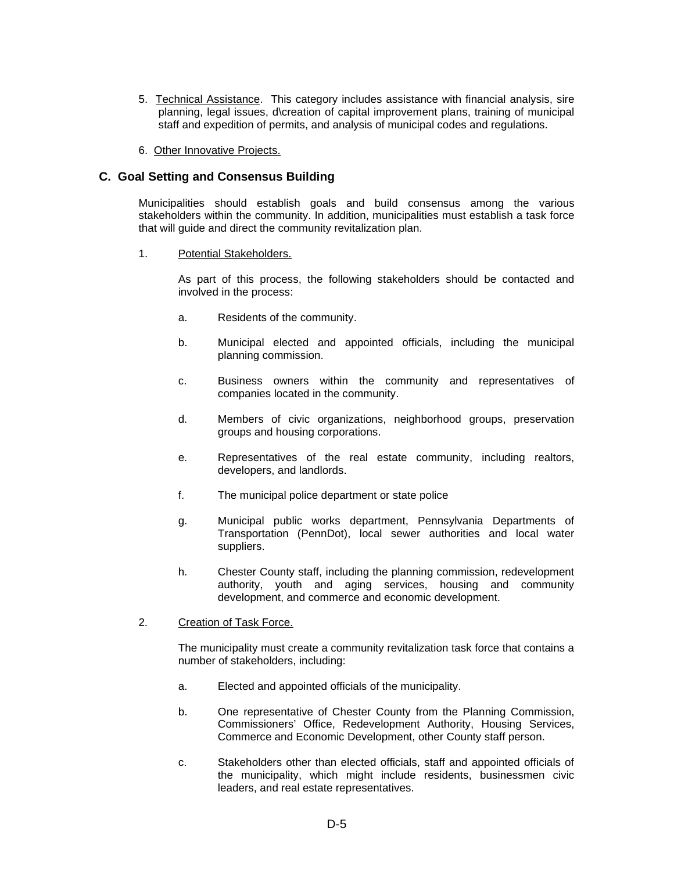- 5. Technical Assistance. This category includes assistance with financial analysis, sire planning, legal issues, d\creation of capital improvement plans, training of municipal staff and expedition of permits, and analysis of municipal codes and regulations.
- 6. Other Innovative Projects.

#### **C. Goal Setting and Consensus Building**

Municipalities should establish goals and build consensus among the various stakeholders within the community. In addition, municipalities must establish a task force that will guide and direct the community revitalization plan.

#### 1. Potential Stakeholders.

As part of this process, the following stakeholders should be contacted and involved in the process:

- a. Residents of the community.
- b. Municipal elected and appointed officials, including the municipal planning commission.
- c. Business owners within the community and representatives of companies located in the community.
- d. Members of civic organizations, neighborhood groups, preservation groups and housing corporations.
- e. Representatives of the real estate community, including realtors, developers, and landlords.
- f. The municipal police department or state police
- g. Municipal public works department, Pennsylvania Departments of Transportation (PennDot), local sewer authorities and local water suppliers.
- h. Chester County staff, including the planning commission, redevelopment authority, youth and aging services, housing and community development, and commerce and economic development.

#### 2. Creation of Task Force.

The municipality must create a community revitalization task force that contains a number of stakeholders, including:

- a. Elected and appointed officials of the municipality.
- b. One representative of Chester County from the Planning Commission, Commissioners' Office, Redevelopment Authority, Housing Services, Commerce and Economic Development, other County staff person.
- c. Stakeholders other than elected officials, staff and appointed officials of the municipality, which might include residents, businessmen civic leaders, and real estate representatives.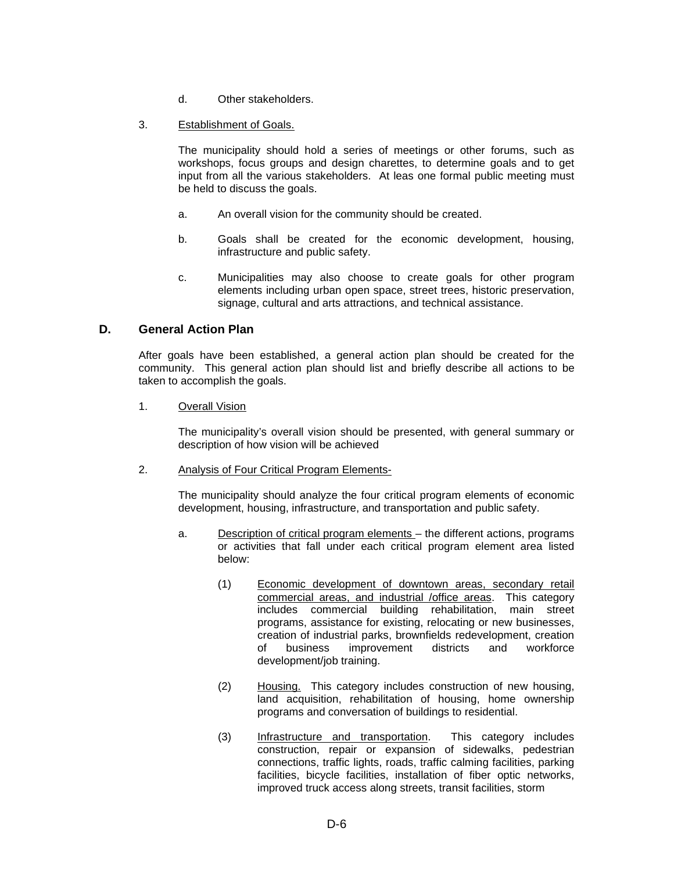- d. Other stakeholders.
- 3. Establishment of Goals.

The municipality should hold a series of meetings or other forums, such as workshops, focus groups and design charettes, to determine goals and to get input from all the various stakeholders. At leas one formal public meeting must be held to discuss the goals.

- a. An overall vision for the community should be created.
- b. Goals shall be created for the economic development, housing, infrastructure and public safety.
- c. Municipalities may also choose to create goals for other program elements including urban open space, street trees, historic preservation, signage, cultural and arts attractions, and technical assistance.

#### **D. General Action Plan**

After goals have been established, a general action plan should be created for the community. This general action plan should list and briefly describe all actions to be taken to accomplish the goals.

1. Overall Vision

The municipality's overall vision should be presented, with general summary or description of how vision will be achieved

2. Analysis of Four Critical Program Elements-

The municipality should analyze the four critical program elements of economic development, housing, infrastructure, and transportation and public safety.

- a. Description of critical program elements the different actions, programs or activities that fall under each critical program element area listed below:
	- (1) Economic development of downtown areas, secondary retail commercial areas, and industrial /office areas. This category includes commercial building rehabilitation, main street programs, assistance for existing, relocating or new businesses, creation of industrial parks, brownfields redevelopment, creation of business improvement development/job training.
	- (2) Housing. This category includes construction of new housing, land acquisition, rehabilitation of housing, home ownership programs and conversation of buildings to residential.
	- (3) Infrastructure and transportation. This category includes construction, repair or expansion of sidewalks, pedestrian connections, traffic lights, roads, traffic calming facilities, parking facilities, bicycle facilities, installation of fiber optic networks, improved truck access along streets, transit facilities, storm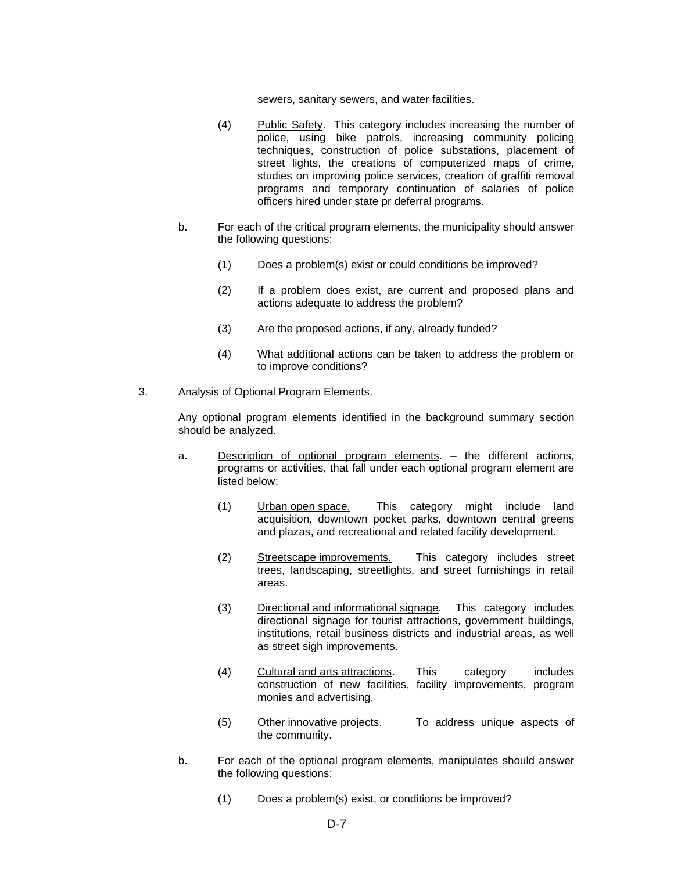sewers, sanitary sewers, and water facilities.

- (4) Public Safety. This category includes increasing the number of police, using bike patrols, increasing community policing techniques, construction of police substations, placement of street lights, the creations of computerized maps of crime, studies on improving police services, creation of graffiti removal programs and temporary continuation of salaries of police officers hired under state pr deferral programs.
- b. For each of the critical program elements, the municipality should answer the following questions:
	- (1) Does a problem(s) exist or could conditions be improved?
	- (2) If a problem does exist, are current and proposed plans and actions adequate to address the problem?
	- (3) Are the proposed actions, if any, already funded?
	- (4) What additional actions can be taken to address the problem or to improve conditions?

#### 3. Analysis of Optional Program Elements.

Any optional program elements identified in the background summary section should be analyzed.

- a. Description of optional program elements. the different actions, programs or activities, that fall under each optional program element are listed below:
	- (1) Urban open space. This category might include land acquisition, downtown pocket parks, downtown central greens and plazas, and recreational and related facility development.
	- (2) Streetscape improvements. This category includes street trees, landscaping, streetlights, and street furnishings in retail areas.
	- (3) Directional and informational signage. This category includes directional signage for tourist attractions, government buildings, institutions, retail business districts and industrial areas, as well as street sigh improvements.
	- (4) Cultural and arts attractions. This category includes construction of new facilities, facility improvements, program monies and advertising.
	- (5) Other innovative projects. To address unique aspects of the community.
- b. For each of the optional program elements, manipulates should answer the following questions:
	- (1) Does a problem(s) exist, or conditions be improved?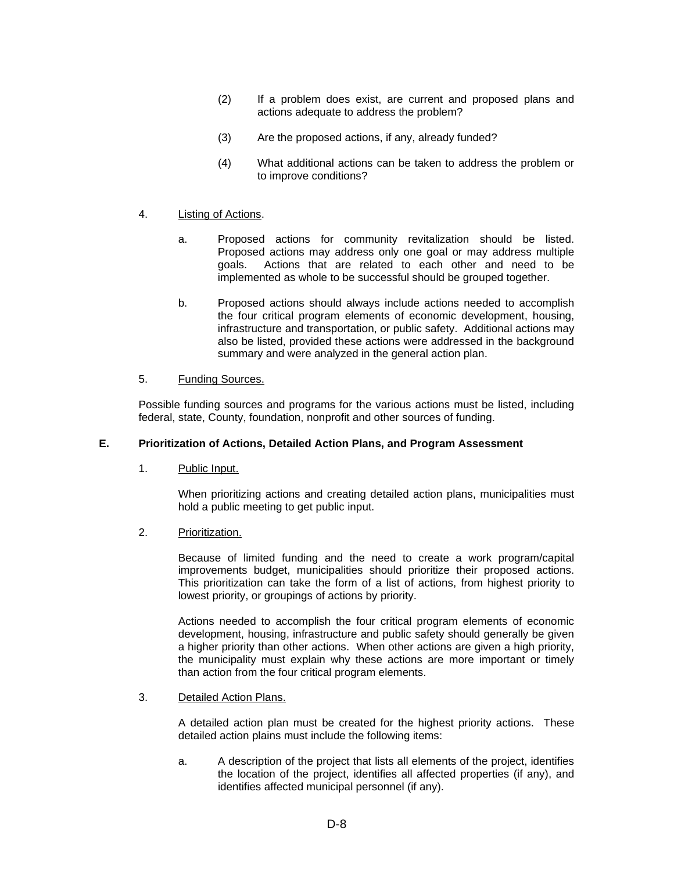- (2) If a problem does exist, are current and proposed plans and actions adequate to address the problem?
- (3) Are the proposed actions, if any, already funded?
- (4) What additional actions can be taken to address the problem or to improve conditions?

#### 4. Listing of Actions.

- a. Proposed actions for community revitalization should be listed. Proposed actions may address only one goal or may address multiple goals. Actions that are related to each other and need to be implemented as whole to be successful should be grouped together.
- b. Proposed actions should always include actions needed to accomplish the four critical program elements of economic development, housing, infrastructure and transportation, or public safety. Additional actions may also be listed, provided these actions were addressed in the background summary and were analyzed in the general action plan.

#### 5. Funding Sources.

Possible funding sources and programs for the various actions must be listed, including federal, state, County, foundation, nonprofit and other sources of funding.

#### **E. Prioritization of Actions, Detailed Action Plans, and Program Assessment**

1. Public Input.

When prioritizing actions and creating detailed action plans, municipalities must hold a public meeting to get public input.

2. Prioritization.

Because of limited funding and the need to create a work program/capital improvements budget, municipalities should prioritize their proposed actions. This prioritization can take the form of a list of actions, from highest priority to lowest priority, or groupings of actions by priority.

Actions needed to accomplish the four critical program elements of economic development, housing, infrastructure and public safety should generally be given a higher priority than other actions. When other actions are given a high priority, the municipality must explain why these actions are more important or timely than action from the four critical program elements.

3. Detailed Action Plans.

A detailed action plan must be created for the highest priority actions. These detailed action plains must include the following items:

a. A description of the project that lists all elements of the project, identifies the location of the project, identifies all affected properties (if any), and identifies affected municipal personnel (if any).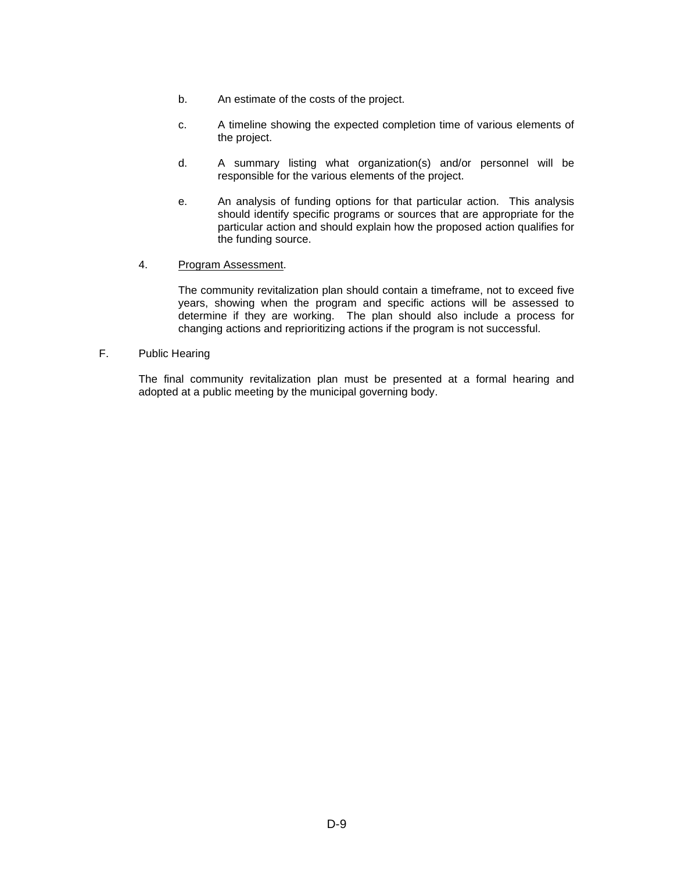- b. An estimate of the costs of the project.
- c. A timeline showing the expected completion time of various elements of the project.
- d. A summary listing what organization(s) and/or personnel will be responsible for the various elements of the project.
- e. An analysis of funding options for that particular action. This analysis should identify specific programs or sources that are appropriate for the particular action and should explain how the proposed action qualifies for the funding source.
- 4. Program Assessment.

The community revitalization plan should contain a timeframe, not to exceed five years, showing when the program and specific actions will be assessed to determine if they are working. The plan should also include a process for changing actions and reprioritizing actions if the program is not successful.

F. Public Hearing

The final community revitalization plan must be presented at a formal hearing and adopted at a public meeting by the municipal governing body.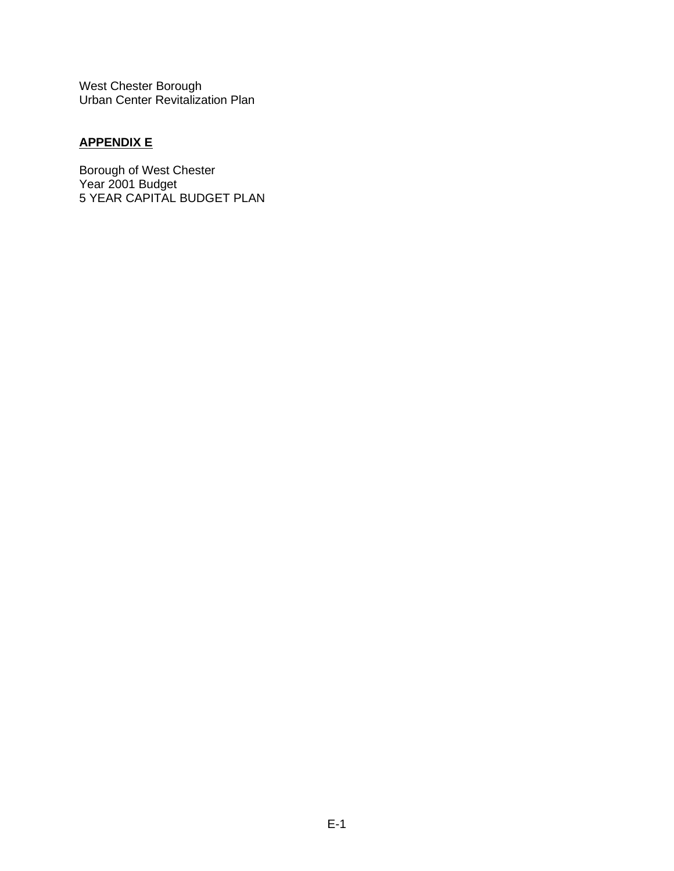# **APPENDIX E**

Borough of West Chester Year 2001 Budget 5 YEAR CAPITAL BUDGET PLAN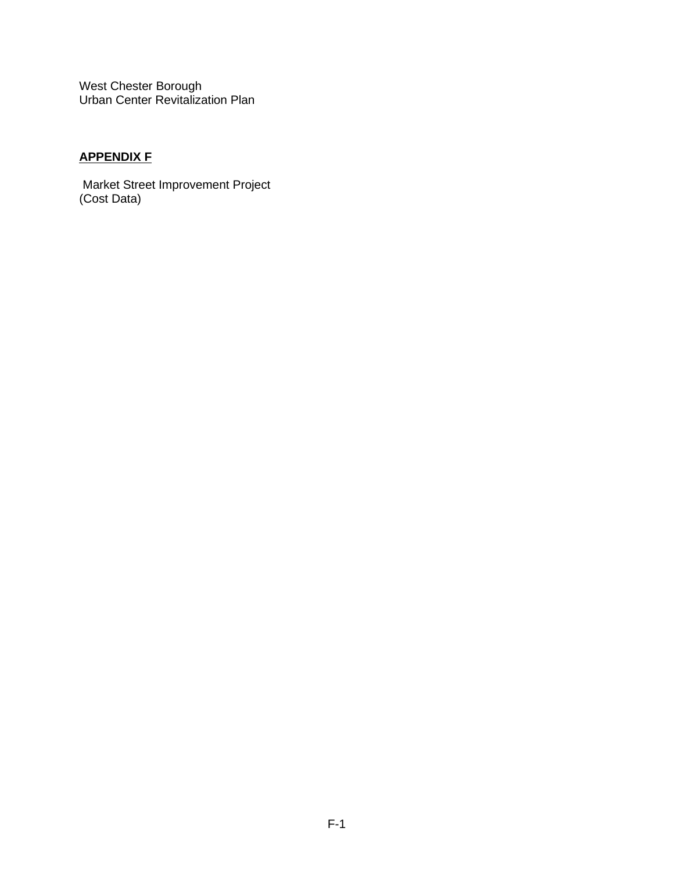# **APPENDIX F**

Market Street Improvement Project (Cost Data)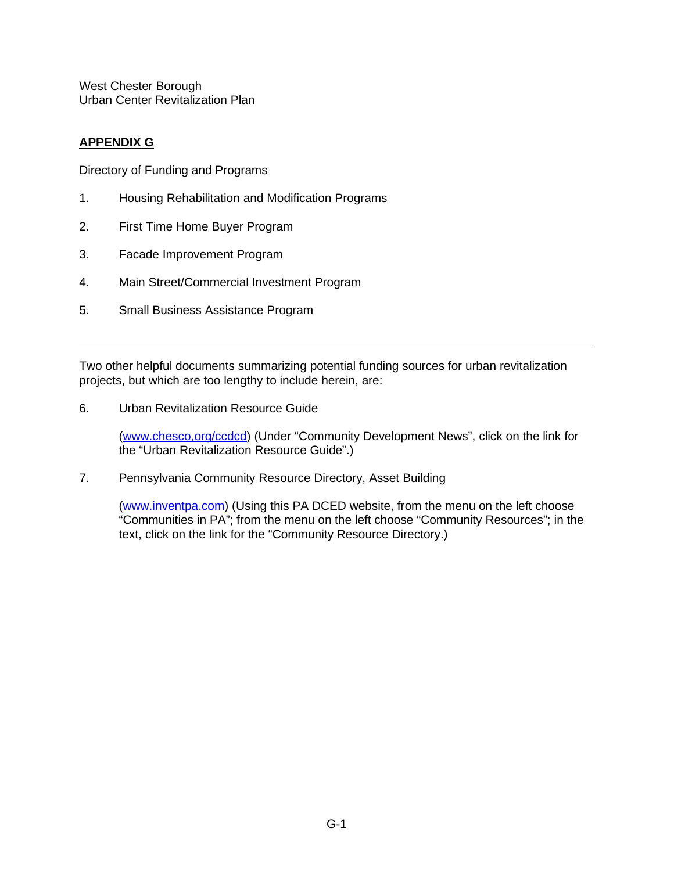# **APPENDIX G**

Directory of Funding and Programs

- 1. Housing Rehabilitation and Modification Programs
- 2. First Time Home Buyer Program
- 3. Facade Improvement Program
- 4. Main Street/Commercial Investment Program
- 5. Small Business Assistance Program

Two other helpful documents summarizing potential funding sources for urban revitalization projects, but which are too lengthy to include herein, are:

6. Urban Revitalization Resource Guide

[\(www.chesco,org/ccdcd\)](http://www.chesco,org/ccdcd) (Under "Community Development News", click on the link for the "Urban Revitalization Resource Guide".)

7. Pennsylvania Community Resource Directory, Asset Building

[\(www.inventpa.com\)](http://www.inventpa.com/) (Using this PA DCED website, from the menu on the left choose "Communities in PA"; from the menu on the left choose "Community Resources"; in the text, click on the link for the "Community Resource Directory.)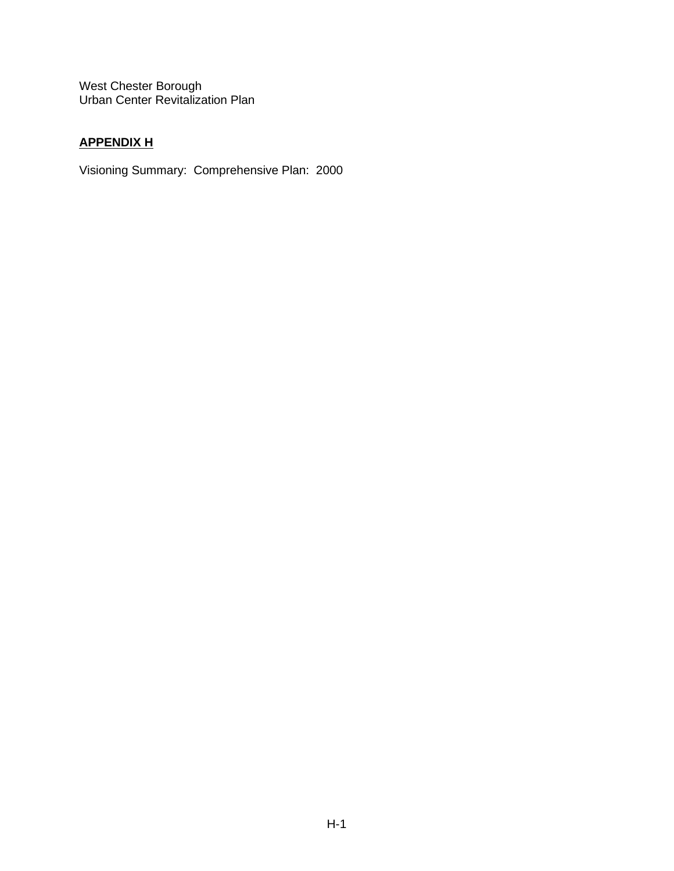# **APPENDIX H**

Visioning Summary: Comprehensive Plan: 2000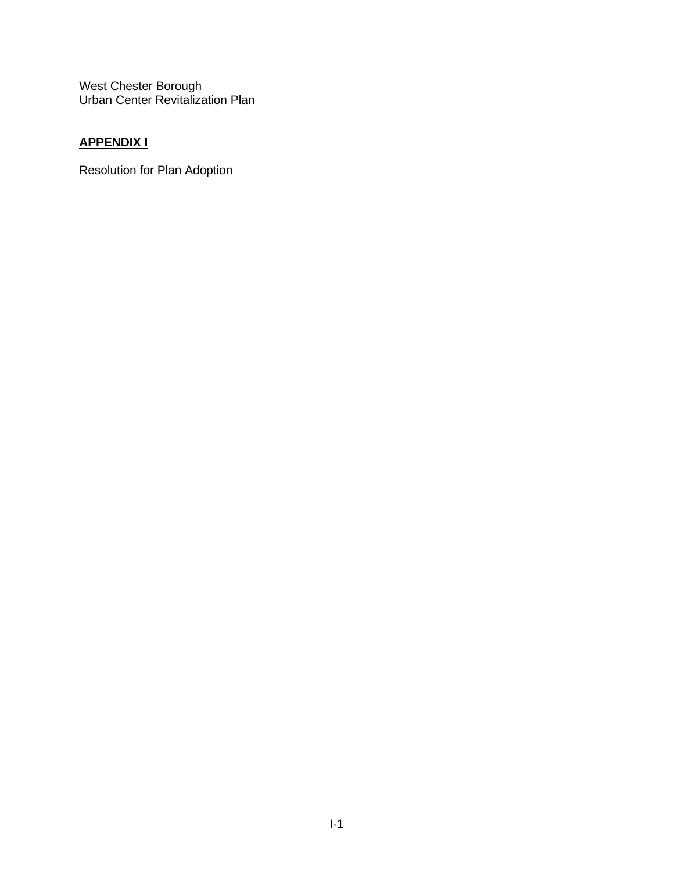# **APPENDIX I**

Resolution for Plan Adoption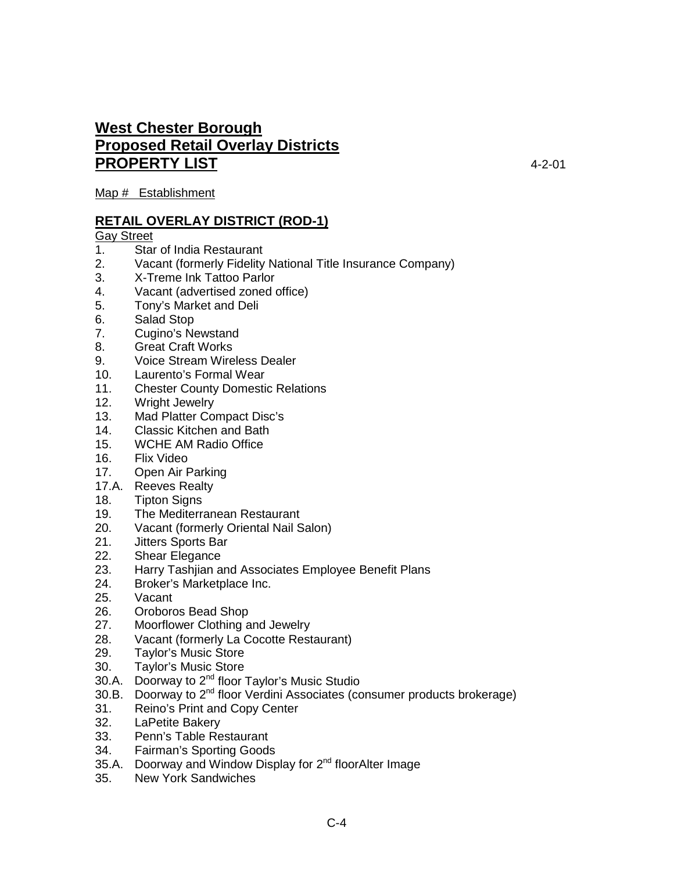# **West Chester Borough Proposed Retail Overlay Districts PROPERTY LIST** 4-2-01

Map # Establishment

# **RETAIL OVERLAY DISTRICT (ROD-1)**

# Gay Street<br>1. Star

- Star of India Restaurant
- 2. Vacant (formerly Fidelity National Title Insurance Company)
- 3. X-Treme Ink Tattoo Parlor<br>4. Vacant (advertised zoned o
- 4. Vacant (advertised zoned office)
- 5. Tony's Market and Deli
- 6. Salad Stop
- 7. Cugino's Newstand
- 8. Great Craft Works
- 9. Voice Stream Wireless Dealer
- 10. Laurento's Formal Wear<br>11. Chester County Domesti
- **Chester County Domestic Relations**
- 12. Wright Jewelry
- 13. Mad Platter Compact Disc's
- 14. Classic Kitchen and Bath
- 15. WCHE AM Radio Office
- 16. Flix Video
- 17. Open Air Parking
- 17.A. Reeves Realty
- 18. Tipton Signs
- 19. The Mediterranean Restaurant
- 20. Vacant (formerly Oriental Nail Salon)
- 21. Jitters Sports Bar
- 22. Shear Elegance
- 23. Harry Tashjian and Associates Employee Benefit Plans
- 24. Broker's Marketplace Inc.<br>25. Vacant
- Vacant
- 26. Oroboros Bead Shop
- 27. Moorflower Clothing and Jewelry
- 28. Vacant (formerly La Cocotte Restaurant)
- 29. Taylor's Music Store
- 30. Taylor's Music Store
- 30.A. Doorway to 2<sup>nd</sup> floor Taylor's Music Studio
- 30.B. Doorway to 2<sup>nd</sup> floor Verdini Associates (consumer products brokerage)
- 31. Reino's Print and Copy Center
- 32. LaPetite Bakery
- 33. Penn's Table Restaurant
- 34. Fairman's Sporting Goods
- 35.A. Doorway and Window Display for  $2^{nd}$  floorAlter Image
- 35. New York Sandwiches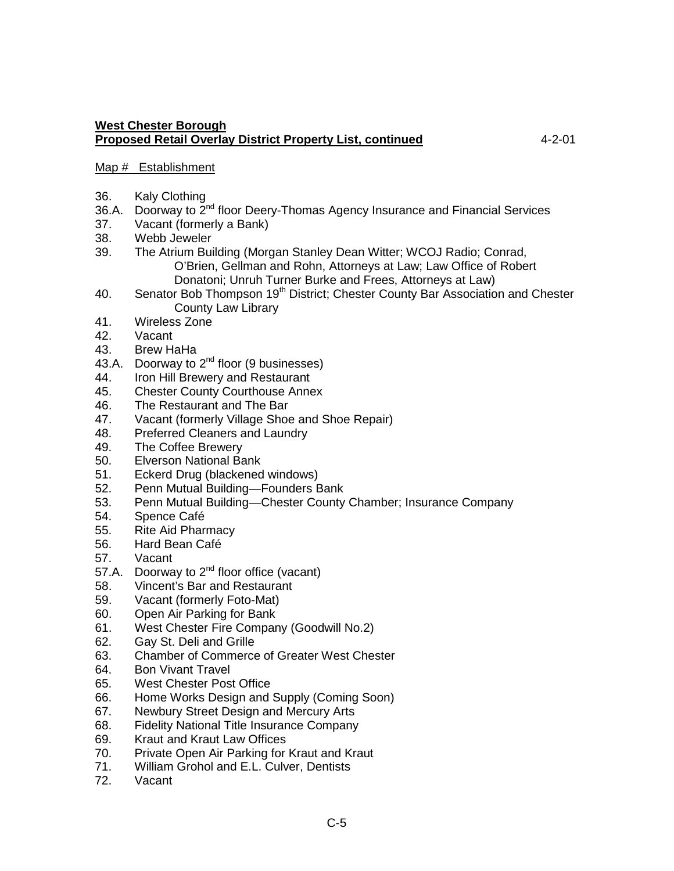# Map # Establishment

- 36. Kaly Clothing
- 36.A. Doorway to  $2<sup>nd</sup>$  floor Deery-Thomas Agency Insurance and Financial Services
- 37. Vacant (formerly a Bank)
- 38. Webb Jeweler
- 39. The Atrium Building (Morgan Stanley Dean Witter; WCOJ Radio; Conrad, O'Brien, Gellman and Rohn, Attorneys at Law; Law Office of Robert Donatoni; Unruh Turner Burke and Frees, Attorneys at Law)
- 40. Senator Bob Thompson 19<sup>th</sup> District; Chester County Bar Association and Chester County Law Library
- 41. Wireless Zone
- 42. Vacant
- 43. Brew HaHa
- 43.A. Doorway to  $2^{nd}$  floor (9 businesses)
- 44. Iron Hill Brewery and Restaurant
- 45. Chester County Courthouse Annex<br>46. The Restaurant and The Bar
- 46. The Restaurant and The Bar<br>47. Vacant (formerly Village Shor
- Vacant (formerly Village Shoe and Shoe Repair)
- 48. Preferred Cleaners and Laundry
- 49. The Coffee Brewery
- 50. Elverson National Bank
- 51. Eckerd Drug (blackened windows)
- 52. Penn Mutual Building—Founders Bank
- 53. Penn Mutual Building—Chester County Chamber; Insurance Company<br>54. Spence Café
- Spence Café
- 55. Rite Aid Pharmacy
- 56. Hard Bean Café
- 57. Vacant
- 57.A. Doorway to  $2^{nd}$  floor office (vacant)
- 58. Vincent's Bar and Restaurant
- 59. Vacant (formerly Foto-Mat)
- 60. Open Air Parking for Bank
- 61. West Chester Fire Company (Goodwill No.2)
- 62. Gay St. Deli and Grille
- 63. Chamber of Commerce of Greater West Chester
- 64. Bon Vivant Travel
- 65. West Chester Post Office
- 66. Home Works Design and Supply (Coming Soon)
- 67. Newbury Street Design and Mercury Arts<br>68. Fidelity National Title Insurance Company
- **Fidelity National Title Insurance Company**
- 69. Kraut and Kraut Law Offices
- 70. Private Open Air Parking for Kraut and Kraut
- 71. William Grohol and E.L. Culver, Dentists
- 72. Vacant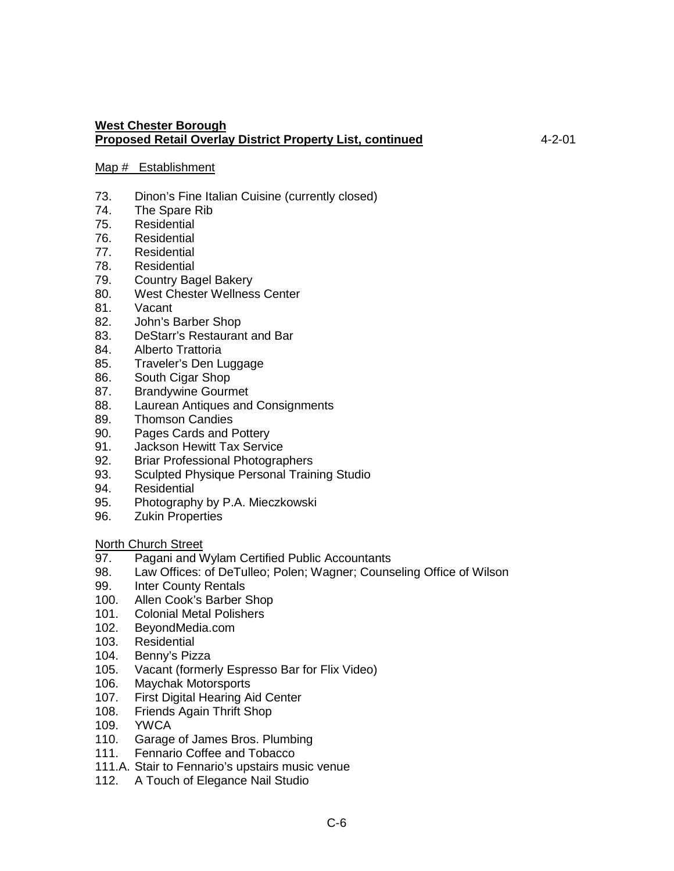#### Map # Establishment

- 73. Dinon's Fine Italian Cuisine (currently closed)
- 74. The Spare Rib
- 75. Residential
- 76. Residential
- 77. Residential<br>78. Residential
- **Residential**
- 79. Country Bagel Bakery
- 80. West Chester Wellness Center<br>81. Vacant
- Vacant
- 82. John's Barber Shop
- 83. DeStarr's Restaurant and Bar
- 84. Alberto Trattoria
- 85. Traveler's Den Luggage
- 86. South Cigar Shop
- 87. Brandywine Gourmet<br>88. Laurean Antiques and
- 88. Laurean Antiques and Consignments<br>89. Thomson Candies
- **Thomson Candies**
- 90. Pages Cards and Pottery<br>91. Jackson Hewitt Tax Servic
- **Jackson Hewitt Tax Service**
- 92. Briar Professional Photographers
- 93. Sculpted Physique Personal Training Studio
- 94. Residential<br>95. Photograph
- 95. Photography by P.A. Mieczkowski<br>96. Zukin Properties
- **Zukin Properties**

North Church Street

- 97. Pagani and Wylam Certified Public Accountants
- 98. Law Offices: of DeTulleo; Polen; Wagner; Counseling Office of Wilson
- 99. Inter County Rentals<br>100. Allen Cook's Barber
- Allen Cook's Barber Shop
- 101. Colonial Metal Polishers
- 102. BeyondMedia.com
- 103. Residential
- 104. Benny's Pizza
- 105. Vacant (formerly Espresso Bar for Flix Video)
- 106. Maychak Motorsports
- 107. First Digital Hearing Aid Center
- 108. Friends Again Thrift Shop<br>109. YWCA
- **YWCA**
- 110. Garage of James Bros. Plumbing
- 111. Fennario Coffee and Tobacco
- 111.A. Stair to Fennario's upstairs music venue
- 112. A Touch of Elegance Nail Studio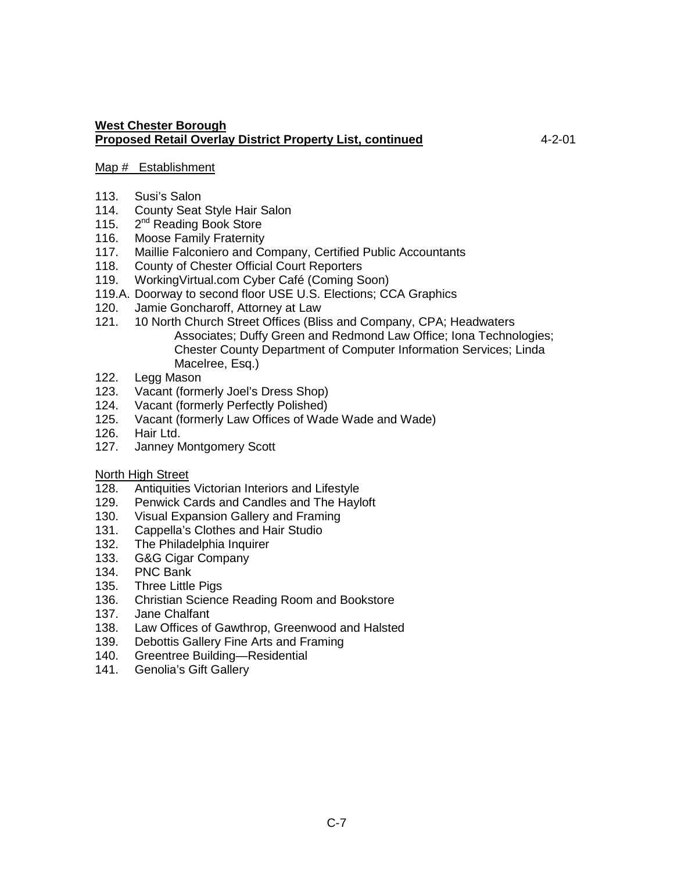## Map # Establishment

- 113. Susi's Salon
- 114. County Seat Style Hair Salon
- 115. 2<sup>nd</sup> Reading Book Store
- 116. Moose Family Fraternity
- 117. Maillie Falconiero and Company, Certified Public Accountants
- 118. County of Chester Official Court Reporters
- 119. WorkingVirtual.com Cyber Café (Coming Soon)
- 119.A. Doorway to second floor USE U.S. Elections; CCA Graphics<br>120. Jamie Goncharoff. Attorney at Law
- Jamie Goncharoff, Attorney at Law
- 121. 10 North Church Street Offices (Bliss and Company, CPA; Headwaters Associates; Duffy Green and Redmond Law Office; Iona Technologies; Chester County Department of Computer Information Services; Linda Macelree, Esq.)
- 122. Legg Mason
- 123. Vacant (formerly Joel's Dress Shop)<br>124. Vacant (formerly Perfectly Polished)
- 124. Vacant (formerly Perfectly Polished)<br>125. Vacant (formerly Law Offices of Wad
- Vacant (formerly Law Offices of Wade Wade and Wade)
- 126. Hair Ltd.
- 127. Janney Montgomery Scott

#### North High Street

- 128. Antiquities Victorian Interiors and Lifestyle
- 129. Penwick Cards and Candles and The Hayloft<br>130. Visual Expansion Gallery and Framing
- Visual Expansion Gallery and Framing
- 131. Cappella's Clothes and Hair Studio
- 132. The Philadelphia Inquirer
- 133. G&G Cigar Company
- 134. PNC Bank
- 135. Three Little Pigs<br>136. Christian Science
- 136. Christian Science Reading Room and Bookstore<br>137. Jane Chalfant
- Jane Chalfant
- 138. Law Offices of Gawthrop, Greenwood and Halsted
- 139. Debottis Gallery Fine Arts and Framing
- 140. Greentree Building—Residential
- 141. Genolia's Gift Gallery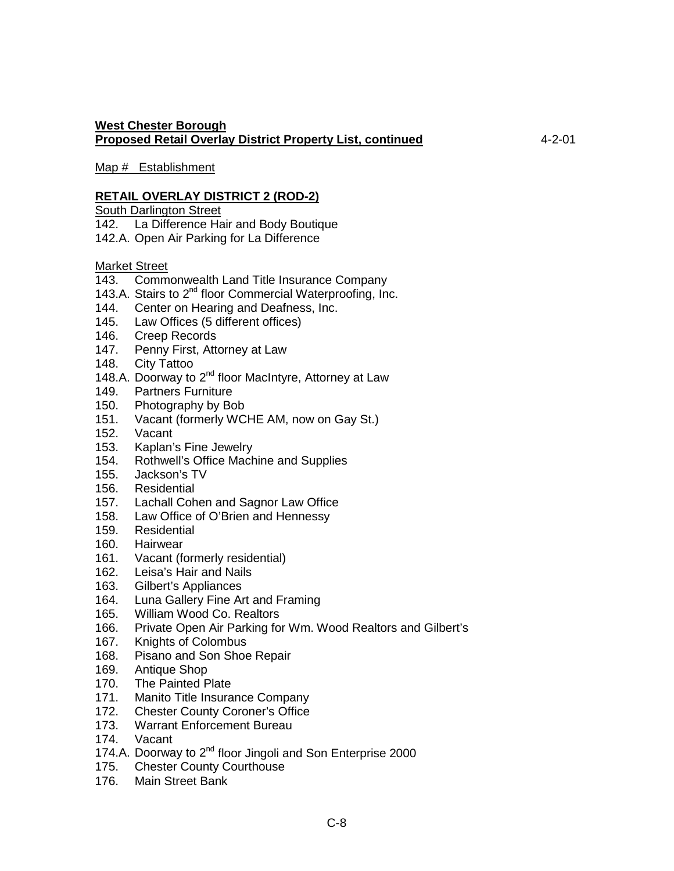Map # Establishment

## **RETAIL OVERLAY DISTRICT 2 (ROD-2)**

South Darlington Street

- 142. La Difference Hair and Body Boutique
- 142.A. Open Air Parking for La Difference

#### Market Street

- 143. Commonwealth Land Title Insurance Company
- 143.A. Stairs to 2<sup>nd</sup> floor Commercial Waterproofing, Inc.
- 144. Center on Hearing and Deafness, Inc.
- 145. Law Offices (5 different offices)
- 146. Creep Records
- 147. Penny First, Attorney at Law
- 148. City Tattoo
- 148.A. Doorway to 2<sup>nd</sup> floor MacIntyre, Attorney at Law
- 149. Partners Furniture<br>150. Photography by Bo
- Photography by Bob
- 151. Vacant (formerly WCHE AM, now on Gay St.)
- 152. Vacant
- 153. Kaplan's Fine Jewelry
- 154. Rothwell's Office Machine and Supplies
- 155. Jackson's TV
- 156. Residential
- 157. Lachall Cohen and Sagnor Law Office<br>158. Law Office of O'Brien and Hennessv
- Law Office of O'Brien and Hennessy
- 159. Residential
- 160. Hairwear
- 161. Vacant (formerly residential)
- 162. Leisa's Hair and Nails
- 163. Gilbert's Appliances<br>164. Luna Gallery Fine Ar
- Luna Gallery Fine Art and Framing
- 165. William Wood Co. Realtors
- 166. Private Open Air Parking for Wm. Wood Realtors and Gilbert's
- 167. Knights of Colombus
- 168. Pisano and Son Shoe Repair
- 169. Antique Shop
- 170. The Painted Plate
- 171. Manito Title Insurance Company
- 172. Chester County Coroner's Office<br>173. Warrant Enforcement Bureau
- Warrant Enforcement Bureau
- 174. Vacant
- 174.A. Doorway to 2<sup>nd</sup> floor Jingoli and Son Enterprise 2000
- 175. Chester County Courthouse
- 176. Main Street Bank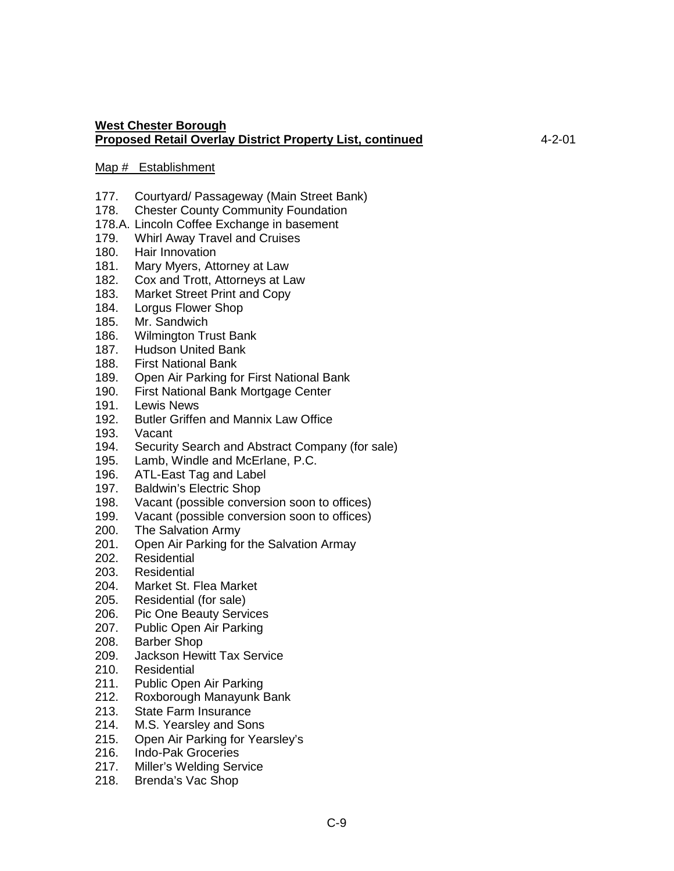#### Map # Establishment

- 177. Courtyard/ Passageway (Main Street Bank)
- 178. Chester County Community Foundation
- 178.A. Lincoln Coffee Exchange in basement
- 179. Whirl Away Travel and Cruises
- 180. Hair Innovation<br>181. Marv Mvers. Att
- Mary Myers, Attorney at Law
- 182. Cox and Trott, Attorneys at Law
- 183. Market Street Print and Copy<br>184. Lorgus Flower Shop
- Lorgus Flower Shop
- 185. Mr. Sandwich
- 186. Wilmington Trust Bank
- 187. Hudson United Bank
- 188. First National Bank
- 189. Open Air Parking for First National Bank
- 190. First National Bank Mortgage Center<br>191. Lewis News
- 191. Lewis News<br>192. Butler Griffer
- Butler Griffen and Mannix Law Office
- 193. Vacant
- 194. Security Search and Abstract Company (for sale)
- 195. Lamb, Windle and McErlane, P.C.
- 196. ATL-East Tag and Label
- 197. Baldwin's Electric Shop<br>198. Vacant (possible conver
- 198. Vacant (possible conversion soon to offices)<br>199. Vacant (possible conversion soon to offices)
- Vacant (possible conversion soon to offices)
- 200. The Salvation Army
- 201. Open Air Parking for the Salvation Armay
- 202. Residential
- 203. Residential
- 204. Market St. Flea Market<br>205. Residential (for sale)
- Residential (for sale)
- 206. Pic One Beauty Services
- 207. Public Open Air Parking
- 208. Barber Shop
- 209. Jackson Hewitt Tax Service
- 210. Residential
- 211. Public Open Air Parking<br>212. Roxborough Manayunk B
- Roxborough Manayunk Bank
- 213. State Farm Insurance
- 214. M.S. Yearsley and Sons
- 215. Open Air Parking for Yearsley's
- 216. Indo-Pak Groceries
- 217. Miller's Welding Service
- 218. Brenda's Vac Shop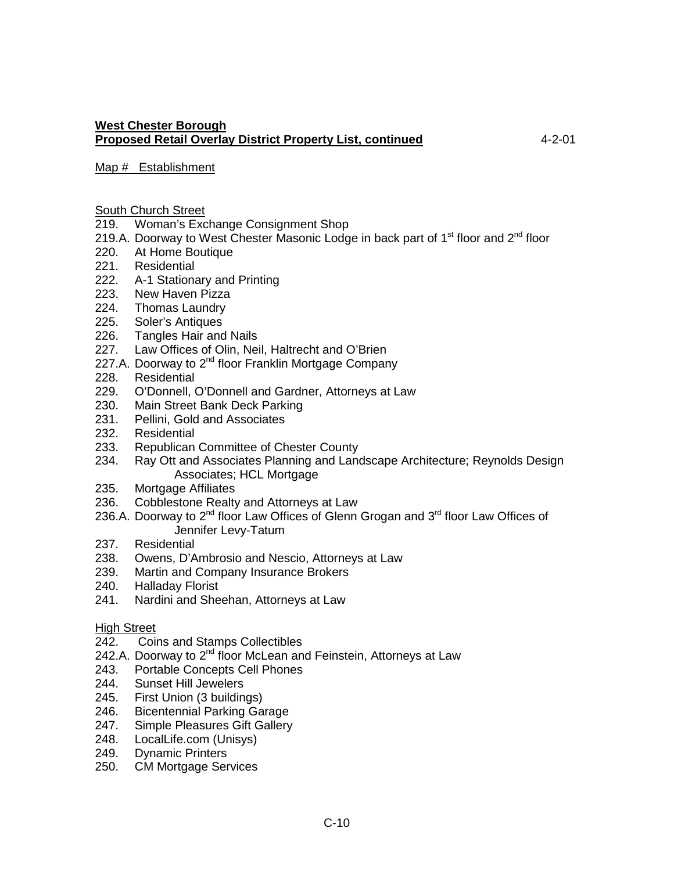#### Map # Establishment

#### South Church Street

- 219. Woman's Exchange Consignment Shop
- 219.A. Doorway to West Chester Masonic Lodge in back part of  $1<sup>st</sup>$  floor and  $2<sup>nd</sup>$  floor
- 220. At Home Boutique
- 221. Residential
- 222. A-1 Stationary and Printing
- 223. New Haven Pizza
- 224. Thomas Laundry
- 225. Soler's Antiques
- 226. Tangles Hair and Nails
- 227. Law Offices of Olin, Neil, Haltrecht and O'Brien
- 227.A. Doorway to 2<sup>nd</sup> floor Franklin Mortgage Company
- 228. Residential<br>229. O'Donnell, Q
- 229. O'Donnell, O'Donnell and Gardner, Attorneys at Law<br>230. Main Street Bank Deck Parking
- 230. Main Street Bank Deck Parking<br>231. Pellini. Gold and Associates
- Pellini, Gold and Associates
- 232. Residential
- 233. Republican Committee of Chester County
- 234. Ray Ott and Associates Planning and Landscape Architecture; Reynolds Design Associates; HCL Mortgage
- 235. Mortgage Affiliates
- 236. Cobblestone Realty and Attorneys at Law
- 236.A. Doorway to  $2^{nd}$  floor Law Offices of Glenn Grogan and  $3^{rd}$  floor Law Offices of Jennifer Levy-Tatum
- 237. Residential
- 238. Owens, D'Ambrosio and Nescio, Attorneys at Law
- 239. Martin and Company Insurance Brokers
- 240. Halladay Florist<br>241. Nardini and She
- Nardini and Sheehan, Attorneys at Law

#### High Street

- 242. Coins and Stamps Collectibles
- 242.A. Doorway to  $2^{nd}$  floor McLean and Feinstein, Attorneys at Law
- 243. Portable Concepts Cell Phones
- 244. Sunset Hill Jewelers
- 245. First Union (3 buildings)
- 246. Bicentennial Parking Garage<br>247. Simple Pleasures Gift Gallery
- Simple Pleasures Gift Gallery
- 248. LocalLife.com (Unisys)
- 249. Dynamic Printers
- 250. CM Mortgage Services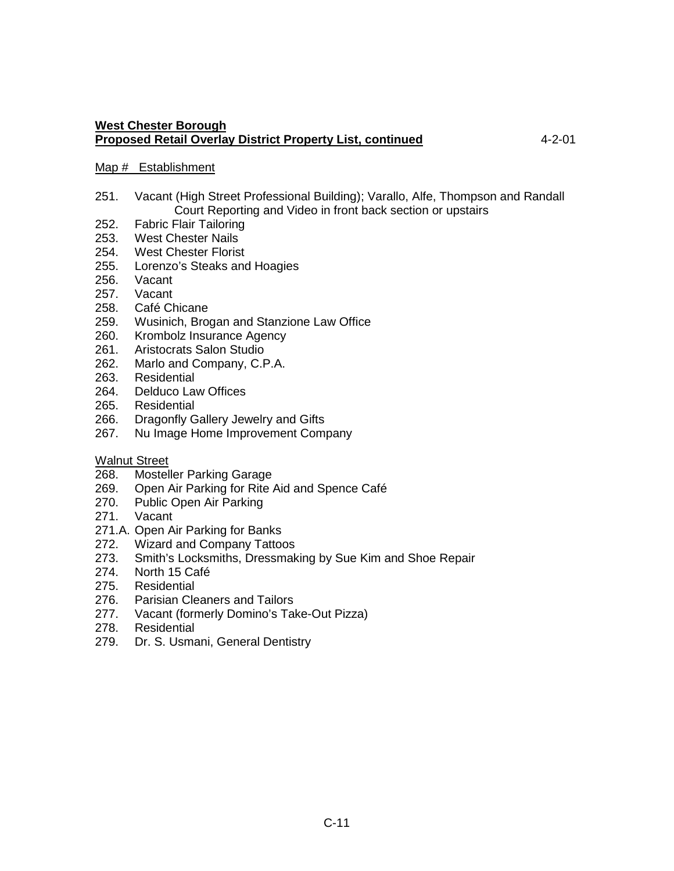#### Map # Establishment

- 251. Vacant (High Street Professional Building); Varallo, Alfe, Thompson and Randall Court Reporting and Video in front back section or upstairs
- 252. Fabric Flair Tailoring
- 253. West Chester Nails
- 254. West Chester Florist
- 255. Lorenzo's Steaks and Hoagies
- 256. Vacant
- 257. Vacant<br>258. Café Ch
- Café Chicane
- 259. Wusinich, Brogan and Stanzione Law Office
- 260. Krombolz Insurance Agency
- 261. Aristocrats Salon Studio
- 262. Marlo and Company, C.P.A.
- 263. Residential
- 264. Delduco Law Offices<br>265. Residential
- 265. Residential<br>266. Dragonfly G
- Dragonfly Gallery Jewelry and Gifts
- 267. Nu Image Home Improvement Company

#### Walnut Street

- 268. Mosteller Parking Garage
- 269. Open Air Parking for Rite Aid and Spence Café
- 270. Public Open Air Parking<br>271. Vacant
- Vacant
- 271.A. Open Air Parking for Banks
- 272. Wizard and Company Tattoos
- 273. Smith's Locksmiths, Dressmaking by Sue Kim and Shoe Repair
- 274. North 15 Café
- 275. Residential<br>276. Parisian Cle
- Parisian Cleaners and Tailors
- 277. Vacant (formerly Domino's Take-Out Pizza)
- 278. Residential
- 279. Dr. S. Usmani, General Dentistry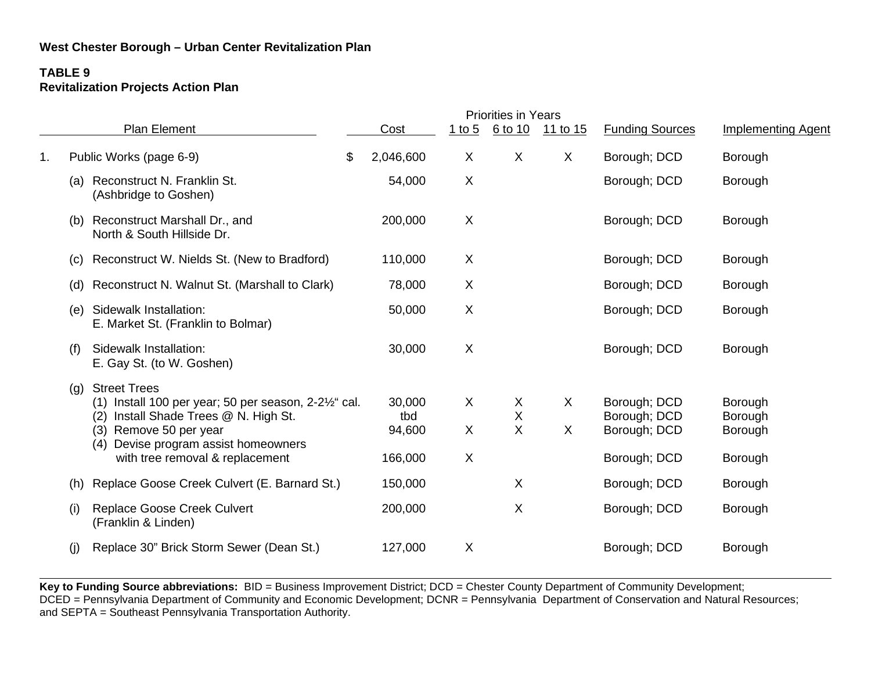# **TABLE 9 Revitalization Projects Action Plan**

|    |     |                                                                                                                                                                                                                                              |                                    | <b>Priorities in Years</b> |                        |          |                                                              |                                          |
|----|-----|----------------------------------------------------------------------------------------------------------------------------------------------------------------------------------------------------------------------------------------------|------------------------------------|----------------------------|------------------------|----------|--------------------------------------------------------------|------------------------------------------|
|    |     | Plan Element                                                                                                                                                                                                                                 | Cost                               | 1 to 5                     | 6 to 10                | 11 to 15 | <b>Funding Sources</b>                                       | <b>Implementing Agent</b>                |
| 1. |     | Public Works (page 6-9)                                                                                                                                                                                                                      | \$<br>2,046,600                    | X                          | X                      | X        | Borough; DCD                                                 | Borough                                  |
|    | (a) | Reconstruct N. Franklin St.<br>(Ashbridge to Goshen)                                                                                                                                                                                         | 54,000                             | X                          |                        |          | Borough; DCD                                                 | Borough                                  |
|    | (b) | Reconstruct Marshall Dr., and<br>North & South Hillside Dr.                                                                                                                                                                                  | 200,000                            | X                          |                        |          | Borough; DCD                                                 | Borough                                  |
|    | (c) | Reconstruct W. Nields St. (New to Bradford)                                                                                                                                                                                                  | 110,000                            | X                          |                        |          | Borough; DCD                                                 | Borough                                  |
|    | (d) | Reconstruct N. Walnut St. (Marshall to Clark)                                                                                                                                                                                                | 78,000                             | X                          |                        |          | Borough; DCD                                                 | Borough                                  |
|    | (e) | Sidewalk Installation:<br>E. Market St. (Franklin to Bolmar)                                                                                                                                                                                 | 50,000                             | X                          |                        |          | Borough; DCD                                                 | Borough                                  |
|    | (f) | Sidewalk Installation:<br>E. Gay St. (to W. Goshen)                                                                                                                                                                                          | 30,000                             | X                          |                        |          | Borough; DCD                                                 | Borough                                  |
|    | (g) | <b>Street Trees</b><br>$(1)$ Install 100 per year; 50 per season, 2-2 $\frac{1}{2}$ cal.<br>Install Shade Trees @ N. High St.<br>(2)<br>(3) Remove 50 per year<br>Devise program assist homeowners<br>(4)<br>with tree removal & replacement | 30,000<br>tbd<br>94,600<br>166,000 | X<br>X<br>X                | X<br>$\mathsf{X}$<br>X | X<br>X   | Borough; DCD<br>Borough; DCD<br>Borough; DCD<br>Borough; DCD | Borough<br>Borough<br>Borough<br>Borough |
|    | (h) | Replace Goose Creek Culvert (E. Barnard St.)                                                                                                                                                                                                 | 150,000                            |                            | X                      |          | Borough; DCD                                                 | Borough                                  |
|    | (i) | <b>Replace Goose Creek Culvert</b><br>(Franklin & Linden)                                                                                                                                                                                    | 200,000                            |                            | X                      |          | Borough; DCD                                                 | Borough                                  |
|    | (j) | Replace 30" Brick Storm Sewer (Dean St.)                                                                                                                                                                                                     | 127,000                            | X                          |                        |          | Borough; DCD                                                 | Borough                                  |
|    |     |                                                                                                                                                                                                                                              |                                    |                            |                        |          |                                                              |                                          |

**Key to Funding Source abbreviations:** BID = Business Improvement District; DCD = Chester County Department of Community Development; DCED = Pennsylvania Department of Community and Economic Development; DCNR = Pennsylvania Department of Conservation and Natural Resources; and SEPTA = Southeast Pennsylvania Transportation Authority.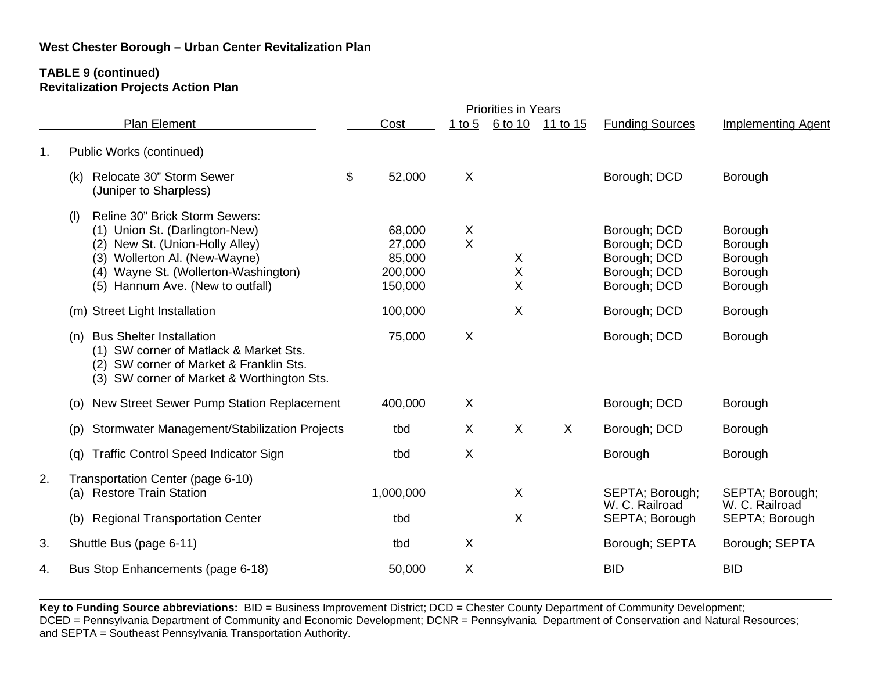#### **TABLE 9 (continued) Revitalization Projects Action Plan**

|    |                                                                                                                                                                                                                         |                                                  |                           | <b>Priorities in Years</b> |          |                                                                              |                                                     |
|----|-------------------------------------------------------------------------------------------------------------------------------------------------------------------------------------------------------------------------|--------------------------------------------------|---------------------------|----------------------------|----------|------------------------------------------------------------------------------|-----------------------------------------------------|
|    | <b>Plan Element</b>                                                                                                                                                                                                     | Cost                                             | 1 to $5$                  | 6 to 10                    | 11 to 15 | <b>Funding Sources</b>                                                       | <b>Implementing Agent</b>                           |
| 1. | Public Works (continued)                                                                                                                                                                                                |                                                  |                           |                            |          |                                                                              |                                                     |
|    | \$<br>Relocate 30" Storm Sewer<br>(k)<br>(Juniper to Sharpless)                                                                                                                                                         | 52,000                                           | X                         |                            |          | Borough; DCD                                                                 | Borough                                             |
|    | Reline 30" Brick Storm Sewers:<br>(1)<br>(1) Union St. (Darlington-New)<br>(2) New St. (Union-Holly Alley)<br>(3) Wollerton Al. (New-Wayne)<br>(4) Wayne St. (Wollerton-Washington)<br>(5) Hannum Ave. (New to outfall) | 68,000<br>27,000<br>85,000<br>200,000<br>150,000 | $\pmb{\times}$<br>$\sf X$ | X<br>Χ<br>Χ                |          | Borough; DCD<br>Borough; DCD<br>Borough; DCD<br>Borough; DCD<br>Borough; DCD | Borough<br>Borough<br>Borough<br>Borough<br>Borough |
|    | (m) Street Light Installation                                                                                                                                                                                           | 100,000                                          |                           | X                          |          | Borough; DCD                                                                 | Borough                                             |
|    | <b>Bus Shelter Installation</b><br>(n)<br>(1) SW corner of Matlack & Market Sts.<br>(2) SW corner of Market & Franklin Sts.<br>(3) SW corner of Market & Worthington Sts.                                               | 75,000                                           | X                         |                            |          | Borough; DCD                                                                 | Borough                                             |
|    | New Street Sewer Pump Station Replacement<br>(O)                                                                                                                                                                        | 400,000                                          | X                         |                            |          | Borough; DCD                                                                 | Borough                                             |
|    | Stormwater Management/Stabilization Projects<br>(p)                                                                                                                                                                     | tbd                                              | X                         | X                          | $\sf X$  | Borough; DCD                                                                 | Borough                                             |
|    | <b>Traffic Control Speed Indicator Sign</b><br>(g)                                                                                                                                                                      | tbd                                              | $\sf X$                   |                            |          | Borough                                                                      | Borough                                             |
| 2. | Transportation Center (page 6-10)<br>(a) Restore Train Station                                                                                                                                                          | 1,000,000                                        |                           | X                          |          | SEPTA; Borough;<br>W. C. Railroad                                            | SEPTA; Borough;<br>W. C. Railroad                   |
|    | <b>Regional Transportation Center</b><br>(b)                                                                                                                                                                            | tbd                                              |                           | X                          |          | SEPTA; Borough                                                               | SEPTA; Borough                                      |
| 3. | Shuttle Bus (page 6-11)                                                                                                                                                                                                 | tbd                                              | X                         |                            |          | Borough; SEPTA                                                               | Borough; SEPTA                                      |
| 4. | Bus Stop Enhancements (page 6-18)                                                                                                                                                                                       | 50,000                                           | X                         |                            |          | <b>BID</b>                                                                   | <b>BID</b>                                          |
|    |                                                                                                                                                                                                                         |                                                  |                           |                            |          |                                                                              |                                                     |

**Key to Funding Source abbreviations:** BID = Business Improvement District; DCD = Chester County Department of Community Development; DCED = Pennsylvania Department of Community and Economic Development; DCNR = Pennsylvania Department of Conservation and Natural Resources; and SEPTA = Southeast Pennsylvania Transportation Authority.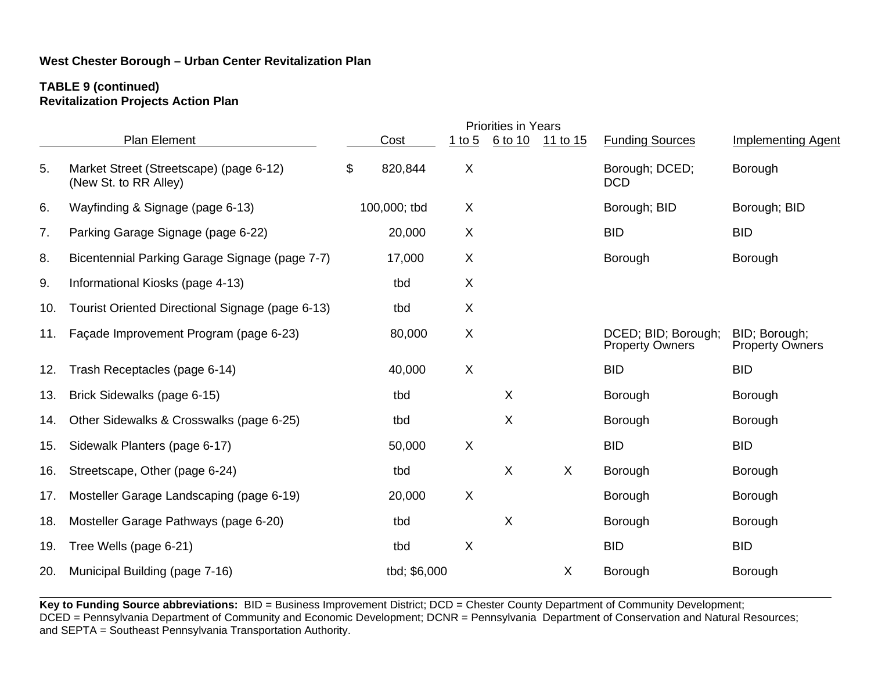#### **TABLE 9 (continued) Revitalization Projects Action Plan**

|     |                                                                  |    |              |              | <b>Priorities in Years</b> |          |                                               |                                         |
|-----|------------------------------------------------------------------|----|--------------|--------------|----------------------------|----------|-----------------------------------------------|-----------------------------------------|
|     | Plan Element                                                     |    | $C_{OSL}$    | $1$ to 5     | 6 to 10                    | 11 to 15 | <b>Funding Sources</b>                        | <b>Implementing Agent</b>               |
| 5.  | Market Street (Streetscape) (page 6-12)<br>(New St. to RR Alley) | \$ | 820,844      | X            |                            |          | Borough; DCED;<br><b>DCD</b>                  | Borough                                 |
| 6.  | Wayfinding & Signage (page 6-13)                                 |    | 100,000; tbd | X            |                            |          | Borough; BID                                  | Borough; BID                            |
| 7.  | Parking Garage Signage (page 6-22)                               |    | 20,000       | X            |                            |          | <b>BID</b>                                    | <b>BID</b>                              |
| 8.  | Bicentennial Parking Garage Signage (page 7-7)                   |    | 17,000       | X            |                            |          | Borough                                       | Borough                                 |
| 9.  | Informational Kiosks (page 4-13)                                 |    | tbd          | X            |                            |          |                                               |                                         |
| 10. | Tourist Oriented Directional Signage (page 6-13)                 |    | tbd          | $\mathsf{X}$ |                            |          |                                               |                                         |
| 11. | Façade Improvement Program (page 6-23)                           |    | 80,000       | X            |                            |          | DCED; BID; Borough;<br><b>Property Owners</b> | BID; Borough;<br><b>Property Owners</b> |
| 12. | Trash Receptacles (page 6-14)                                    |    | 40,000       | $\mathsf{X}$ |                            |          | <b>BID</b>                                    | <b>BID</b>                              |
| 13. | Brick Sidewalks (page 6-15)                                      |    | tbd          |              | X                          |          | Borough                                       | Borough                                 |
| 14. | Other Sidewalks & Crosswalks (page 6-25)                         |    | tbd          |              | $\mathsf X$                |          | Borough                                       | Borough                                 |
| 15. | Sidewalk Planters (page 6-17)                                    |    | 50,000       | X            |                            |          | <b>BID</b>                                    | <b>BID</b>                              |
| 16. | Streetscape, Other (page 6-24)                                   |    | tbd          |              | $\mathsf{X}$               | $\sf X$  | Borough                                       | Borough                                 |
| 17. | Mosteller Garage Landscaping (page 6-19)                         |    | 20,000       | X            |                            |          | Borough                                       | Borough                                 |
| 18. | Mosteller Garage Pathways (page 6-20)                            |    | tbd          |              | X                          |          | Borough                                       | Borough                                 |
| 19. | Tree Wells (page 6-21)                                           |    | tbd          | X            |                            |          | <b>BID</b>                                    | <b>BID</b>                              |
| 20. | Municipal Building (page 7-16)                                   |    | tbd; \$6,000 |              |                            | X        | Borough                                       | Borough                                 |
|     |                                                                  |    |              |              |                            |          |                                               |                                         |

**Key to Funding Source abbreviations:** BID = Business Improvement District; DCD = Chester County Department of Community Development; DCED = Pennsylvania Department of Community and Economic Development; DCNR = Pennsylvania Department of Conservation and Natural Resources; and SEPTA = Southeast Pennsylvania Transportation Authority.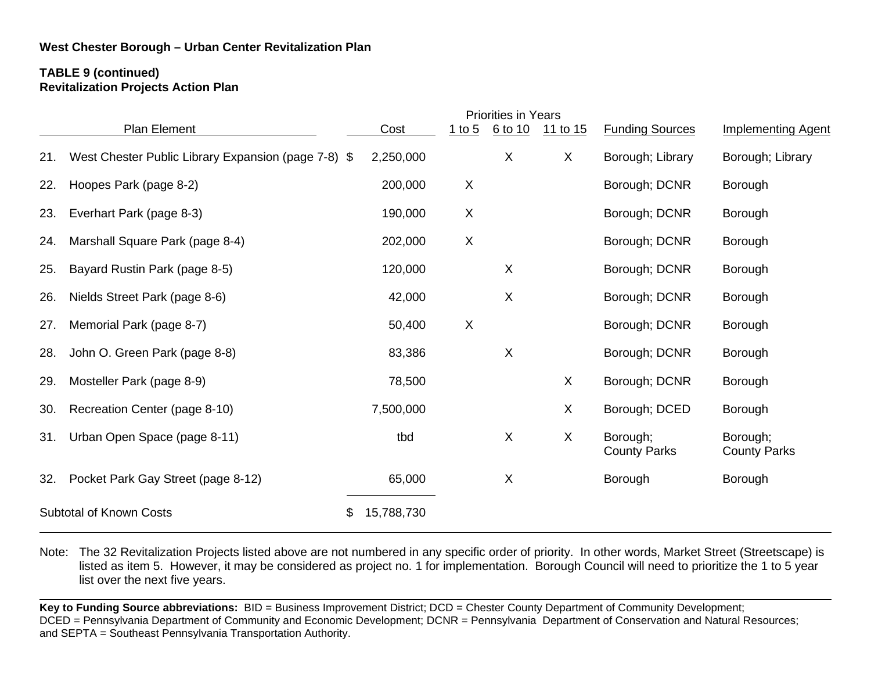### **TABLE 9 (continued) Revitalization Projects Action Plan**

|                                      |                                                          |            |                | <b>Priorities in Years</b> |          |                                 |                                 |
|--------------------------------------|----------------------------------------------------------|------------|----------------|----------------------------|----------|---------------------------------|---------------------------------|
|                                      | Plan Element                                             | Cost       | $1$ to 5       | 6 to 10                    | 11 to 15 | <b>Funding Sources</b>          | <b>Implementing Agent</b>       |
| 21.                                  | West Chester Public Library Expansion (page 7-8)<br>- \$ | 2,250,000  |                | X                          | X        | Borough; Library                | Borough; Library                |
| 22.                                  | Hoopes Park (page 8-2)                                   | 200,000    | X              |                            |          | Borough; DCNR                   | Borough                         |
| 23.                                  | Everhart Park (page 8-3)                                 | 190,000    | X              |                            |          | Borough; DCNR                   | Borough                         |
| 24.                                  | Marshall Square Park (page 8-4)                          | 202,000    | $\times$       |                            |          | Borough; DCNR                   | Borough                         |
| 25.                                  | Bayard Rustin Park (page 8-5)                            | 120,000    |                | X                          |          | Borough; DCNR                   | Borough                         |
| 26.                                  | Nields Street Park (page 8-6)                            | 42,000     |                | X                          |          | Borough; DCNR                   | Borough                         |
| 27.                                  | Memorial Park (page 8-7)                                 | 50,400     | $\pmb{\times}$ |                            |          | Borough; DCNR                   | Borough                         |
| 28.                                  | John O. Green Park (page 8-8)                            | 83,386     |                | X                          |          | Borough; DCNR                   | Borough                         |
| 29.                                  | Mosteller Park (page 8-9)                                | 78,500     |                |                            | X        | Borough; DCNR                   | Borough                         |
| 30.                                  | Recreation Center (page 8-10)                            | 7,500,000  |                |                            | X        | Borough; DCED                   | Borough                         |
| 31.                                  | Urban Open Space (page 8-11)                             | tbd        |                | X                          | X        | Borough;<br><b>County Parks</b> | Borough;<br><b>County Parks</b> |
| 32.                                  | Pocket Park Gay Street (page 8-12)                       | 65,000     |                | X                          |          | Borough                         | Borough                         |
| <b>Subtotal of Known Costs</b><br>\$ |                                                          | 15,788,730 |                |                            |          |                                 |                                 |

Note: The 32 Revitalization Projects listed above are not numbered in any specific order of priority. In other words, Market Street (Streetscape) is listed as item 5. However, it may be considered as project no. 1 for implementation. Borough Council will need to prioritize the 1 to 5 year list over the next five years.

Key to Funding Source abbreviations: BID = Business Improvement District; DCD = Chester County Department of Community Development; DCED = Pennsylvania Department of Community and Economic Development; DCNR = Pennsylvania Department of Conservation and Natural Resources; and SEPTA = Southeast Pennsylvania Transportation Authority.